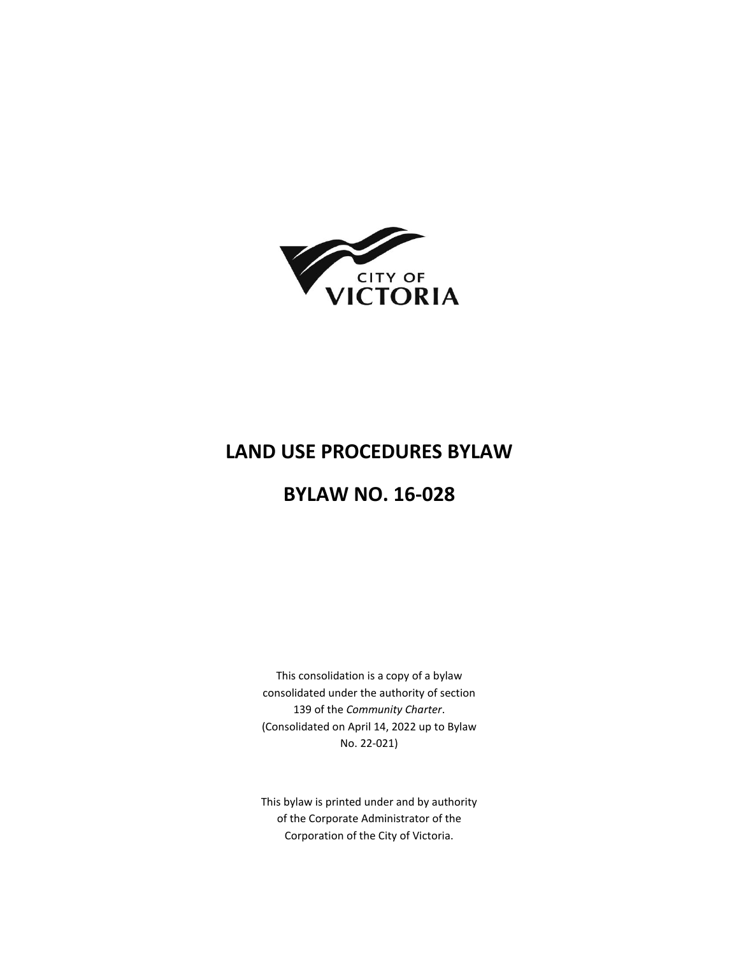

# **LAND USE PROCEDURES BYLAW**

# **BYLAW NO. 16-028**

This consolidation is a copy of a bylaw consolidated under the authority of section 139 of the *Community Charter*. (Consolidated on April 14, 2022 up to Bylaw No. 22-021)

This bylaw is printed under and by authority of the Corporate Administrator of the Corporation of the City of Victoria.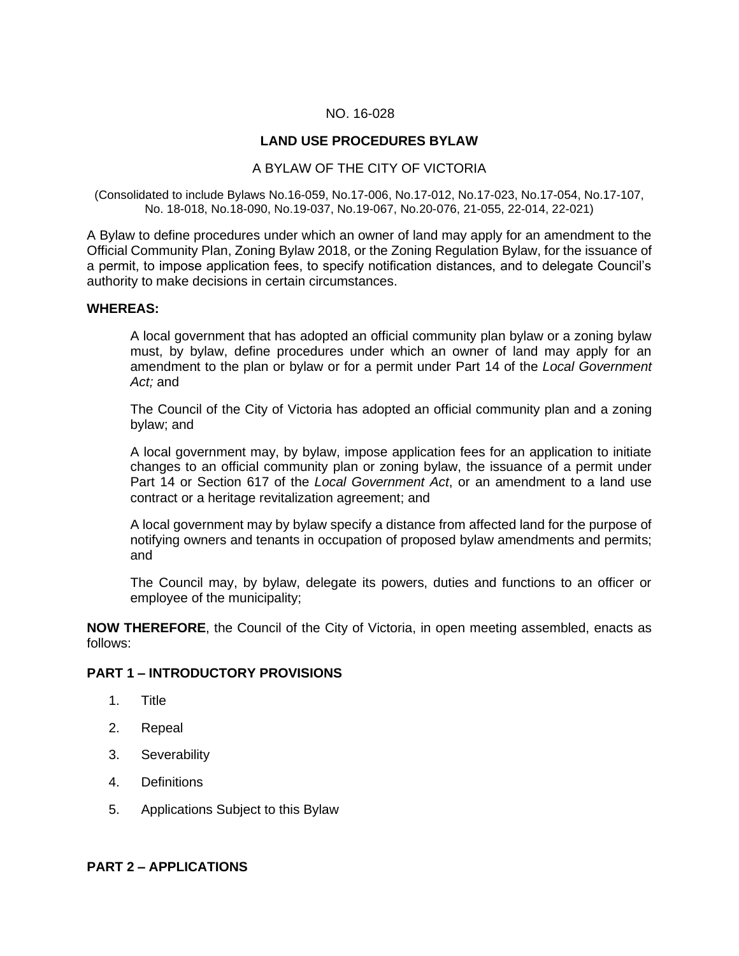### NO. 16-028

# **LAND USE PROCEDURES BYLAW**

### A BYLAW OF THE CITY OF VICTORIA

(Consolidated to include Bylaws No.16-059, No.17-006, No.17-012, No.17-023, No.17-054, No.17-107, No. 18-018, No.18-090, No.19-037, No.19-067, No.20-076, 21-055, 22-014, 22-021)

A Bylaw to define procedures under which an owner of land may apply for an amendment to the Official Community Plan, Zoning Bylaw 2018, or the Zoning Regulation Bylaw, for the issuance of a permit, to impose application fees, to specify notification distances, and to delegate Council's authority to make decisions in certain circumstances.

#### **WHEREAS:**

A local government that has adopted an official community plan bylaw or a zoning bylaw must, by bylaw, define procedures under which an owner of land may apply for an amendment to the plan or bylaw or for a permit under Part 14 of the *Local Government Act;* and

The Council of the City of Victoria has adopted an official community plan and a zoning bylaw; and

A local government may, by bylaw, impose application fees for an application to initiate changes to an official community plan or zoning bylaw, the issuance of a permit under Part 14 or Section 617 of the *Local Government Act*, or an amendment to a land use contract or a heritage revitalization agreement; and

A local government may by bylaw specify a distance from affected land for the purpose of notifying owners and tenants in occupation of proposed bylaw amendments and permits; and

The Council may, by bylaw, delegate its powers, duties and functions to an officer or employee of the municipality;

**NOW THEREFORE**, the Council of the City of Victoria, in open meeting assembled, enacts as follows:

### **PART 1 – INTRODUCTORY PROVISIONS**

- 1. Title
- 2. Repeal
- 3. Severability
- 4. Definitions
- 5. Applications Subject to this Bylaw

#### **PART 2 – APPLICATIONS**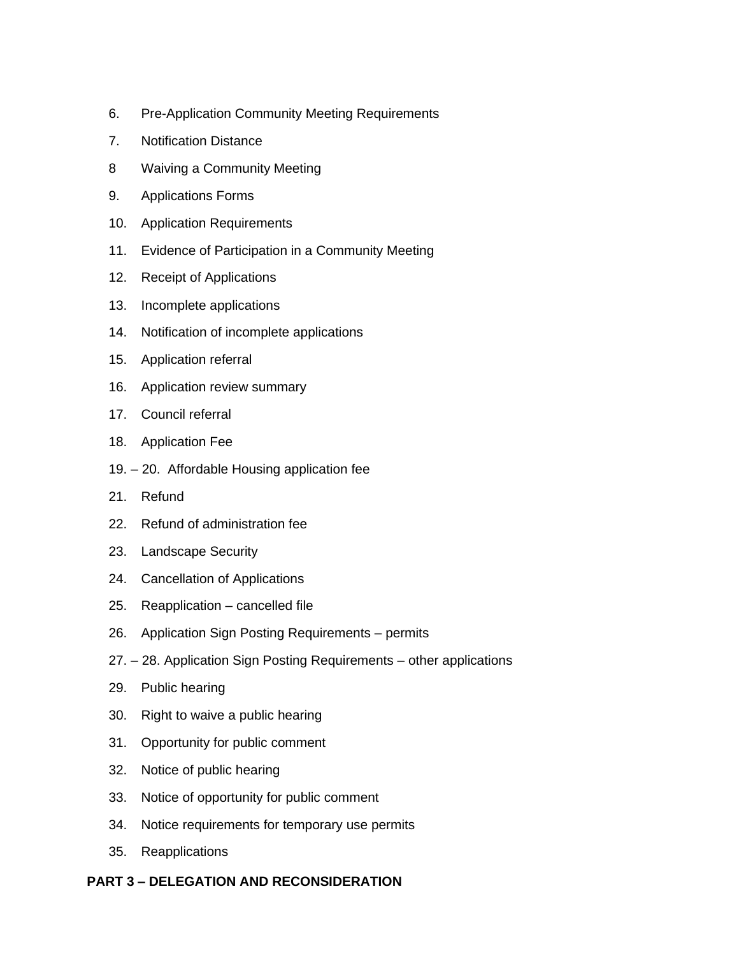- 6. Pre-Application Community Meeting Requirements
- 7. Notification Distance
- 8 Waiving a Community Meeting
- 9. Applications Forms
- 10. Application Requirements
- 11. Evidence of Participation in a Community Meeting
- 12. Receipt of Applications
- 13. Incomplete applications
- 14. Notification of incomplete applications
- 15. Application referral
- 16. Application review summary
- 17. Council referral
- 18. Application Fee
- 19. 20. Affordable Housing application fee
- 21. Refund
- 22. Refund of administration fee
- 23. Landscape Security
- 24. Cancellation of Applications
- 25. Reapplication cancelled file
- 26. Application Sign Posting Requirements permits
- 27. 28. Application Sign Posting Requirements other applications
- 29. Public hearing
- 30. Right to waive a public hearing
- 31. Opportunity for public comment
- 32. Notice of public hearing
- 33. Notice of opportunity for public comment
- 34. Notice requirements for temporary use permits
- 35. Reapplications

# **PART 3 – DELEGATION AND RECONSIDERATION**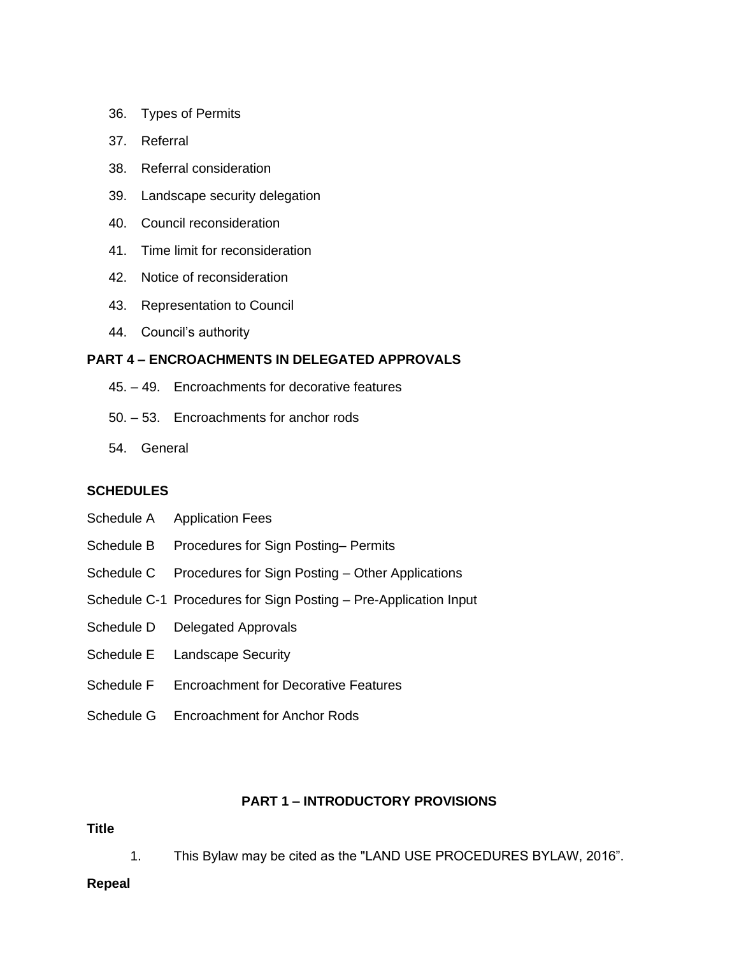- 36. Types of Permits
- 37. Referral
- 38. Referral consideration
- 39. Landscape security delegation
- 40. Council reconsideration
- 41. Time limit for reconsideration
- 42. Notice of reconsideration
- 43. Representation to Council
- 44. Council's authority

# **PART 4 – ENCROACHMENTS IN DELEGATED APPROVALS**

- 45. 49. Encroachments for decorative features
- 50. 53. Encroachments for anchor rods
- 54. General

# **SCHEDULES**

- Schedule A Application Fees
- Schedule B Procedures for Sign Posting– Permits
- Schedule C Procedures for Sign Posting Other Applications
- Schedule C-1 Procedures for Sign Posting Pre-Application Input
- Schedule D Delegated Approvals
- Schedule E Landscape Security
- Schedule F Encroachment for Decorative Features
- Schedule G Encroachment for Anchor Rods

# **PART 1 – INTRODUCTORY PROVISIONS**

#### **Title**

1. This Bylaw may be cited as the "LAND USE PROCEDURES BYLAW, 2016".

#### **Repeal**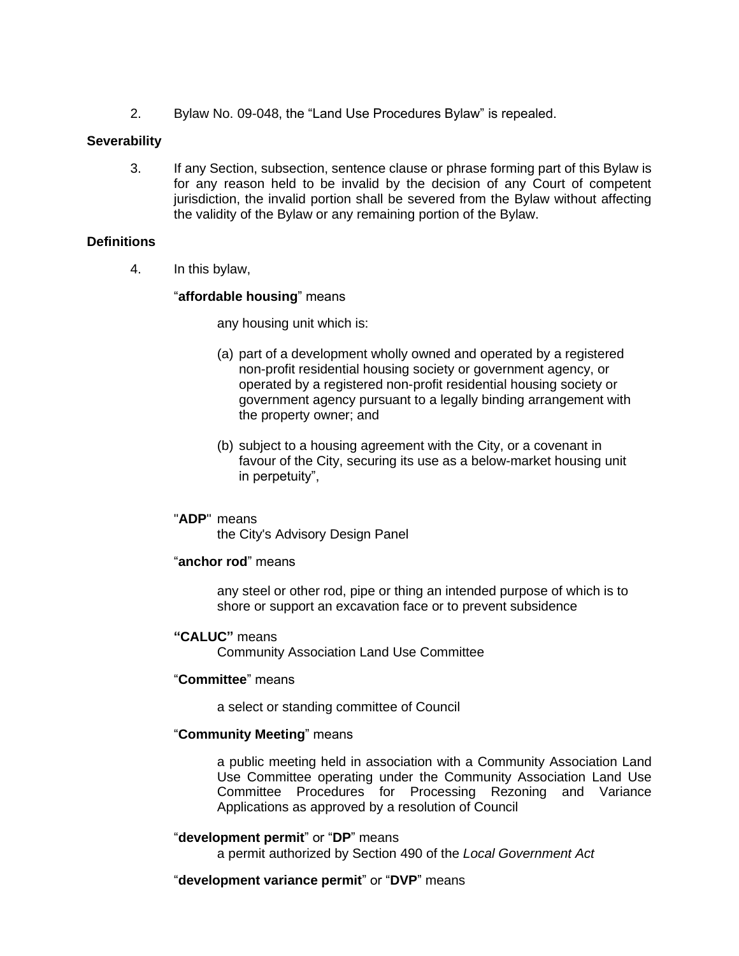2. Bylaw No. 09-048, the "Land Use Procedures Bylaw" is repealed.

### **Severability**

3. If any Section, subsection, sentence clause or phrase forming part of this Bylaw is for any reason held to be invalid by the decision of any Court of competent jurisdiction, the invalid portion shall be severed from the Bylaw without affecting the validity of the Bylaw or any remaining portion of the Bylaw.

### **Definitions**

4. In this bylaw,

### "**affordable housing**" means

any housing unit which is:

- (a) part of a development wholly owned and operated by a registered non-profit residential housing society or government agency, or operated by a registered non-profit residential housing society or government agency pursuant to a legally binding arrangement with the property owner; and
- (b) subject to a housing agreement with the City, or a covenant in favour of the City, securing its use as a below-market housing unit in perpetuity",

### "**ADP**" means

the City's Advisory Design Panel

#### "**anchor rod**" means

any steel or other rod, pipe or thing an intended purpose of which is to shore or support an excavation face or to prevent subsidence

### **"CALUC"** means

Community Association Land Use Committee

#### "**Committee**" means

a select or standing committee of Council

#### "**Community Meeting**" means

a public meeting held in association with a Community Association Land Use Committee operating under the Community Association Land Use Committee Procedures for Processing Rezoning and Variance Applications as approved by a resolution of Council

#### "**development permit**" or "**DP**" means

a permit authorized by Section 490 of the *Local Government Act*

### "**development variance permit**" or "**DVP**" means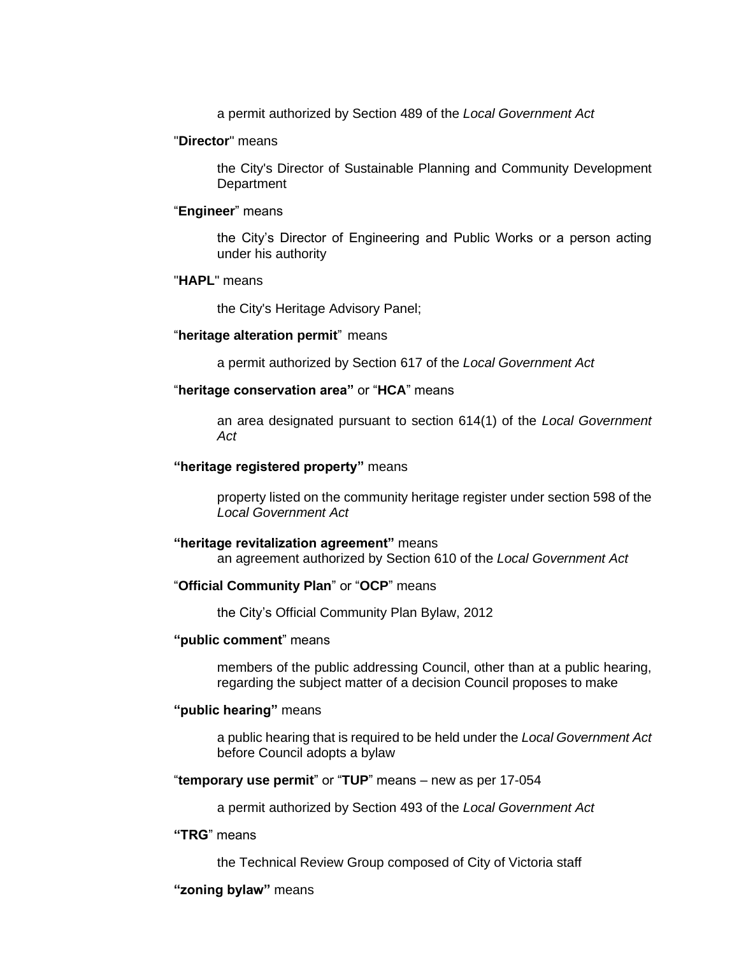a permit authorized by Section 489 of the *Local Government Act*

#### "**Director**" means

the City's Director of Sustainable Planning and Community Development **Department** 

#### "**Engineer**" means

the City's Director of Engineering and Public Works or a person acting under his authority

#### "**HAPL**" means

the City's Heritage Advisory Panel;

#### "**heritage alteration permit**" means

a permit authorized by Section 617 of the *Local Government Act*

### "**heritage conservation area"** or "**HCA**" means

an area designated pursuant to section 614(1) of the *Local Government Act*

#### **"heritage registered property"** means

property listed on the community heritage register under section 598 of the *Local Government Act*

#### **"heritage revitalization agreement"** means

an agreement authorized by Section 610 of the *Local Government Act*

#### "**Official Community Plan**" or "**OCP**" means

the City's Official Community Plan Bylaw, 2012

#### **"public comment**" means

members of the public addressing Council, other than at a public hearing, regarding the subject matter of a decision Council proposes to make

#### **"public hearing"** means

a public hearing that is required to be held under the *Local Government Act* before Council adopts a bylaw

#### "**temporary use permit**" or "**TUP**" means – new as per 17-054

a permit authorized by Section 493 of the *Local Government Act*

#### **"TRG**" means

the Technical Review Group composed of City of Victoria staff

#### **"zoning bylaw"** means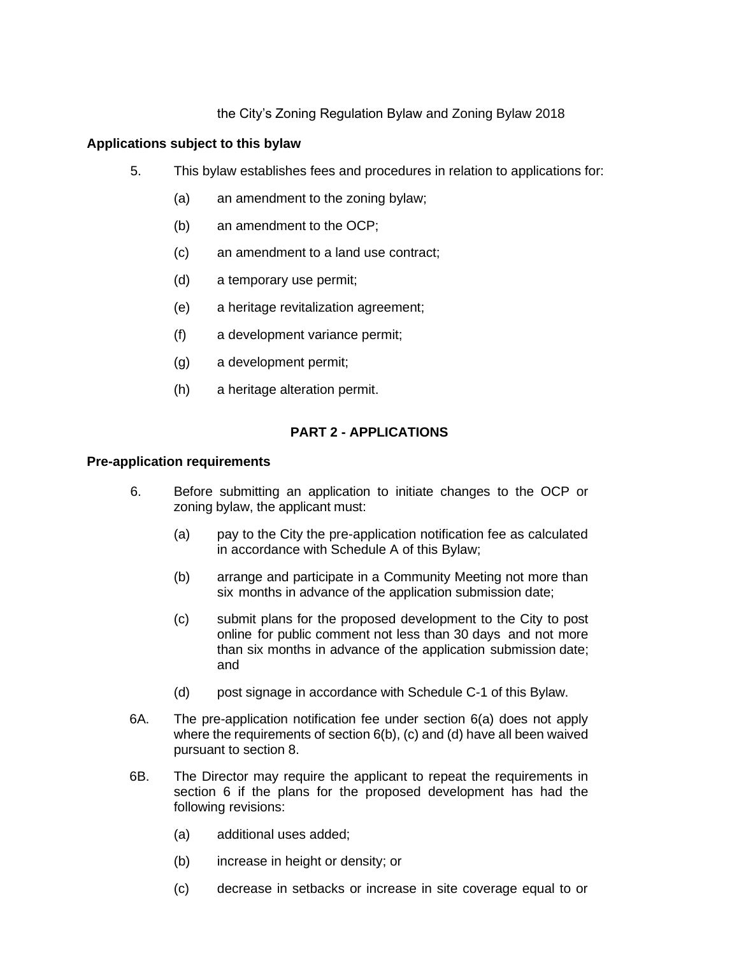# the City's Zoning Regulation Bylaw and Zoning Bylaw 2018

# **Applications subject to this bylaw**

- 5. This bylaw establishes fees and procedures in relation to applications for:
	- (a) an amendment to the zoning bylaw;
	- (b) an amendment to the OCP;
	- (c) an amendment to a land use contract;
	- (d) a temporary use permit;
	- (e) a heritage revitalization agreement;
	- (f) a development variance permit;
	- (g) a development permit;
	- (h) a heritage alteration permit.

# **PART 2 - APPLICATIONS**

### **Pre-application requirements**

- 6. Before submitting an application to initiate changes to the OCP or zoning bylaw, the applicant must:
	- (a) pay to the City the pre-application notification fee as calculated in accordance with Schedule A of this Bylaw;
	- (b) arrange and participate in a Community Meeting not more than six months in advance of the application submission date;
	- (c) submit plans for the proposed development to the City to post online for public comment not less than 30 days and not more than six months in advance of the application submission date; and
	- (d) post signage in accordance with Schedule C-1 of this Bylaw.
- 6A. The pre-application notification fee under section 6(a) does not apply where the requirements of section 6(b), (c) and (d) have all been waived pursuant to section 8.
- 6B. The Director may require the applicant to repeat the requirements in section 6 if the plans for the proposed development has had the following revisions:
	- (a) additional uses added;
	- (b) increase in height or density; or
	- (c) decrease in setbacks or increase in site coverage equal to or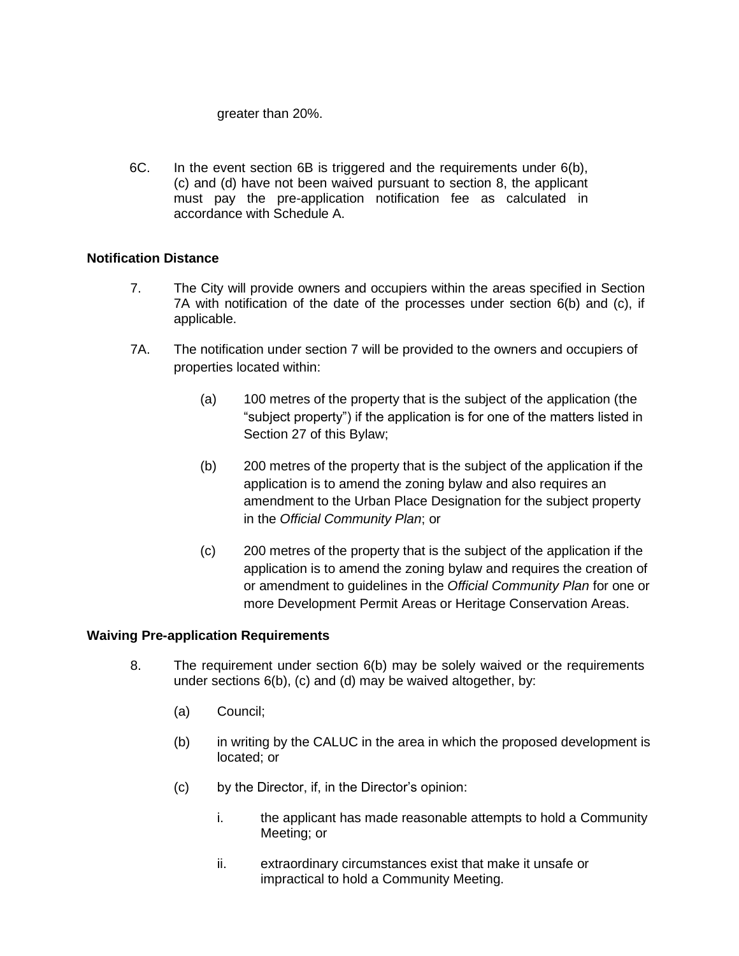### greater than 20%.

6C. In the event section 6B is triggered and the requirements under 6(b), (c) and (d) have not been waived pursuant to section 8, the applicant must pay the pre-application notification fee as calculated in accordance with Schedule A.

# **Notification Distance**

- 7. The City will provide owners and occupiers within the areas specified in Section 7A with notification of the date of the processes under section 6(b) and (c), if applicable.
- 7A. The notification under section 7 will be provided to the owners and occupiers of properties located within:
	- (a) 100 metres of the property that is the subject of the application (the "subject property") if the application is for one of the matters listed in Section 27 of this Bylaw;
	- (b) 200 metres of the property that is the subject of the application if the application is to amend the zoning bylaw and also requires an amendment to the Urban Place Designation for the subject property in the *Official Community Plan*; or
	- (c) 200 metres of the property that is the subject of the application if the application is to amend the zoning bylaw and requires the creation of or amendment to guidelines in the *Official Community Plan* for one or more Development Permit Areas or Heritage Conservation Areas.

# **Waiving Pre-application Requirements**

- 8. The requirement under section 6(b) may be solely waived or the requirements under sections 6(b), (c) and (d) may be waived altogether, by:
	- (a) Council;
	- (b) in writing by the CALUC in the area in which the proposed development is located; or
	- (c) by the Director, if, in the Director's opinion:
		- i. the applicant has made reasonable attempts to hold a Community Meeting; or
		- ii. extraordinary circumstances exist that make it unsafe or impractical to hold a Community Meeting.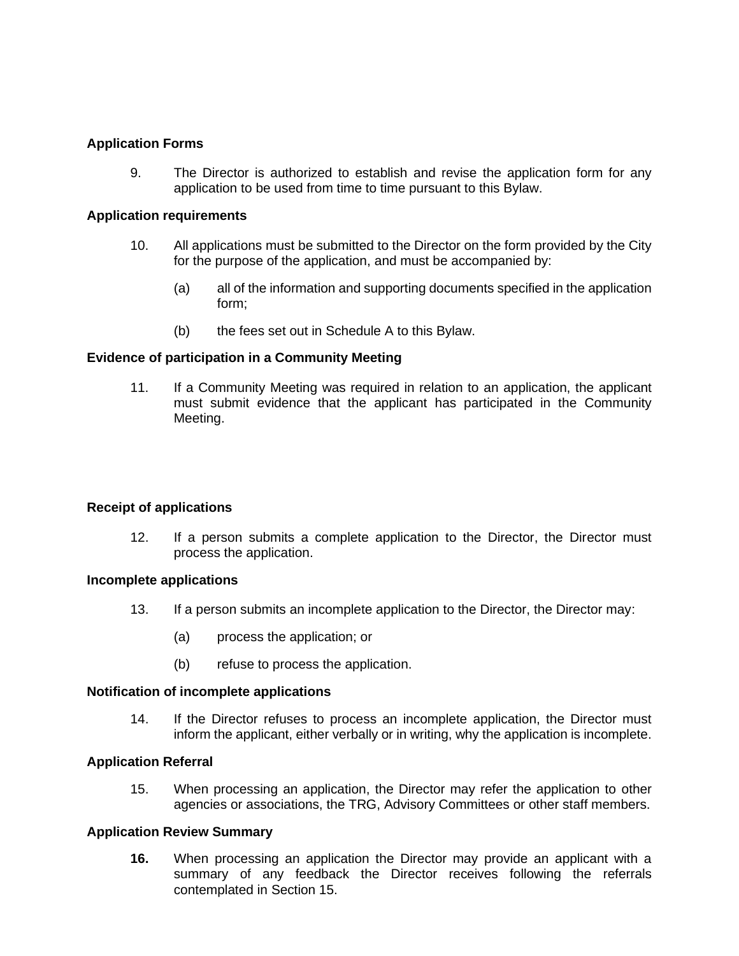# **Application Forms**

9. The Director is authorized to establish and revise the application form for any application to be used from time to time pursuant to this Bylaw.

#### **Application requirements**

- 10. All applications must be submitted to the Director on the form provided by the City for the purpose of the application, and must be accompanied by:
	- (a) all of the information and supporting documents specified in the application form;
	- (b) the fees set out in Schedule A to this Bylaw.

### **Evidence of participation in a Community Meeting**

11. If a Community Meeting was required in relation to an application, the applicant must submit evidence that the applicant has participated in the Community Meeting.

#### **Receipt of applications**

12. If a person submits a complete application to the Director, the Director must process the application.

#### **Incomplete applications**

- 13. If a person submits an incomplete application to the Director, the Director may:
	- (a) process the application; or
	- (b) refuse to process the application.

#### **Notification of incomplete applications**

14. If the Director refuses to process an incomplete application, the Director must inform the applicant, either verbally or in writing, why the application is incomplete.

#### **Application Referral**

15. When processing an application, the Director may refer the application to other agencies or associations, the TRG, Advisory Committees or other staff members.

### **Application Review Summary**

**16.** When processing an application the Director may provide an applicant with a summary of any feedback the Director receives following the referrals contemplated in Section 15.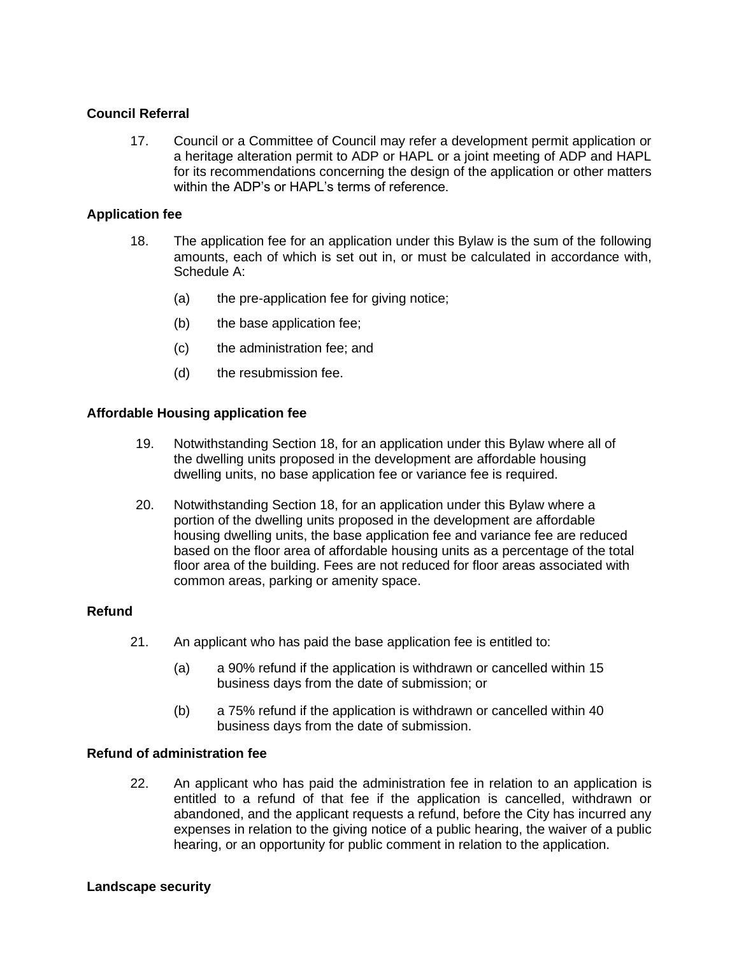### **Council Referral**

17. Council or a Committee of Council may refer a development permit application or a heritage alteration permit to ADP or HAPL or a joint meeting of ADP and HAPL for its recommendations concerning the design of the application or other matters within the ADP's or HAPL's terms of reference.

### **Application fee**

- 18. The application fee for an application under this Bylaw is the sum of the following amounts, each of which is set out in, or must be calculated in accordance with, Schedule A:
	- (a) the pre-application fee for giving notice;
	- (b) the base application fee;
	- (c) the administration fee; and
	- (d) the resubmission fee.

### **Affordable Housing application fee**

- 19. Notwithstanding Section 18, for an application under this Bylaw where all of the dwelling units proposed in the development are affordable housing dwelling units, no base application fee or variance fee is required.
- 20. Notwithstanding Section 18, for an application under this Bylaw where a portion of the dwelling units proposed in the development are affordable housing dwelling units, the base application fee and variance fee are reduced based on the floor area of affordable housing units as a percentage of the total floor area of the building. Fees are not reduced for floor areas associated with common areas, parking or amenity space.

### **Refund**

- 21. An applicant who has paid the base application fee is entitled to:
	- (a) a 90% refund if the application is withdrawn or cancelled within 15 business days from the date of submission; or
	- (b) a 75% refund if the application is withdrawn or cancelled within 40 business days from the date of submission.

#### **Refund of administration fee**

22. An applicant who has paid the administration fee in relation to an application is entitled to a refund of that fee if the application is cancelled, withdrawn or abandoned, and the applicant requests a refund, before the City has incurred any expenses in relation to the giving notice of a public hearing, the waiver of a public hearing, or an opportunity for public comment in relation to the application.

#### **Landscape security**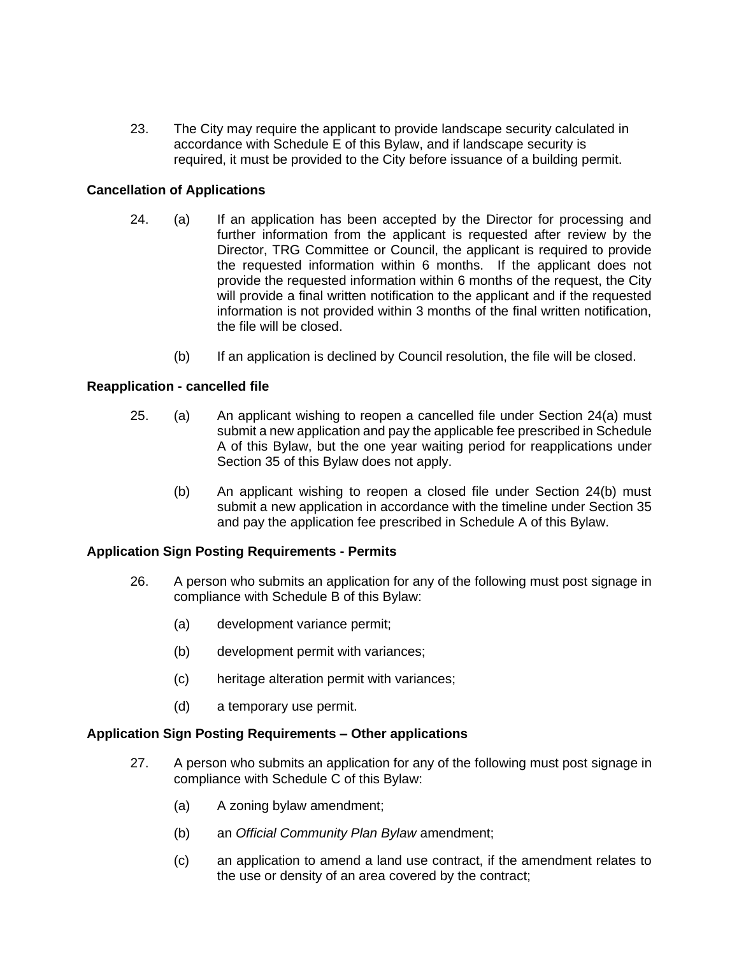23. The City may require the applicant to provide landscape security calculated in accordance with Schedule E of this Bylaw, and if landscape security is required, it must be provided to the City before issuance of a building permit.

# **Cancellation of Applications**

- 24. (a) If an application has been accepted by the Director for processing and further information from the applicant is requested after review by the Director, TRG Committee or Council, the applicant is required to provide the requested information within 6 months. If the applicant does not provide the requested information within 6 months of the request, the City will provide a final written notification to the applicant and if the requested information is not provided within 3 months of the final written notification, the file will be closed.
	- (b) If an application is declined by Council resolution, the file will be closed.

### **Reapplication - cancelled file**

- 25. (a) An applicant wishing to reopen a cancelled file under Section 24(a) must submit a new application and pay the applicable fee prescribed in Schedule A of this Bylaw, but the one year waiting period for reapplications under Section 35 of this Bylaw does not apply.
	- (b) An applicant wishing to reopen a closed file under Section 24(b) must submit a new application in accordance with the timeline under Section 35 and pay the application fee prescribed in Schedule A of this Bylaw.

#### **Application Sign Posting Requirements - Permits**

- 26. A person who submits an application for any of the following must post signage in compliance with Schedule B of this Bylaw:
	- (a) development variance permit;
	- (b) development permit with variances;
	- (c) heritage alteration permit with variances;
	- (d) a temporary use permit.

#### **Application Sign Posting Requirements – Other applications**

- 27. A person who submits an application for any of the following must post signage in compliance with Schedule C of this Bylaw:
	- (a) A zoning bylaw amendment;
	- (b) an *Official Community Plan Bylaw* amendment;
	- (c) an application to amend a land use contract, if the amendment relates to the use or density of an area covered by the contract;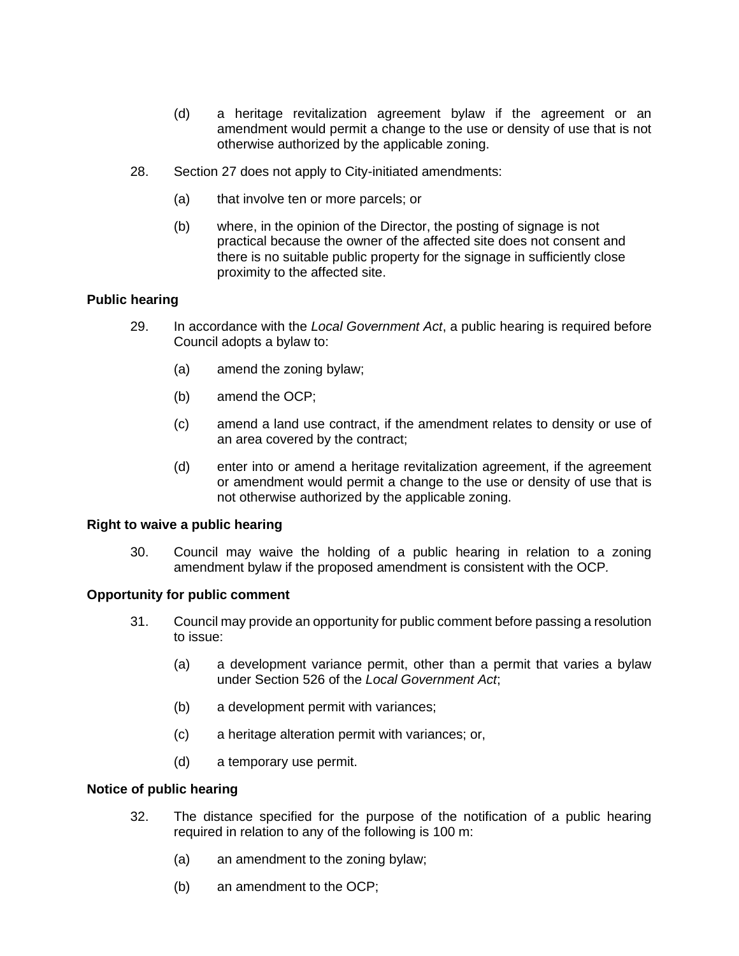- (d) a heritage revitalization agreement bylaw if the agreement or an amendment would permit a change to the use or density of use that is not otherwise authorized by the applicable zoning.
- 28. Section 27 does not apply to City-initiated amendments:
	- (a) that involve ten or more parcels; or
	- (b) where, in the opinion of the Director, the posting of signage is not practical because the owner of the affected site does not consent and there is no suitable public property for the signage in sufficiently close proximity to the affected site.

### **Public hearing**

- 29. In accordance with the *Local Government Act*, a public hearing is required before Council adopts a bylaw to:
	- (a) amend the zoning bylaw;
	- (b) amend the OCP;
	- (c) amend a land use contract, if the amendment relates to density or use of an area covered by the contract;
	- (d) enter into or amend a heritage revitalization agreement, if the agreement or amendment would permit a change to the use or density of use that is not otherwise authorized by the applicable zoning.

#### **Right to waive a public hearing**

30. Council may waive the holding of a public hearing in relation to a zoning amendment bylaw if the proposed amendment is consistent with the OCP*.*

#### **Opportunity for public comment**

- 31. Council may provide an opportunity for public comment before passing a resolution to issue:
	- (a) a development variance permit, other than a permit that varies a bylaw under Section 526 of the *Local Government Act*;
	- (b) a development permit with variances;
	- (c) a heritage alteration permit with variances; or,
	- (d) a temporary use permit.

#### **Notice of public hearing**

- 32. The distance specified for the purpose of the notification of a public hearing required in relation to any of the following is 100 m:
	- (a) an amendment to the zoning bylaw;
	- (b) an amendment to the OCP;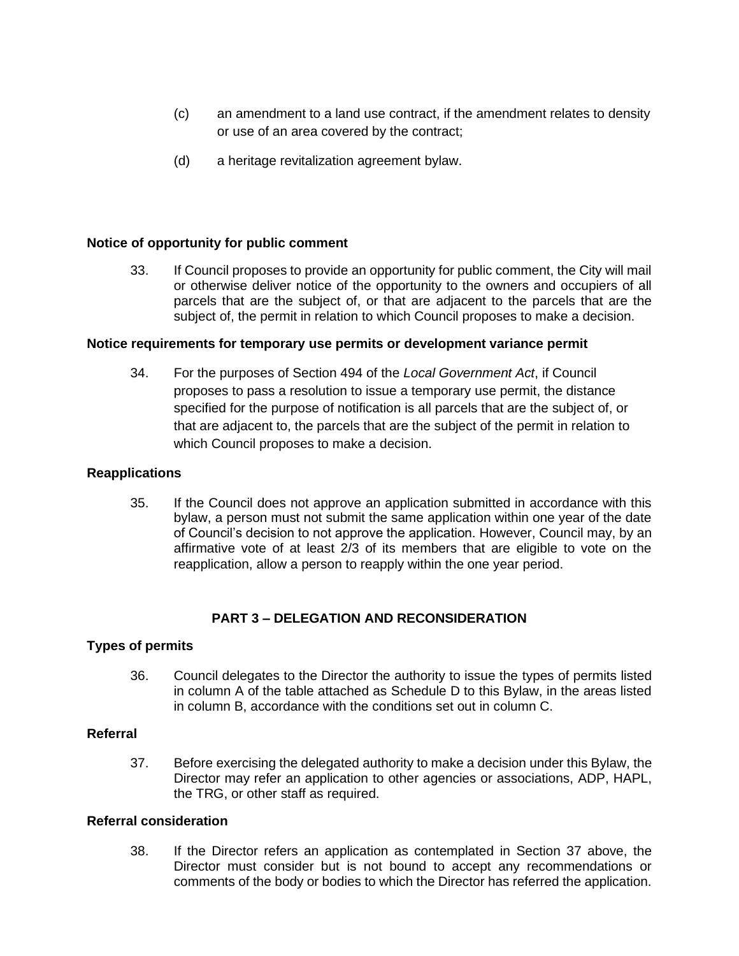- (c) an amendment to a land use contract, if the amendment relates to density or use of an area covered by the contract;
- (d) a heritage revitalization agreement bylaw.

### **Notice of opportunity for public comment**

33. If Council proposes to provide an opportunity for public comment, the City will mail or otherwise deliver notice of the opportunity to the owners and occupiers of all parcels that are the subject of, or that are adjacent to the parcels that are the subject of, the permit in relation to which Council proposes to make a decision.

#### **Notice requirements for temporary use permits or development variance permit**

34. For the purposes of Section 494 of the *Local Government Act*, if Council proposes to pass a resolution to issue a temporary use permit, the distance specified for the purpose of notification is all parcels that are the subject of, or that are adjacent to, the parcels that are the subject of the permit in relation to which Council proposes to make a decision.

### **Reapplications**

35. If the Council does not approve an application submitted in accordance with this bylaw, a person must not submit the same application within one year of the date of Council's decision to not approve the application. However, Council may, by an affirmative vote of at least 2/3 of its members that are eligible to vote on the reapplication, allow a person to reapply within the one year period.

# **PART 3 – DELEGATION AND RECONSIDERATION**

#### **Types of permits**

36. Council delegates to the Director the authority to issue the types of permits listed in column A of the table attached as Schedule D to this Bylaw, in the areas listed in column B, accordance with the conditions set out in column C.

### **Referral**

37. Before exercising the delegated authority to make a decision under this Bylaw, the Director may refer an application to other agencies or associations, ADP, HAPL, the TRG, or other staff as required.

### **Referral consideration**

38. If the Director refers an application as contemplated in Section 37 above, the Director must consider but is not bound to accept any recommendations or comments of the body or bodies to which the Director has referred the application.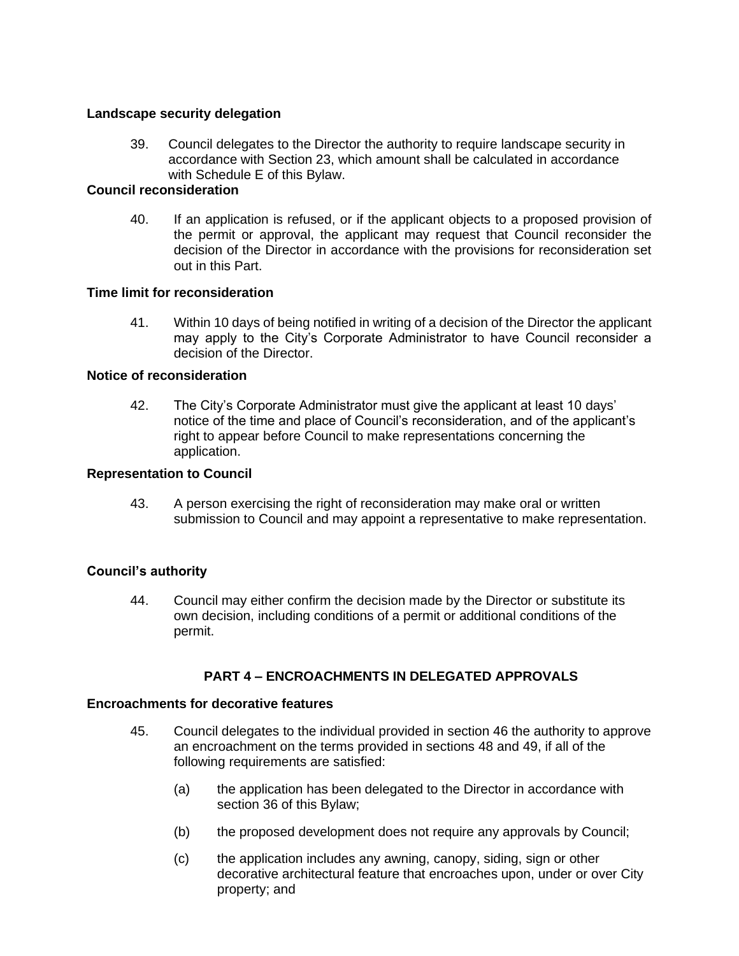### **Landscape security delegation**

39. Council delegates to the Director the authority to require landscape security in accordance with Section 23, which amount shall be calculated in accordance with Schedule E of this Bylaw.

### **Council reconsideration**

40. If an application is refused, or if the applicant objects to a proposed provision of the permit or approval, the applicant may request that Council reconsider the decision of the Director in accordance with the provisions for reconsideration set out in this Part.

### **Time limit for reconsideration**

41. Within 10 days of being notified in writing of a decision of the Director the applicant may apply to the City's Corporate Administrator to have Council reconsider a decision of the Director.

### **Notice of reconsideration**

42. The City's Corporate Administrator must give the applicant at least 10 days' notice of the time and place of Council's reconsideration, and of the applicant's right to appear before Council to make representations concerning the application.

### **Representation to Council**

43. A person exercising the right of reconsideration may make oral or written submission to Council and may appoint a representative to make representation.

# **Council's authority**

44. Council may either confirm the decision made by the Director or substitute its own decision, including conditions of a permit or additional conditions of the permit.

# **PART 4 – ENCROACHMENTS IN DELEGATED APPROVALS**

#### **Encroachments for decorative features**

- 45. Council delegates to the individual provided in section 46 the authority to approve an encroachment on the terms provided in sections 48 and 49, if all of the following requirements are satisfied:
	- (a) the application has been delegated to the Director in accordance with section 36 of this Bylaw;
	- (b) the proposed development does not require any approvals by Council;
	- (c) the application includes any awning, canopy, siding, sign or other decorative architectural feature that encroaches upon, under or over City property; and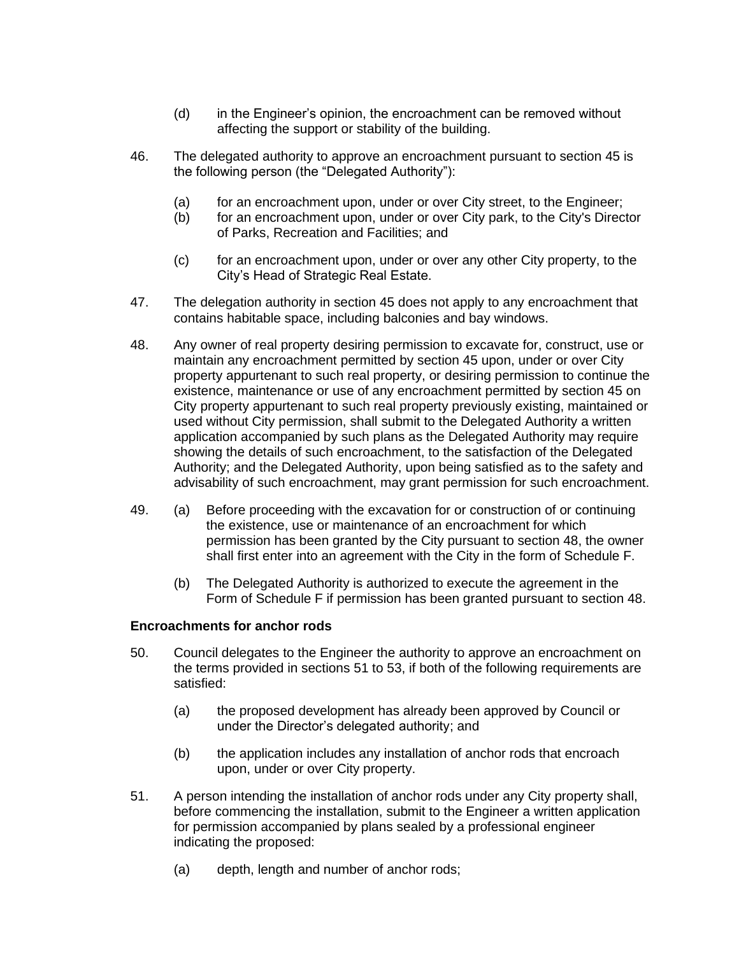- (d) in the Engineer's opinion, the encroachment can be removed without affecting the support or stability of the building.
- 46. The delegated authority to approve an encroachment pursuant to section 45 is the following person (the "Delegated Authority"):
	- (a) for an encroachment upon, under or over City street, to the Engineer;
	- (b) for an encroachment upon, under or over City park, to the City's Director of Parks, Recreation and Facilities; and
	- (c) for an encroachment upon, under or over any other City property, to the City's Head of Strategic Real Estate.
- 47. The delegation authority in section 45 does not apply to any encroachment that contains habitable space, including balconies and bay windows.
- 48. Any owner of real property desiring permission to excavate for, construct, use or maintain any encroachment permitted by section 45 upon, under or over City property appurtenant to such real property, or desiring permission to continue the existence, maintenance or use of any encroachment permitted by section 45 on City property appurtenant to such real property previously existing, maintained or used without City permission, shall submit to the Delegated Authority a written application accompanied by such plans as the Delegated Authority may require showing the details of such encroachment, to the satisfaction of the Delegated Authority; and the Delegated Authority, upon being satisfied as to the safety and advisability of such encroachment, may grant permission for such encroachment.
- 49. (a) Before proceeding with the excavation for or construction of or continuing the existence, use or maintenance of an encroachment for which permission has been granted by the City pursuant to section 48, the owner shall first enter into an agreement with the City in the form of Schedule F.
	- (b) The Delegated Authority is authorized to execute the agreement in the Form of Schedule F if permission has been granted pursuant to section 48.

# **Encroachments for anchor rods**

- 50. Council delegates to the Engineer the authority to approve an encroachment on the terms provided in sections 51 to 53, if both of the following requirements are satisfied:
	- (a) the proposed development has already been approved by Council or under the Director's delegated authority; and
	- (b) the application includes any installation of anchor rods that encroach upon, under or over City property.
- 51. A person intending the installation of anchor rods under any City property shall, before commencing the installation, submit to the Engineer a written application for permission accompanied by plans sealed by a professional engineer indicating the proposed:
	- (a) depth, length and number of anchor rods;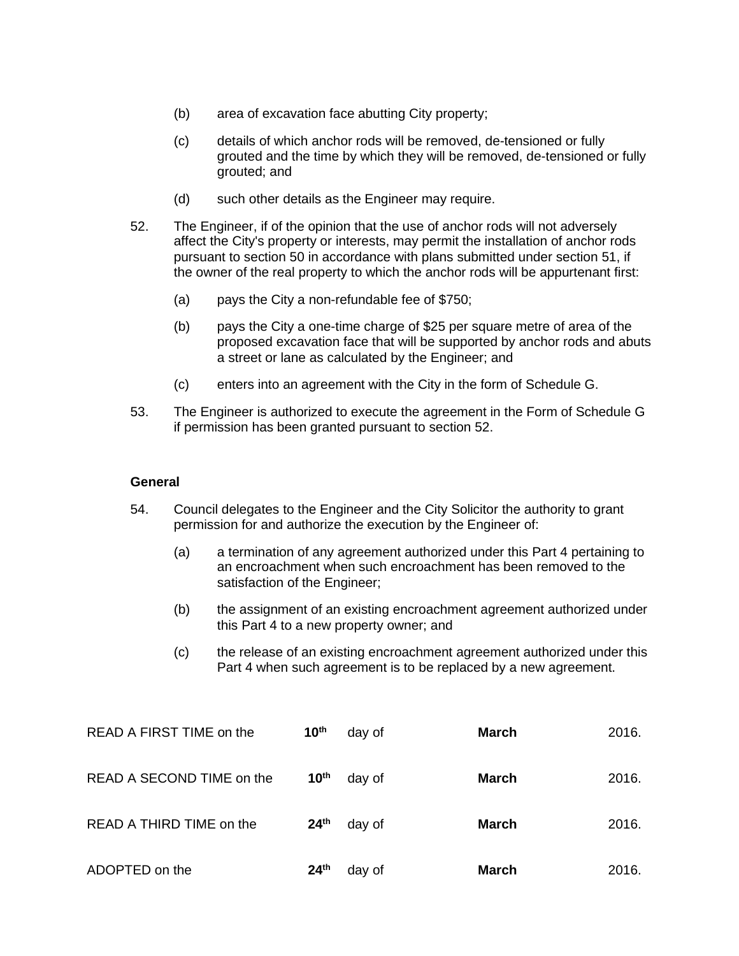- (b) area of excavation face abutting City property;
- (c) details of which anchor rods will be removed, de-tensioned or fully grouted and the time by which they will be removed, de-tensioned or fully grouted; and
- (d) such other details as the Engineer may require.
- 52. The Engineer, if of the opinion that the use of anchor rods will not adversely affect the City's property or interests, may permit the installation of anchor rods pursuant to section 50 in accordance with plans submitted under section 51, if the owner of the real property to which the anchor rods will be appurtenant first:
	- (a) pays the City a non-refundable fee of \$750;
	- (b) pays the City a one-time charge of \$25 per square metre of area of the proposed excavation face that will be supported by anchor rods and abuts a street or lane as calculated by the Engineer; and
	- (c) enters into an agreement with the City in the form of Schedule G.
- 53. The Engineer is authorized to execute the agreement in the Form of Schedule G if permission has been granted pursuant to section 52.

### **General**

- 54. Council delegates to the Engineer and the City Solicitor the authority to grant permission for and authorize the execution by the Engineer of:
	- (a) a termination of any agreement authorized under this Part 4 pertaining to an encroachment when such encroachment has been removed to the satisfaction of the Engineer;
	- (b) the assignment of an existing encroachment agreement authorized under this Part 4 to a new property owner; and
	- (c) the release of an existing encroachment agreement authorized under this Part 4 when such agreement is to be replaced by a new agreement.

| READ A FIRST TIME on the  | 10 <sup>th</sup> | day of | <b>March</b> | 2016. |
|---------------------------|------------------|--------|--------------|-------|
| READ A SECOND TIME on the | 10 <sup>th</sup> | day of | March        | 2016. |
| READ A THIRD TIME on the  | 24 <sup>th</sup> | day of | March        | 2016. |
| ADOPTED on the            | 24 <sup>th</sup> | day of | <b>March</b> | 2016. |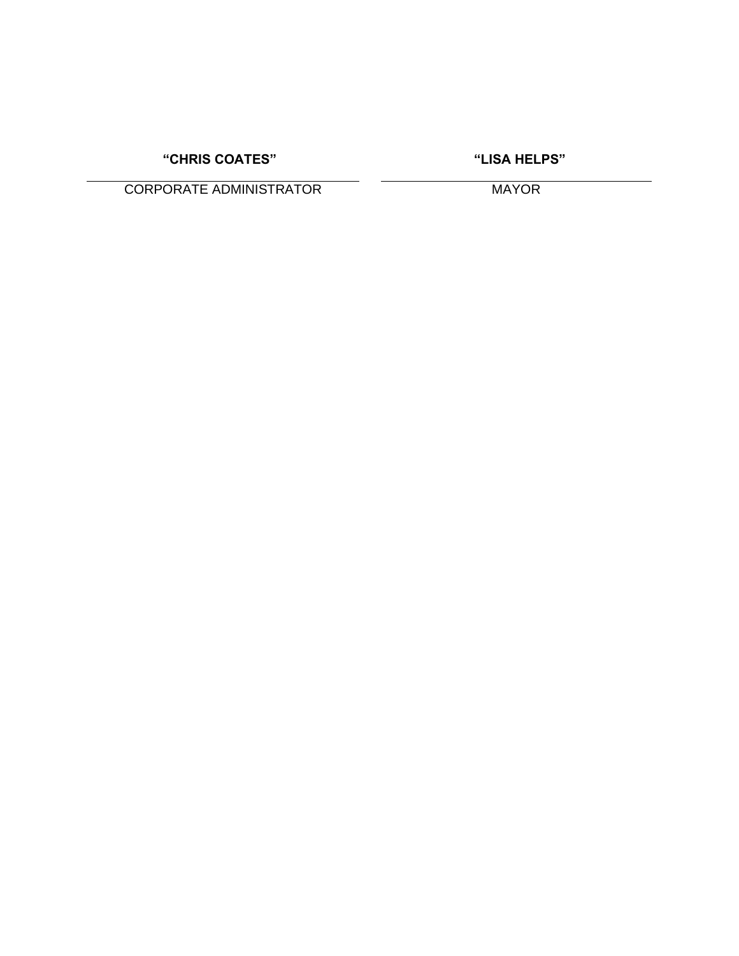**"CHRIS COATES" "LISA HELPS"**

CORPORATE ADMINISTRATOR MAYOR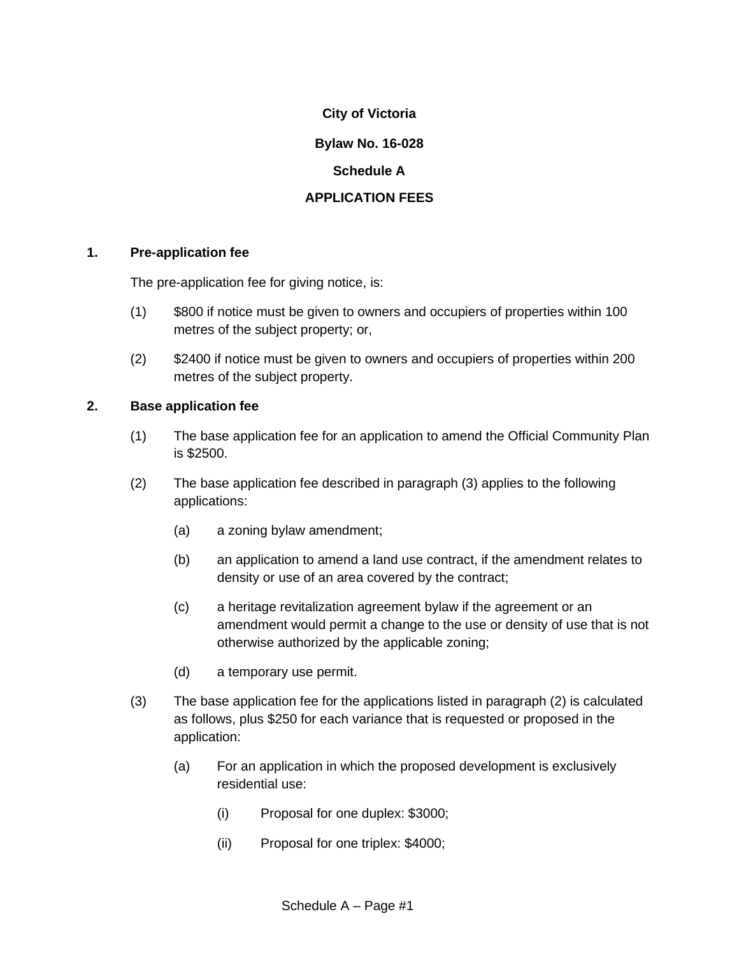# **Bylaw No. 16-028**

# **Schedule A**

# **APPLICATION FEES**

### **1. Pre-application fee**

The pre-application fee for giving notice, is:

- (1) \$800 if notice must be given to owners and occupiers of properties within 100 metres of the subject property; or,
- (2) \$2400 if notice must be given to owners and occupiers of properties within 200 metres of the subject property.

# **2. Base application fee**

- (1) The base application fee for an application to amend the Official Community Plan is \$2500.
- (2) The base application fee described in paragraph (3) applies to the following applications:
	- (a) a zoning bylaw amendment;
	- (b) an application to amend a land use contract, if the amendment relates to density or use of an area covered by the contract;
	- (c) a heritage revitalization agreement bylaw if the agreement or an amendment would permit a change to the use or density of use that is not otherwise authorized by the applicable zoning;
	- (d) a temporary use permit.
- (3) The base application fee for the applications listed in paragraph (2) is calculated as follows, plus \$250 for each variance that is requested or proposed in the application:
	- (a) For an application in which the proposed development is exclusively residential use:
		- (i) Proposal for one duplex: \$3000;
		- (ii) Proposal for one triplex: \$4000;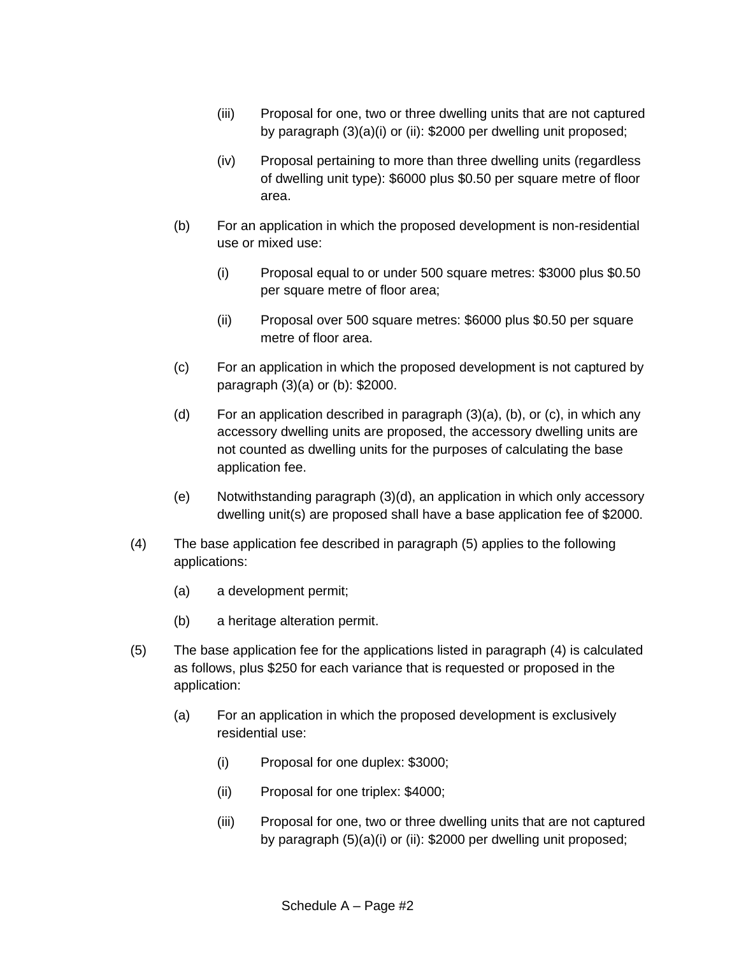- (iii) Proposal for one, two or three dwelling units that are not captured by paragraph (3)(a)(i) or (ii): \$2000 per dwelling unit proposed;
- (iv) Proposal pertaining to more than three dwelling units (regardless of dwelling unit type): \$6000 plus \$0.50 per square metre of floor area.
- (b) For an application in which the proposed development is non-residential use or mixed use:
	- (i) Proposal equal to or under 500 square metres: \$3000 plus \$0.50 per square metre of floor area;
	- (ii) Proposal over 500 square metres: \$6000 plus \$0.50 per square metre of floor area.
- (c) For an application in which the proposed development is not captured by paragraph (3)(a) or (b): \$2000.
- (d) For an application described in paragraph  $(3)(a)$ ,  $(b)$ , or  $(c)$ , in which any accessory dwelling units are proposed, the accessory dwelling units are not counted as dwelling units for the purposes of calculating the base application fee.
- (e) Notwithstanding paragraph (3)(d), an application in which only accessory dwelling unit(s) are proposed shall have a base application fee of \$2000.
- (4) The base application fee described in paragraph (5) applies to the following applications:
	- (a) a development permit;
	- (b) a heritage alteration permit.
- (5) The base application fee for the applications listed in paragraph (4) is calculated as follows, plus \$250 for each variance that is requested or proposed in the application:
	- (a) For an application in which the proposed development is exclusively residential use:
		- (i) Proposal for one duplex: \$3000;
		- (ii) Proposal for one triplex: \$4000;
		- (iii) Proposal for one, two or three dwelling units that are not captured by paragraph (5)(a)(i) or (ii): \$2000 per dwelling unit proposed;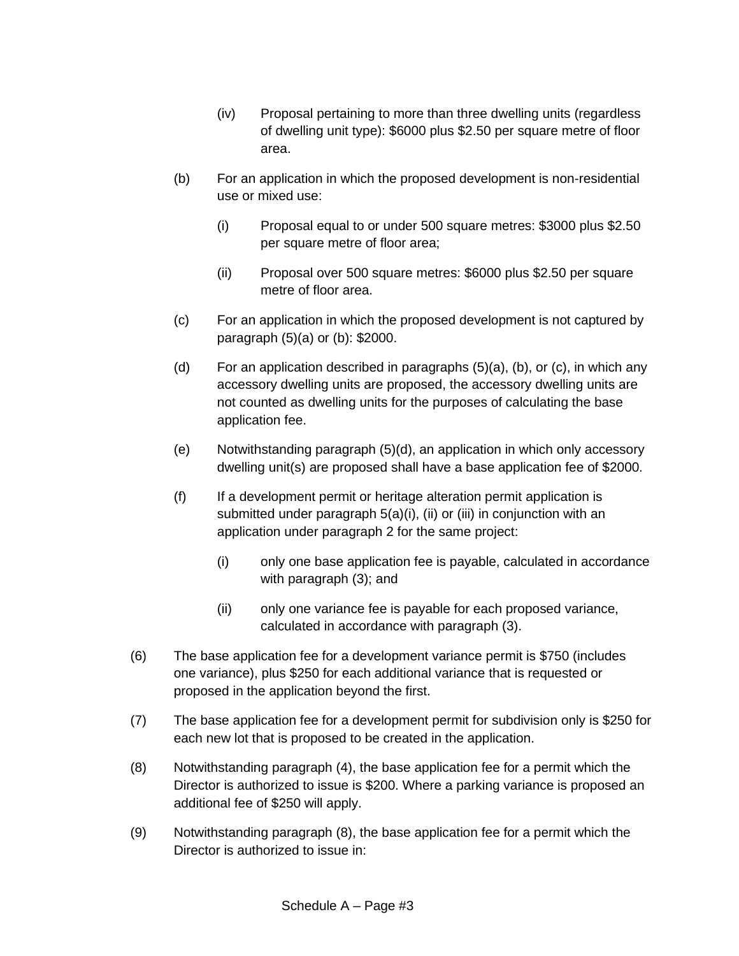- (iv) Proposal pertaining to more than three dwelling units (regardless of dwelling unit type): \$6000 plus \$2.50 per square metre of floor area.
- (b) For an application in which the proposed development is non-residential use or mixed use:
	- (i) Proposal equal to or under 500 square metres: \$3000 plus \$2.50 per square metre of floor area;
	- (ii) Proposal over 500 square metres: \$6000 plus \$2.50 per square metre of floor area.
- (c) For an application in which the proposed development is not captured by paragraph (5)(a) or (b): \$2000.
- (d) For an application described in paragraphs  $(5)(a)$ ,  $(b)$ , or  $(c)$ , in which any accessory dwelling units are proposed, the accessory dwelling units are not counted as dwelling units for the purposes of calculating the base application fee.
- (e) Notwithstanding paragraph (5)(d), an application in which only accessory dwelling unit(s) are proposed shall have a base application fee of \$2000.
- (f) If a development permit or heritage alteration permit application is submitted under paragraph 5(a)(i), (ii) or (iii) in conjunction with an application under paragraph 2 for the same project:
	- (i) only one base application fee is payable, calculated in accordance with paragraph (3); and
	- (ii) only one variance fee is payable for each proposed variance, calculated in accordance with paragraph (3).
- (6) The base application fee for a development variance permit is \$750 (includes one variance), plus \$250 for each additional variance that is requested or proposed in the application beyond the first.
- (7) The base application fee for a development permit for subdivision only is \$250 for each new lot that is proposed to be created in the application.
- (8) Notwithstanding paragraph (4), the base application fee for a permit which the Director is authorized to issue is \$200. Where a parking variance is proposed an additional fee of \$250 will apply.
- (9) Notwithstanding paragraph (8), the base application fee for a permit which the Director is authorized to issue in: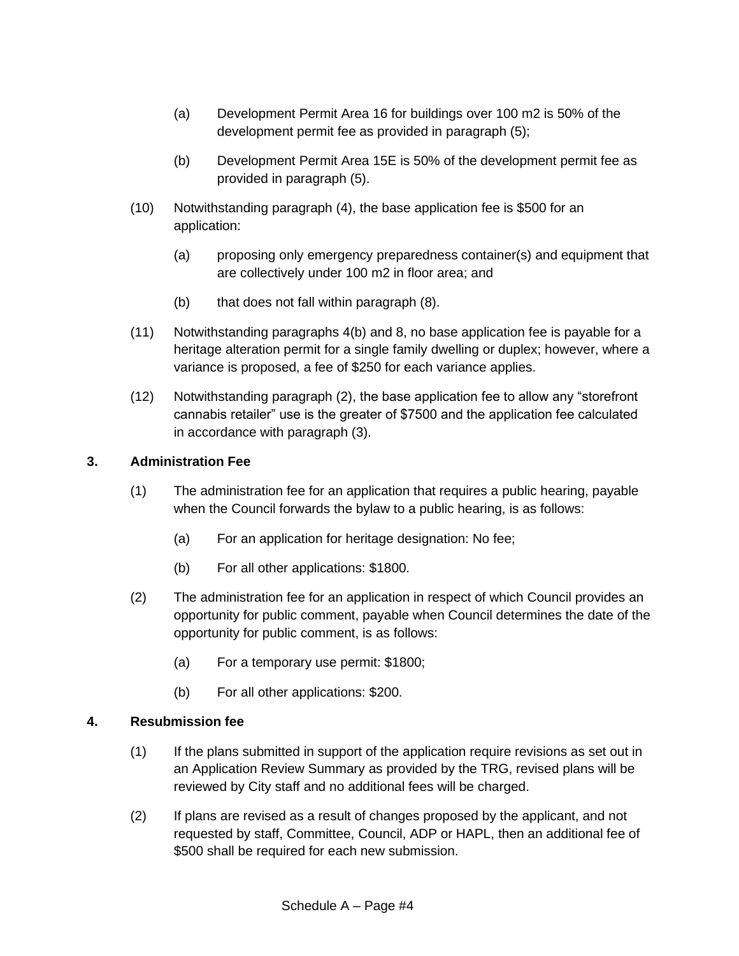- (a) Development Permit Area 16 for buildings over 100 m2 is 50% of the development permit fee as provided in paragraph (5);
- (b) Development Permit Area 15E is 50% of the development permit fee as provided in paragraph (5).
- (10) Notwithstanding paragraph (4), the base application fee is \$500 for an application:
	- (a) proposing only emergency preparedness container(s) and equipment that are collectively under 100 m2 in floor area; and
	- (b) that does not fall within paragraph (8).
- (11) Notwithstanding paragraphs 4(b) and 8, no base application fee is payable for a heritage alteration permit for a single family dwelling or duplex; however, where a variance is proposed, a fee of \$250 for each variance applies.
- (12) Notwithstanding paragraph (2), the base application fee to allow any "storefront cannabis retailer" use is the greater of \$7500 and the application fee calculated in accordance with paragraph (3).

# **3. Administration Fee**

- (1) The administration fee for an application that requires a public hearing, payable when the Council forwards the bylaw to a public hearing, is as follows:
	- (a) For an application for heritage designation: No fee;
	- (b) For all other applications: \$1800.
- (2) The administration fee for an application in respect of which Council provides an opportunity for public comment, payable when Council determines the date of the opportunity for public comment, is as follows:
	- (a) For a temporary use permit: \$1800;
	- (b) For all other applications: \$200.

# **4. Resubmission fee**

- (1) If the plans submitted in support of the application require revisions as set out in an Application Review Summary as provided by the TRG, revised plans will be reviewed by City staff and no additional fees will be charged.
- (2) If plans are revised as a result of changes proposed by the applicant, and not requested by staff, Committee, Council, ADP or HAPL, then an additional fee of \$500 shall be required for each new submission.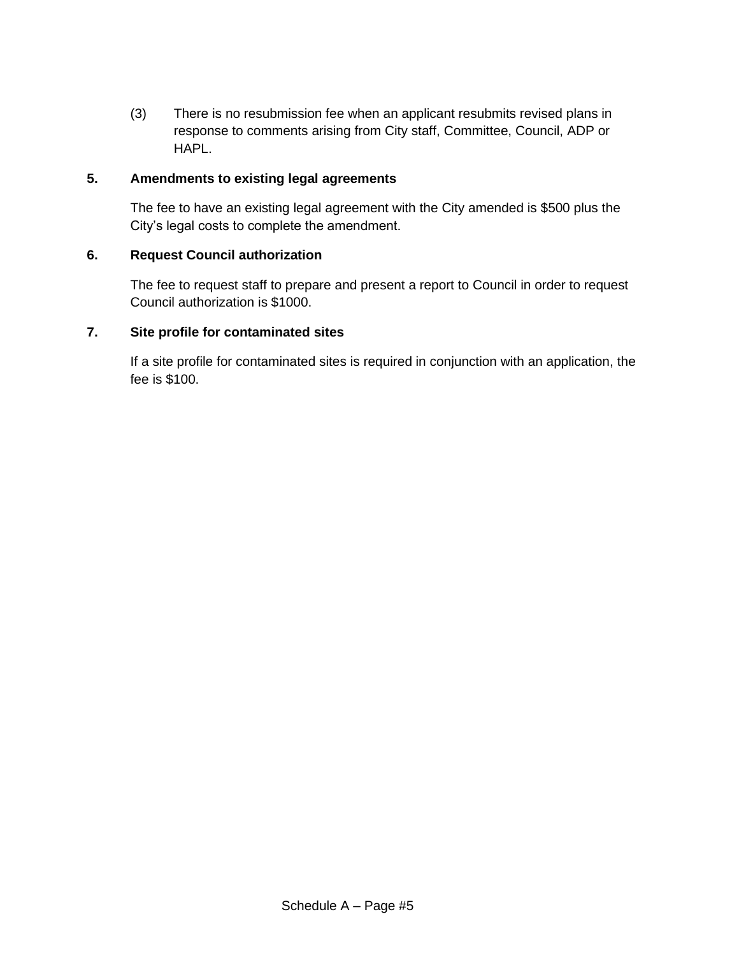(3) There is no resubmission fee when an applicant resubmits revised plans in response to comments arising from City staff, Committee, Council, ADP or HAPL.

# **5. Amendments to existing legal agreements**

The fee to have an existing legal agreement with the City amended is \$500 plus the City's legal costs to complete the amendment.

# **6. Request Council authorization**

The fee to request staff to prepare and present a report to Council in order to request Council authorization is \$1000.

# **7. Site profile for contaminated sites**

If a site profile for contaminated sites is required in conjunction with an application, the fee is \$100.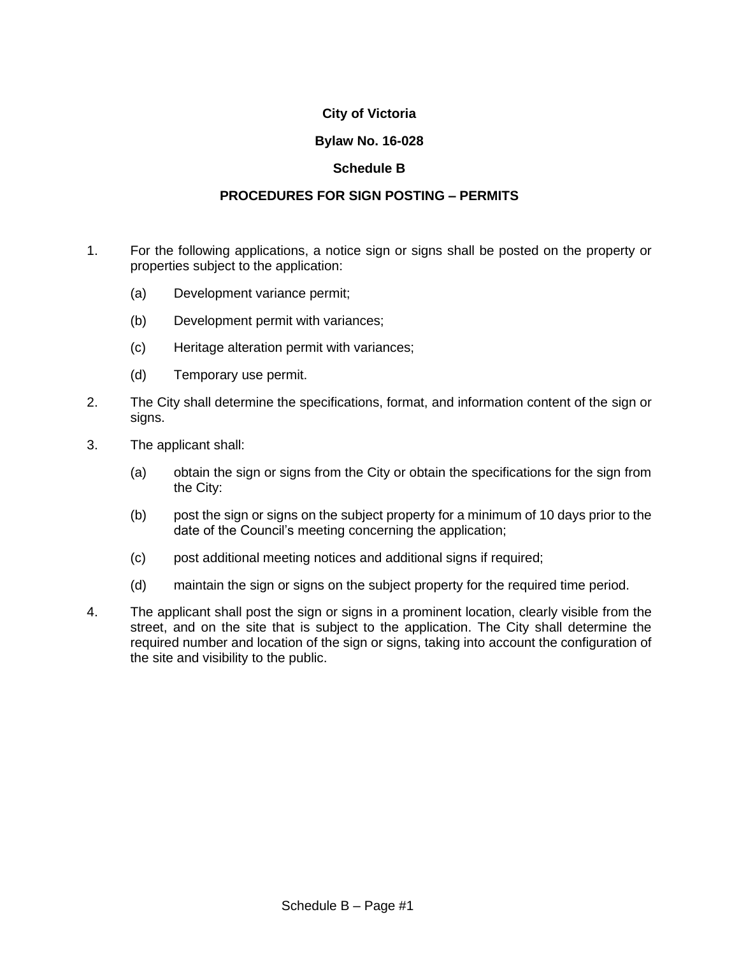# **Bylaw No. 16-028**

# **Schedule B**

# **PROCEDURES FOR SIGN POSTING – PERMITS**

- 1. For the following applications, a notice sign or signs shall be posted on the property or properties subject to the application:
	- (a) Development variance permit;
	- (b) Development permit with variances;
	- (c) Heritage alteration permit with variances;
	- (d) Temporary use permit.
- 2. The City shall determine the specifications, format, and information content of the sign or signs.
- 3. The applicant shall:
	- (a) obtain the sign or signs from the City or obtain the specifications for the sign from the City:
	- (b) post the sign or signs on the subject property for a minimum of 10 days prior to the date of the Council's meeting concerning the application;
	- (c) post additional meeting notices and additional signs if required;
	- (d) maintain the sign or signs on the subject property for the required time period.
- 4. The applicant shall post the sign or signs in a prominent location, clearly visible from the street, and on the site that is subject to the application. The City shall determine the required number and location of the sign or signs, taking into account the configuration of the site and visibility to the public.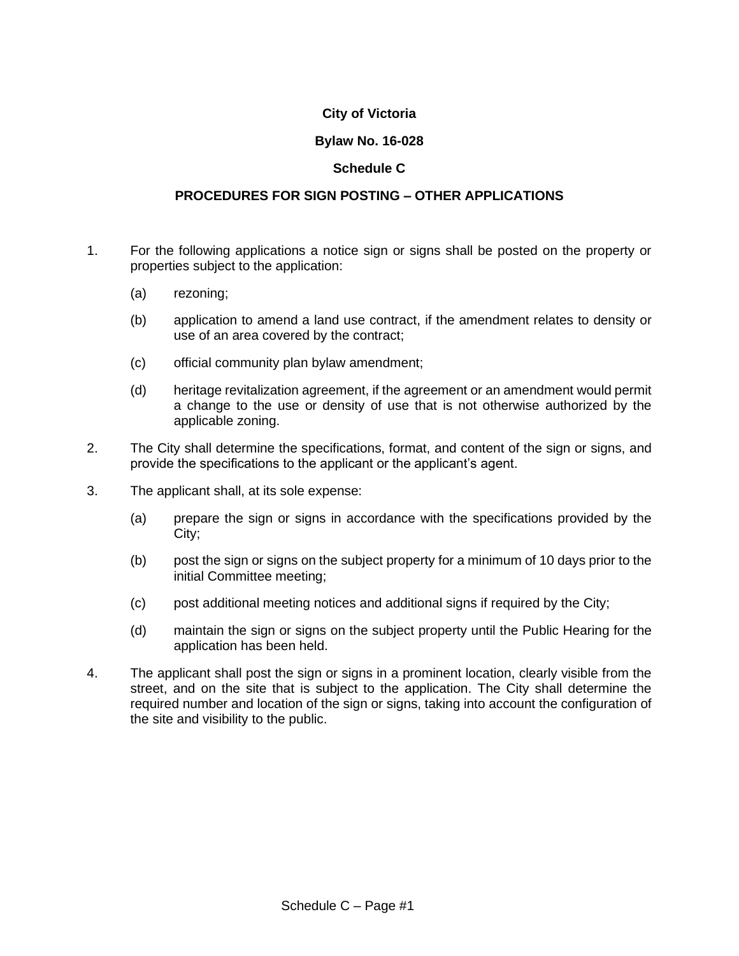# **Bylaw No. 16-028**

# **Schedule C**

### **PROCEDURES FOR SIGN POSTING – OTHER APPLICATIONS**

- 1. For the following applications a notice sign or signs shall be posted on the property or properties subject to the application:
	- (a) rezoning;
	- (b) application to amend a land use contract, if the amendment relates to density or use of an area covered by the contract;
	- (c) official community plan bylaw amendment;
	- (d) heritage revitalization agreement, if the agreement or an amendment would permit a change to the use or density of use that is not otherwise authorized by the applicable zoning.
- 2. The City shall determine the specifications, format, and content of the sign or signs, and provide the specifications to the applicant or the applicant's agent.
- 3. The applicant shall, at its sole expense:
	- (a) prepare the sign or signs in accordance with the specifications provided by the City;
	- (b) post the sign or signs on the subject property for a minimum of 10 days prior to the initial Committee meeting;
	- (c) post additional meeting notices and additional signs if required by the City;
	- (d) maintain the sign or signs on the subject property until the Public Hearing for the application has been held.
- 4. The applicant shall post the sign or signs in a prominent location, clearly visible from the street, and on the site that is subject to the application. The City shall determine the required number and location of the sign or signs, taking into account the configuration of the site and visibility to the public.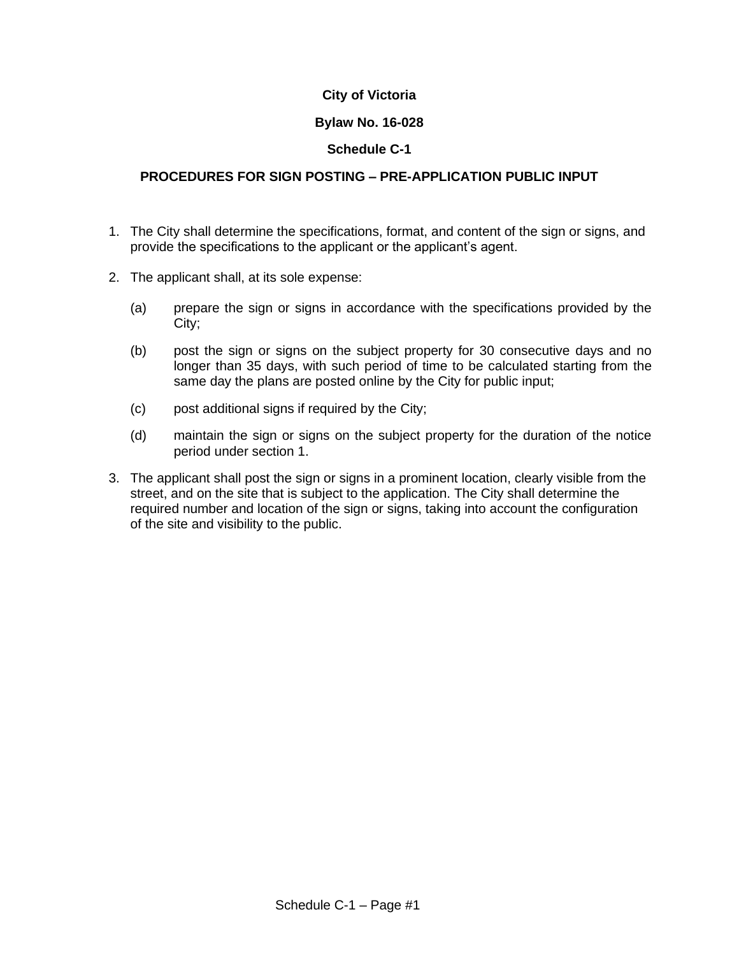# **Bylaw No. 16-028**

# **Schedule C-1**

# **PROCEDURES FOR SIGN POSTING – PRE-APPLICATION PUBLIC INPUT**

- 1. The City shall determine the specifications, format, and content of the sign or signs, and provide the specifications to the applicant or the applicant's agent.
- 2. The applicant shall, at its sole expense:
	- (a) prepare the sign or signs in accordance with the specifications provided by the City;
	- (b) post the sign or signs on the subject property for 30 consecutive days and no longer than 35 days, with such period of time to be calculated starting from the same day the plans are posted online by the City for public input;
	- (c) post additional signs if required by the City;
	- (d) maintain the sign or signs on the subject property for the duration of the notice period under section 1.
- 3. The applicant shall post the sign or signs in a prominent location, clearly visible from the street, and on the site that is subject to the application. The City shall determine the required number and location of the sign or signs, taking into account the configuration of the site and visibility to the public.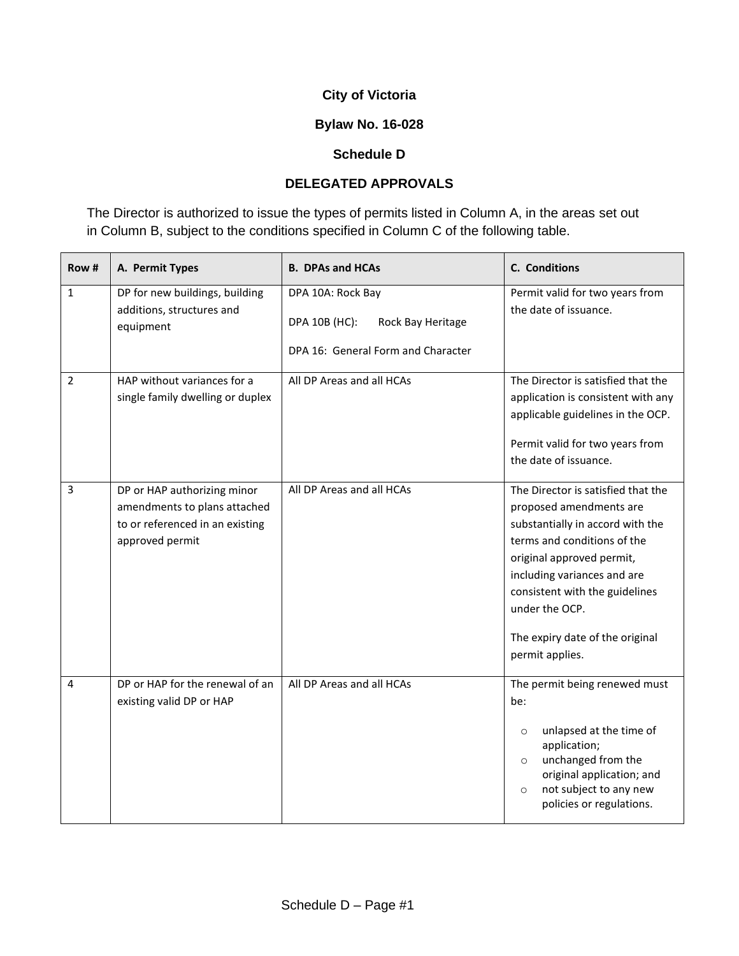# **Bylaw No. 16-028**

# **Schedule D**

# **DELEGATED APPROVALS**

The Director is authorized to issue the types of permits listed in Column A, in the areas set out in Column B, subject to the conditions specified in Column C of the following table.

| Row#           | A. Permit Types                                                                                                   | <b>B. DPAs and HCAs</b>                                                                       | <b>C.</b> Conditions                                                                                                                                                                                                                                                                                   |
|----------------|-------------------------------------------------------------------------------------------------------------------|-----------------------------------------------------------------------------------------------|--------------------------------------------------------------------------------------------------------------------------------------------------------------------------------------------------------------------------------------------------------------------------------------------------------|
| $\mathbf{1}$   | DP for new buildings, building<br>additions, structures and<br>equipment                                          | DPA 10A: Rock Bay<br>DPA 10B (HC):<br>Rock Bay Heritage<br>DPA 16: General Form and Character | Permit valid for two years from<br>the date of issuance.                                                                                                                                                                                                                                               |
| $\overline{2}$ | HAP without variances for a<br>single family dwelling or duplex                                                   | All DP Areas and all HCAs                                                                     | The Director is satisfied that the<br>application is consistent with any<br>applicable guidelines in the OCP.<br>Permit valid for two years from<br>the date of issuance.                                                                                                                              |
| 3              | DP or HAP authorizing minor<br>amendments to plans attached<br>to or referenced in an existing<br>approved permit | All DP Areas and all HCAs                                                                     | The Director is satisfied that the<br>proposed amendments are<br>substantially in accord with the<br>terms and conditions of the<br>original approved permit,<br>including variances and are<br>consistent with the guidelines<br>under the OCP.<br>The expiry date of the original<br>permit applies. |
| 4              | DP or HAP for the renewal of an<br>existing valid DP or HAP                                                       | All DP Areas and all HCAs                                                                     | The permit being renewed must<br>be:<br>unlapsed at the time of<br>$\circ$<br>application;<br>unchanged from the<br>$\circ$<br>original application; and<br>not subject to any new<br>$\circ$<br>policies or regulations.                                                                              |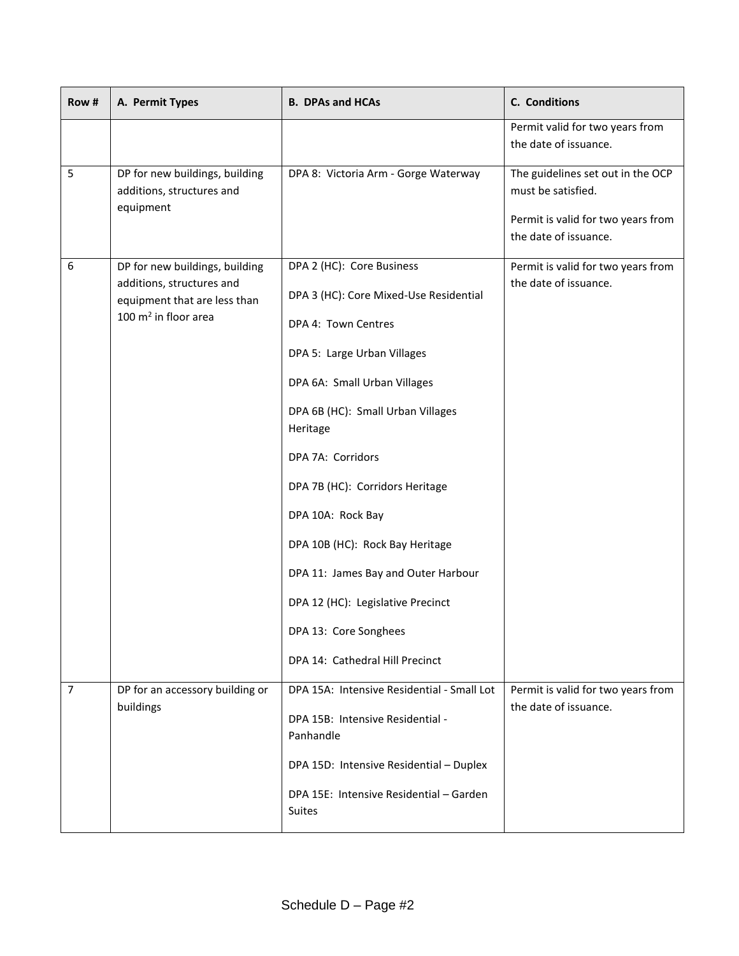| Row #          | A. Permit Types                                                                                                       | <b>B. DPAs and HCAs</b>                                                                                                                                                                                                                                                                                                                                                                                                         | C. Conditions                                                                                                          |
|----------------|-----------------------------------------------------------------------------------------------------------------------|---------------------------------------------------------------------------------------------------------------------------------------------------------------------------------------------------------------------------------------------------------------------------------------------------------------------------------------------------------------------------------------------------------------------------------|------------------------------------------------------------------------------------------------------------------------|
|                |                                                                                                                       |                                                                                                                                                                                                                                                                                                                                                                                                                                 | Permit valid for two years from<br>the date of issuance.                                                               |
| 5              | DP for new buildings, building<br>additions, structures and<br>equipment                                              | DPA 8: Victoria Arm - Gorge Waterway                                                                                                                                                                                                                                                                                                                                                                                            | The guidelines set out in the OCP<br>must be satisfied.<br>Permit is valid for two years from<br>the date of issuance. |
| 6              | DP for new buildings, building<br>additions, structures and<br>equipment that are less than<br>100 $m2$ in floor area | DPA 2 (HC): Core Business<br>DPA 3 (HC): Core Mixed-Use Residential<br>DPA 4: Town Centres<br>DPA 5: Large Urban Villages<br>DPA 6A: Small Urban Villages<br>DPA 6B (HC): Small Urban Villages<br>Heritage<br>DPA 7A: Corridors<br>DPA 7B (HC): Corridors Heritage<br>DPA 10A: Rock Bay<br>DPA 10B (HC): Rock Bay Heritage<br>DPA 11: James Bay and Outer Harbour<br>DPA 12 (HC): Legislative Precinct<br>DPA 13: Core Songhees | Permit is valid for two years from<br>the date of issuance.                                                            |
| $\overline{7}$ | DP for an accessory building or<br>buildings                                                                          | DPA 14: Cathedral Hill Precinct<br>DPA 15A: Intensive Residential - Small Lot<br>DPA 15B: Intensive Residential -<br>Panhandle<br>DPA 15D: Intensive Residential - Duplex<br>DPA 15E: Intensive Residential - Garden<br><b>Suites</b>                                                                                                                                                                                           | Permit is valid for two years from<br>the date of issuance.                                                            |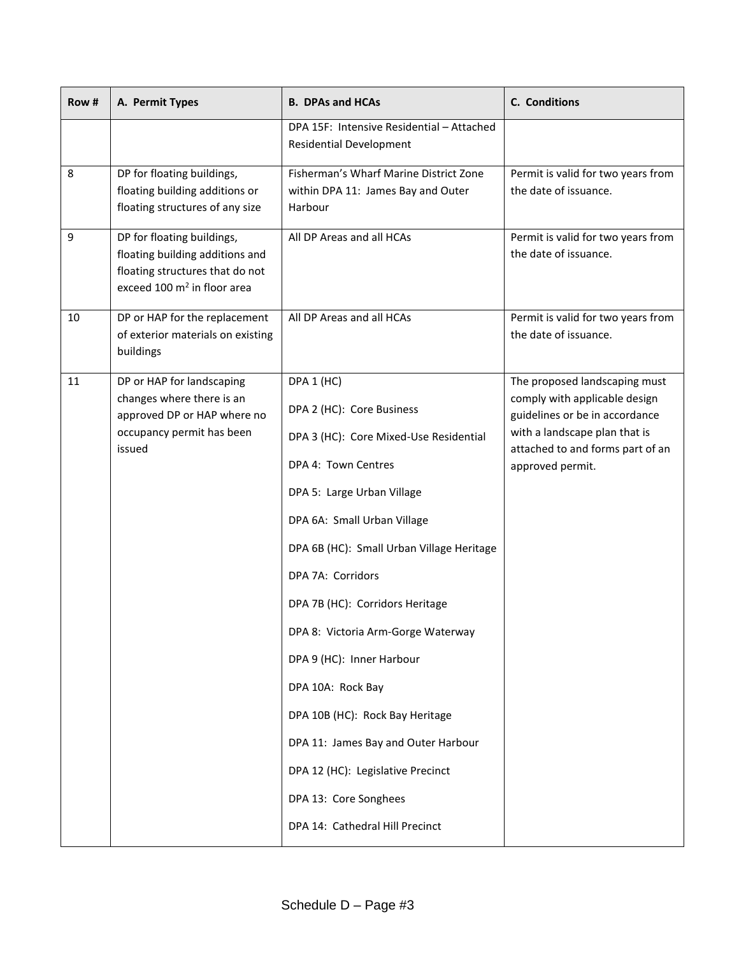| Row # | A. Permit Types                                                                                                                             | <b>B. DPAs and HCAs</b>                                                                 | C. Conditions                                                                                                                     |
|-------|---------------------------------------------------------------------------------------------------------------------------------------------|-----------------------------------------------------------------------------------------|-----------------------------------------------------------------------------------------------------------------------------------|
|       |                                                                                                                                             | DPA 15F: Intensive Residential - Attached<br><b>Residential Development</b>             |                                                                                                                                   |
| 8     | DP for floating buildings,<br>floating building additions or<br>floating structures of any size                                             | Fisherman's Wharf Marine District Zone<br>within DPA 11: James Bay and Outer<br>Harbour | Permit is valid for two years from<br>the date of issuance.                                                                       |
| 9     | DP for floating buildings,<br>floating building additions and<br>floating structures that do not<br>exceed 100 m <sup>2</sup> in floor area | All DP Areas and all HCAs                                                               | Permit is valid for two years from<br>the date of issuance.                                                                       |
| 10    | DP or HAP for the replacement<br>of exterior materials on existing<br>buildings                                                             | All DP Areas and all HCAs                                                               | Permit is valid for two years from<br>the date of issuance.                                                                       |
| 11    | DP or HAP for landscaping<br>changes where there is an<br>approved DP or HAP where no<br>occupancy permit has been                          | DPA 1 (HC)<br>DPA 2 (HC): Core Business                                                 | The proposed landscaping must<br>comply with applicable design<br>guidelines or be in accordance<br>with a landscape plan that is |
|       | issued                                                                                                                                      | DPA 3 (HC): Core Mixed-Use Residential<br>DPA 4: Town Centres                           | attached to and forms part of an<br>approved permit.                                                                              |
|       |                                                                                                                                             | DPA 5: Large Urban Village                                                              |                                                                                                                                   |
|       |                                                                                                                                             | DPA 6A: Small Urban Village                                                             |                                                                                                                                   |
|       |                                                                                                                                             | DPA 6B (HC): Small Urban Village Heritage                                               |                                                                                                                                   |
|       |                                                                                                                                             | DPA 7A: Corridors                                                                       |                                                                                                                                   |
|       |                                                                                                                                             | DPA 7B (HC): Corridors Heritage                                                         |                                                                                                                                   |
|       |                                                                                                                                             | DPA 8: Victoria Arm-Gorge Waterway                                                      |                                                                                                                                   |
|       |                                                                                                                                             | DPA 9 (HC): Inner Harbour                                                               |                                                                                                                                   |
|       |                                                                                                                                             | DPA 10A: Rock Bay                                                                       |                                                                                                                                   |
|       |                                                                                                                                             | DPA 10B (HC): Rock Bay Heritage                                                         |                                                                                                                                   |
|       |                                                                                                                                             | DPA 11: James Bay and Outer Harbour                                                     |                                                                                                                                   |
|       |                                                                                                                                             | DPA 12 (HC): Legislative Precinct                                                       |                                                                                                                                   |
|       |                                                                                                                                             | DPA 13: Core Songhees                                                                   |                                                                                                                                   |
|       |                                                                                                                                             | DPA 14: Cathedral Hill Precinct                                                         |                                                                                                                                   |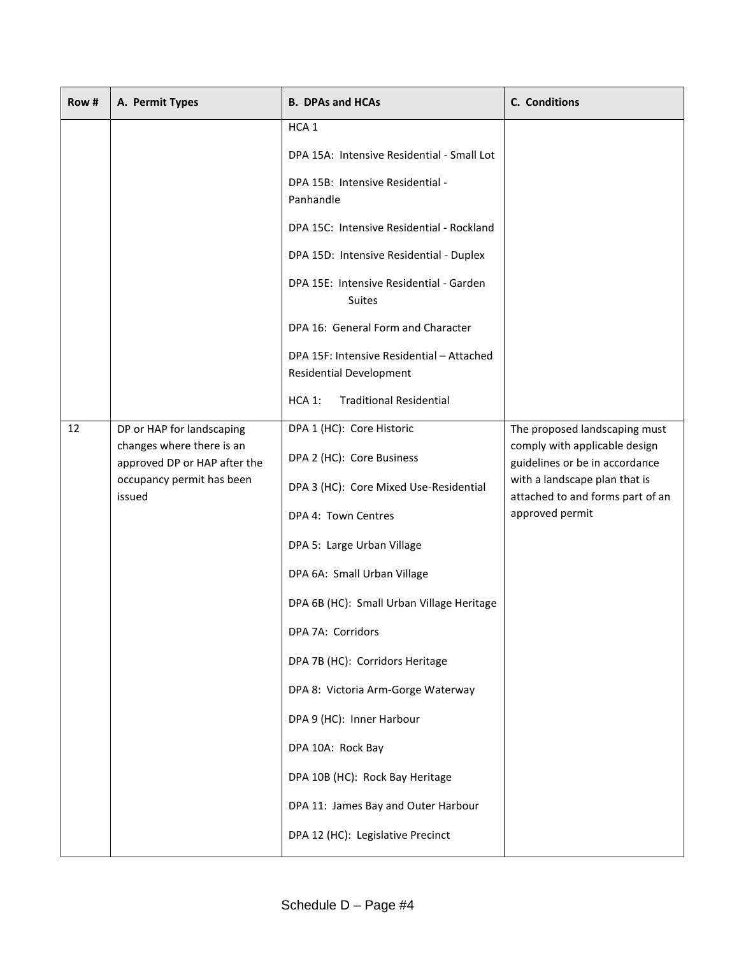| Row# | A. Permit Types                                                                                                               | <b>B. DPAs and HCAs</b>                                                                                                                                                                                                                                                                                                                                                                                                                                                                          | C. Conditions                                                                                                                                                                            |
|------|-------------------------------------------------------------------------------------------------------------------------------|--------------------------------------------------------------------------------------------------------------------------------------------------------------------------------------------------------------------------------------------------------------------------------------------------------------------------------------------------------------------------------------------------------------------------------------------------------------------------------------------------|------------------------------------------------------------------------------------------------------------------------------------------------------------------------------------------|
|      |                                                                                                                               | HCA <sub>1</sub><br>DPA 15A: Intensive Residential - Small Lot<br>DPA 15B: Intensive Residential -<br>Panhandle<br>DPA 15C: Intensive Residential - Rockland<br>DPA 15D: Intensive Residential - Duplex<br>DPA 15E: Intensive Residential - Garden<br>Suites<br>DPA 16: General Form and Character<br>DPA 15F: Intensive Residential - Attached<br><b>Residential Development</b><br><b>Traditional Residential</b><br>HCA 1:                                                                    |                                                                                                                                                                                          |
| 12   | DP or HAP for landscaping<br>changes where there is an<br>approved DP or HAP after the<br>occupancy permit has been<br>issued | DPA 1 (HC): Core Historic<br>DPA 2 (HC): Core Business<br>DPA 3 (HC): Core Mixed Use-Residential<br>DPA 4: Town Centres<br>DPA 5: Large Urban Village<br>DPA 6A: Small Urban Village<br>DPA 6B (HC): Small Urban Village Heritage<br>DPA 7A: Corridors<br>DPA 7B (HC): Corridors Heritage<br>DPA 8: Victoria Arm-Gorge Waterway<br>DPA 9 (HC): Inner Harbour<br>DPA 10A: Rock Bay<br>DPA 10B (HC): Rock Bay Heritage<br>DPA 11: James Bay and Outer Harbour<br>DPA 12 (HC): Legislative Precinct | The proposed landscaping must<br>comply with applicable design<br>guidelines or be in accordance<br>with a landscape plan that is<br>attached to and forms part of an<br>approved permit |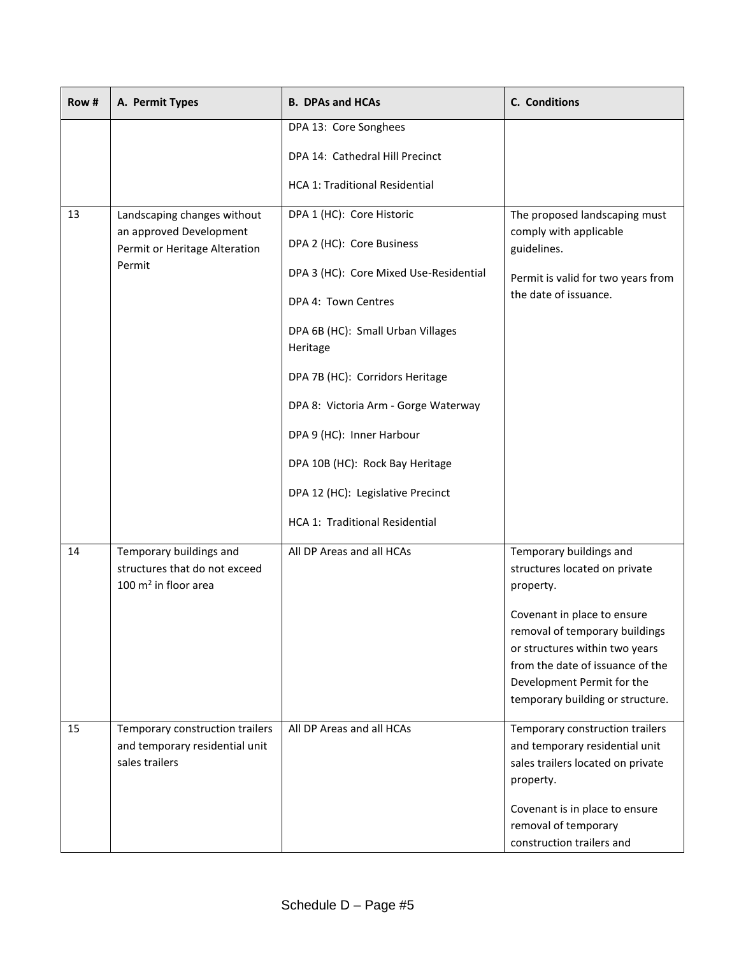| Row # | A. Permit Types                                                                     | <b>B. DPAs and HCAs</b>                       | C. Conditions                                                                                                                                                                                              |
|-------|-------------------------------------------------------------------------------------|-----------------------------------------------|------------------------------------------------------------------------------------------------------------------------------------------------------------------------------------------------------------|
|       |                                                                                     | DPA 13: Core Songhees                         |                                                                                                                                                                                                            |
|       |                                                                                     | DPA 14: Cathedral Hill Precinct               |                                                                                                                                                                                                            |
|       |                                                                                     | <b>HCA 1: Traditional Residential</b>         |                                                                                                                                                                                                            |
| 13    | Landscaping changes without<br>an approved Development                              | DPA 1 (HC): Core Historic                     | The proposed landscaping must<br>comply with applicable                                                                                                                                                    |
|       | Permit or Heritage Alteration                                                       | DPA 2 (HC): Core Business                     | guidelines.                                                                                                                                                                                                |
|       | Permit                                                                              | DPA 3 (HC): Core Mixed Use-Residential        | Permit is valid for two years from                                                                                                                                                                         |
|       |                                                                                     | DPA 4: Town Centres                           | the date of issuance.                                                                                                                                                                                      |
|       |                                                                                     | DPA 6B (HC): Small Urban Villages<br>Heritage |                                                                                                                                                                                                            |
|       |                                                                                     | DPA 7B (HC): Corridors Heritage               |                                                                                                                                                                                                            |
|       |                                                                                     | DPA 8: Victoria Arm - Gorge Waterway          |                                                                                                                                                                                                            |
|       |                                                                                     | DPA 9 (HC): Inner Harbour                     |                                                                                                                                                                                                            |
|       |                                                                                     | DPA 10B (HC): Rock Bay Heritage               |                                                                                                                                                                                                            |
|       |                                                                                     | DPA 12 (HC): Legislative Precinct             |                                                                                                                                                                                                            |
|       |                                                                                     | HCA 1: Traditional Residential                |                                                                                                                                                                                                            |
| 14    | Temporary buildings and<br>structures that do not exceed<br>100 $m2$ in floor area  | All DP Areas and all HCAs                     | Temporary buildings and<br>structures located on private<br>property.                                                                                                                                      |
|       |                                                                                     |                                               | Covenant in place to ensure<br>removal of temporary buildings<br>or structures within two years<br>from the date of issuance of the<br>Development Permit for the<br>temporary building or structure.      |
| 15    | Temporary construction trailers<br>and temporary residential unit<br>sales trailers | All DP Areas and all HCAs                     | Temporary construction trailers<br>and temporary residential unit<br>sales trailers located on private<br>property.<br>Covenant is in place to ensure<br>removal of temporary<br>construction trailers and |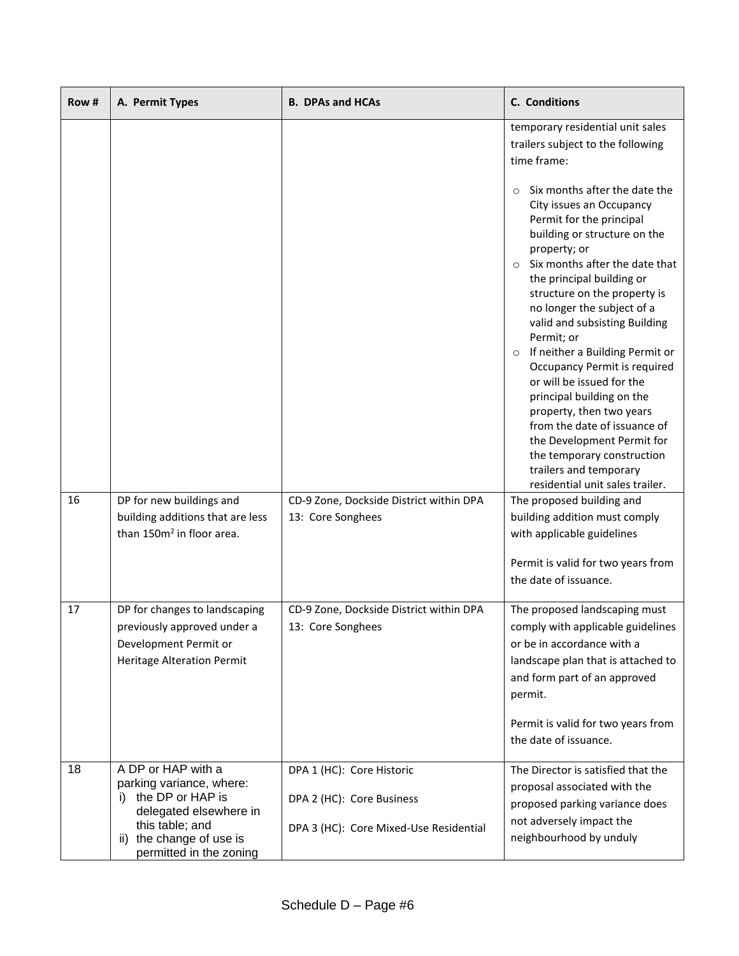| Row # | A. Permit Types                                                                                                                                                               | <b>B. DPAs and HCAs</b>                                                                          | <b>C.</b> Conditions                                                                                                                                                                                                                                                                                                                                                                                                                                                                                                                                                                                                                                       |
|-------|-------------------------------------------------------------------------------------------------------------------------------------------------------------------------------|--------------------------------------------------------------------------------------------------|------------------------------------------------------------------------------------------------------------------------------------------------------------------------------------------------------------------------------------------------------------------------------------------------------------------------------------------------------------------------------------------------------------------------------------------------------------------------------------------------------------------------------------------------------------------------------------------------------------------------------------------------------------|
|       |                                                                                                                                                                               |                                                                                                  | temporary residential unit sales<br>trailers subject to the following<br>time frame:                                                                                                                                                                                                                                                                                                                                                                                                                                                                                                                                                                       |
|       |                                                                                                                                                                               |                                                                                                  | Six months after the date the<br>$\Omega$<br>City issues an Occupancy<br>Permit for the principal<br>building or structure on the<br>property; or<br>Six months after the date that<br>$\circ$<br>the principal building or<br>structure on the property is<br>no longer the subject of a<br>valid and subsisting Building<br>Permit; or<br>If neither a Building Permit or<br>Occupancy Permit is required<br>or will be issued for the<br>principal building on the<br>property, then two years<br>from the date of issuance of<br>the Development Permit for<br>the temporary construction<br>trailers and temporary<br>residential unit sales trailer. |
| 16    | DP for new buildings and<br>building additions that are less                                                                                                                  | CD-9 Zone, Dockside District within DPA<br>13: Core Songhees                                     | The proposed building and<br>building addition must comply                                                                                                                                                                                                                                                                                                                                                                                                                                                                                                                                                                                                 |
|       | than 150m <sup>2</sup> in floor area.                                                                                                                                         |                                                                                                  | with applicable guidelines                                                                                                                                                                                                                                                                                                                                                                                                                                                                                                                                                                                                                                 |
|       |                                                                                                                                                                               |                                                                                                  | Permit is valid for two years from<br>the date of issuance.                                                                                                                                                                                                                                                                                                                                                                                                                                                                                                                                                                                                |
| 17    | DP for changes to landscaping<br>previously approved under a<br>Development Permit or<br><b>Heritage Alteration Permit</b>                                                    | CD-9 Zone, Dockside District within DPA<br>13: Core Songhees                                     | The proposed landscaping must<br>comply with applicable guidelines<br>or be in accordance with a<br>landscape plan that is attached to<br>and form part of an approved<br>permit.<br>Permit is valid for two years from<br>the date of issuance.                                                                                                                                                                                                                                                                                                                                                                                                           |
| 18    | A DP or HAP with a<br>parking variance, where:<br>the DP or HAP is<br>i).<br>delegated elsewhere in<br>this table; and<br>ii) the change of use is<br>permitted in the zoning | DPA 1 (HC): Core Historic<br>DPA 2 (HC): Core Business<br>DPA 3 (HC): Core Mixed-Use Residential | The Director is satisfied that the<br>proposal associated with the<br>proposed parking variance does<br>not adversely impact the<br>neighbourhood by unduly                                                                                                                                                                                                                                                                                                                                                                                                                                                                                                |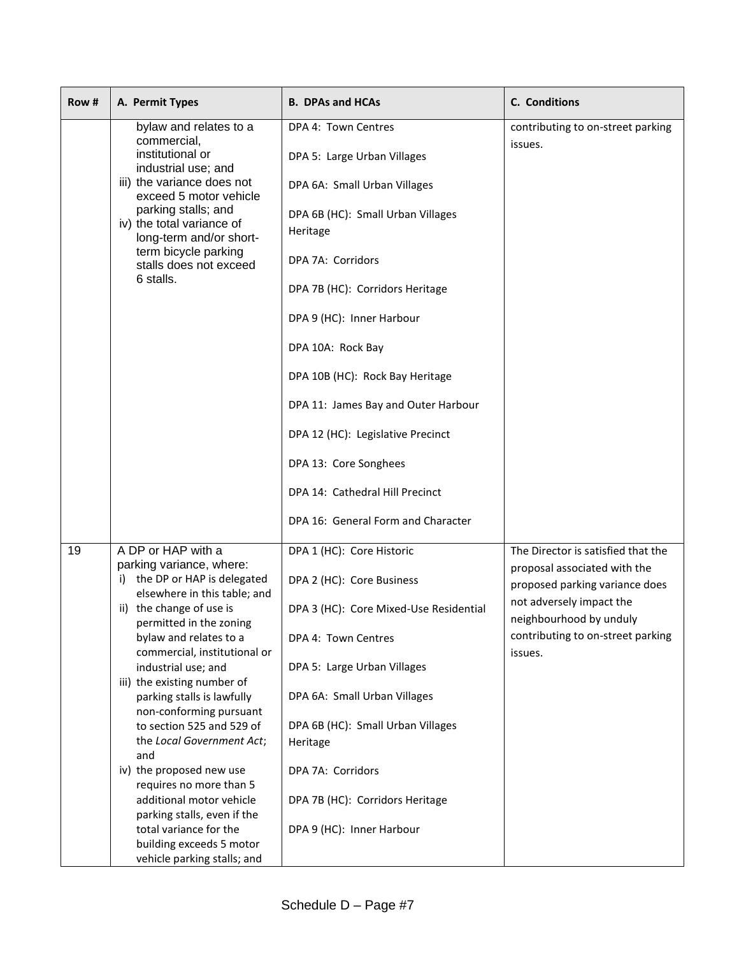| Row # | A. Permit Types                                                                                                                                                                                                                                                                                                                                                                                                                                                                                                                                                                                                         | <b>B. DPAs and HCAs</b>                                                                                                                                                                                                                                                                                                                                                                                                                                        | C. Conditions                                                                                                                                                                                               |
|-------|-------------------------------------------------------------------------------------------------------------------------------------------------------------------------------------------------------------------------------------------------------------------------------------------------------------------------------------------------------------------------------------------------------------------------------------------------------------------------------------------------------------------------------------------------------------------------------------------------------------------------|----------------------------------------------------------------------------------------------------------------------------------------------------------------------------------------------------------------------------------------------------------------------------------------------------------------------------------------------------------------------------------------------------------------------------------------------------------------|-------------------------------------------------------------------------------------------------------------------------------------------------------------------------------------------------------------|
|       | bylaw and relates to a<br>commercial,<br>institutional or<br>industrial use; and<br>iii) the variance does not<br>exceed 5 motor vehicle<br>parking stalls; and<br>iv) the total variance of<br>long-term and/or short-<br>term bicycle parking<br>stalls does not exceed<br>6 stalls.                                                                                                                                                                                                                                                                                                                                  | DPA 4: Town Centres<br>DPA 5: Large Urban Villages<br>DPA 6A: Small Urban Villages<br>DPA 6B (HC): Small Urban Villages<br>Heritage<br>DPA 7A: Corridors<br>DPA 7B (HC): Corridors Heritage<br>DPA 9 (HC): Inner Harbour<br>DPA 10A: Rock Bay<br>DPA 10B (HC): Rock Bay Heritage<br>DPA 11: James Bay and Outer Harbour<br>DPA 12 (HC): Legislative Precinct<br>DPA 13: Core Songhees<br>DPA 14: Cathedral Hill Precinct<br>DPA 16: General Form and Character | contributing to on-street parking<br>issues.                                                                                                                                                                |
| 19    | A DP or HAP with a<br>parking variance, where:<br>i) the DP or HAP is delegated<br>elsewhere in this table; and<br>ii) the change of use is<br>permitted in the zoning<br>bylaw and relates to a<br>commercial, institutional or<br>industrial use; and<br>iii) the existing number of<br>parking stalls is lawfully<br>non-conforming pursuant<br>to section 525 and 529 of<br>the Local Government Act;<br>and<br>iv) the proposed new use<br>requires no more than 5<br>additional motor vehicle<br>parking stalls, even if the<br>total variance for the<br>building exceeds 5 motor<br>vehicle parking stalls; and | DPA 1 (HC): Core Historic<br>DPA 2 (HC): Core Business<br>DPA 3 (HC): Core Mixed-Use Residential<br>DPA 4: Town Centres<br>DPA 5: Large Urban Villages<br>DPA 6A: Small Urban Villages<br>DPA 6B (HC): Small Urban Villages<br>Heritage<br>DPA 7A: Corridors<br>DPA 7B (HC): Corridors Heritage<br>DPA 9 (HC): Inner Harbour                                                                                                                                   | The Director is satisfied that the<br>proposal associated with the<br>proposed parking variance does<br>not adversely impact the<br>neighbourhood by unduly<br>contributing to on-street parking<br>issues. |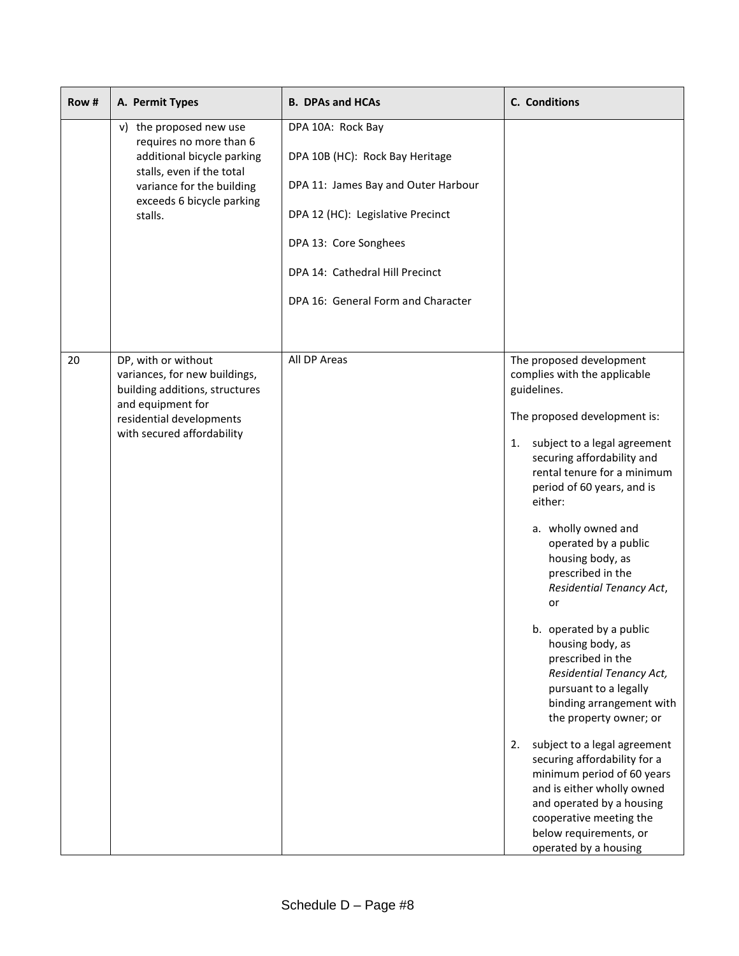| Row# | A. Permit Types                                                                                                                                                                    | <b>B. DPAs and HCAs</b>                                                                                                                                                                                                            | C. Conditions                                                                                                                                                                                                                                                                                                                                                                                                                                                                                                                                                                                                                                                                                                                                                                                                    |
|------|------------------------------------------------------------------------------------------------------------------------------------------------------------------------------------|------------------------------------------------------------------------------------------------------------------------------------------------------------------------------------------------------------------------------------|------------------------------------------------------------------------------------------------------------------------------------------------------------------------------------------------------------------------------------------------------------------------------------------------------------------------------------------------------------------------------------------------------------------------------------------------------------------------------------------------------------------------------------------------------------------------------------------------------------------------------------------------------------------------------------------------------------------------------------------------------------------------------------------------------------------|
|      | v) the proposed new use<br>requires no more than 6<br>additional bicycle parking<br>stalls, even if the total<br>variance for the building<br>exceeds 6 bicycle parking<br>stalls. | DPA 10A: Rock Bay<br>DPA 10B (HC): Rock Bay Heritage<br>DPA 11: James Bay and Outer Harbour<br>DPA 12 (HC): Legislative Precinct<br>DPA 13: Core Songhees<br>DPA 14: Cathedral Hill Precinct<br>DPA 16: General Form and Character |                                                                                                                                                                                                                                                                                                                                                                                                                                                                                                                                                                                                                                                                                                                                                                                                                  |
| 20   | DP, with or without<br>variances, for new buildings,<br>building additions, structures<br>and equipment for<br>residential developments<br>with secured affordability              | All DP Areas                                                                                                                                                                                                                       | The proposed development<br>complies with the applicable<br>guidelines.<br>The proposed development is:<br>subject to a legal agreement<br>1.<br>securing affordability and<br>rental tenure for a minimum<br>period of 60 years, and is<br>either:<br>a. wholly owned and<br>operated by a public<br>housing body, as<br>prescribed in the<br>Residential Tenancy Act,<br>or<br>b. operated by a public<br>housing body, as<br>prescribed in the<br><b>Residential Tenancy Act,</b><br>pursuant to a legally<br>binding arrangement with<br>the property owner; or<br>subject to a legal agreement<br>2.<br>securing affordability for a<br>minimum period of 60 years<br>and is either wholly owned<br>and operated by a housing<br>cooperative meeting the<br>below requirements, or<br>operated by a housing |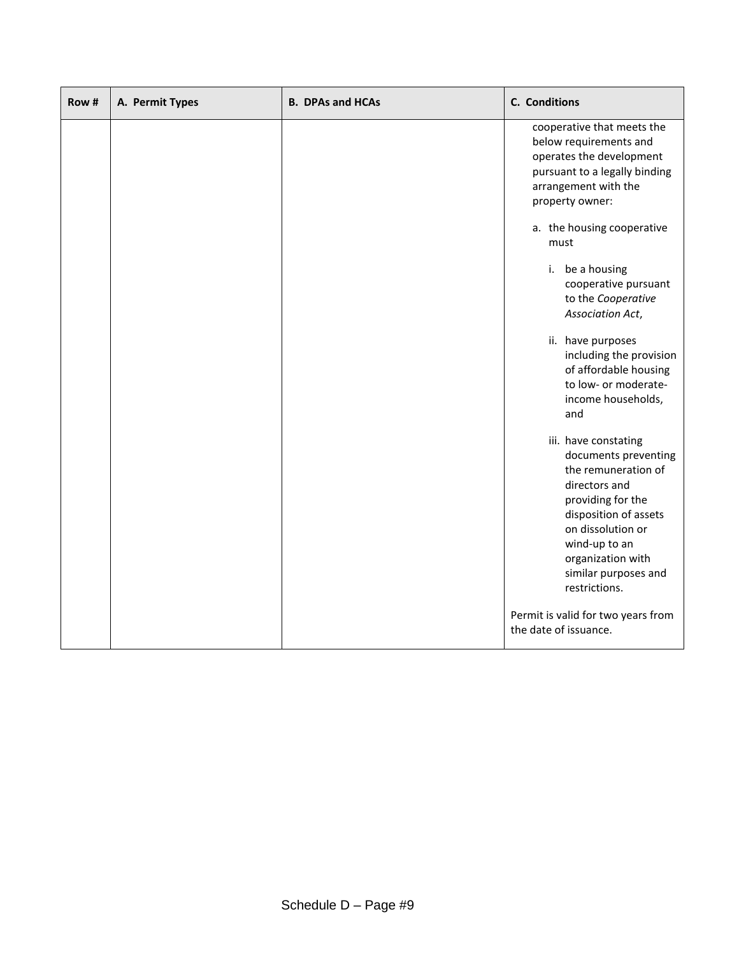| Row # | A. Permit Types | <b>B. DPAs and HCAs</b> | C. Conditions                                                                                                                                                                                                                          |
|-------|-----------------|-------------------------|----------------------------------------------------------------------------------------------------------------------------------------------------------------------------------------------------------------------------------------|
|       |                 |                         | cooperative that meets the<br>below requirements and<br>operates the development<br>pursuant to a legally binding<br>arrangement with the<br>property owner:                                                                           |
|       |                 |                         | a. the housing cooperative<br>must                                                                                                                                                                                                     |
|       |                 |                         | i. be a housing<br>cooperative pursuant<br>to the Cooperative<br>Association Act,                                                                                                                                                      |
|       |                 |                         | ii. have purposes<br>including the provision<br>of affordable housing<br>to low- or moderate-<br>income households,<br>and                                                                                                             |
|       |                 |                         | iii. have constating<br>documents preventing<br>the remuneration of<br>directors and<br>providing for the<br>disposition of assets<br>on dissolution or<br>wind-up to an<br>organization with<br>similar purposes and<br>restrictions. |
|       |                 |                         | Permit is valid for two years from<br>the date of issuance.                                                                                                                                                                            |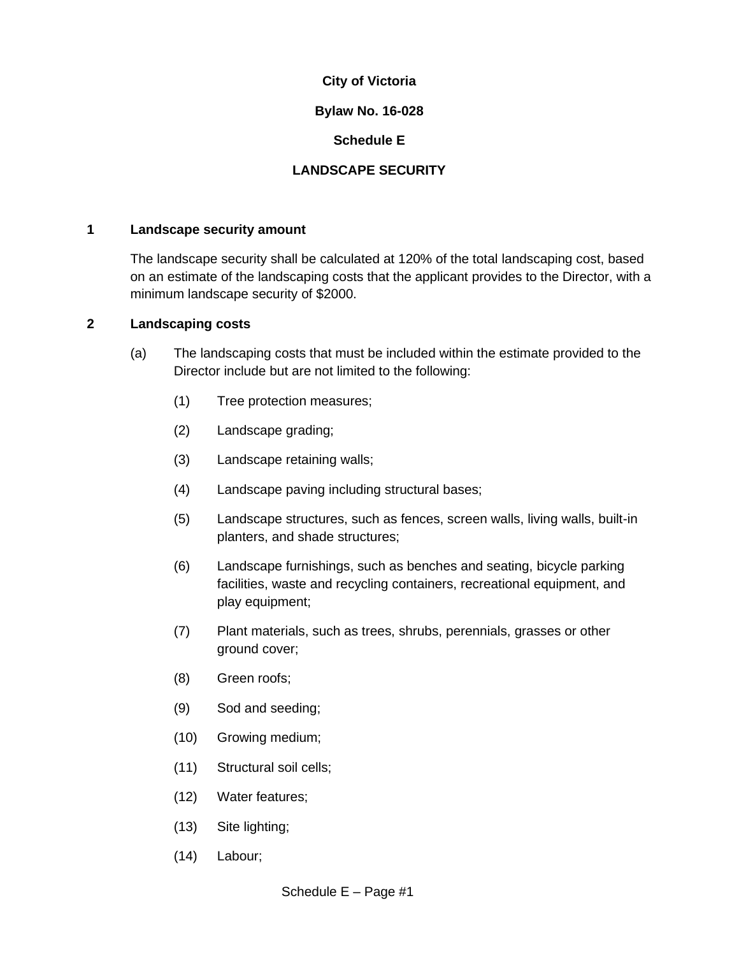# **Bylaw No. 16-028**

# **Schedule E**

# **LANDSCAPE SECURITY**

### **1 Landscape security amount**

The landscape security shall be calculated at 120% of the total landscaping cost, based on an estimate of the landscaping costs that the applicant provides to the Director, with a minimum landscape security of \$2000.

# **2 Landscaping costs**

- (a) The landscaping costs that must be included within the estimate provided to the Director include but are not limited to the following:
	- (1) Tree protection measures;
	- (2) Landscape grading;
	- (3) Landscape retaining walls;
	- (4) Landscape paving including structural bases;
	- (5) Landscape structures, such as fences, screen walls, living walls, built-in planters, and shade structures;
	- (6) Landscape furnishings, such as benches and seating, bicycle parking facilities, waste and recycling containers, recreational equipment, and play equipment;
	- (7) Plant materials, such as trees, shrubs, perennials, grasses or other ground cover;
	- (8) Green roofs;
	- (9) Sod and seeding;
	- (10) Growing medium;
	- (11) Structural soil cells;
	- (12) Water features;
	- (13) Site lighting;
	- (14) Labour;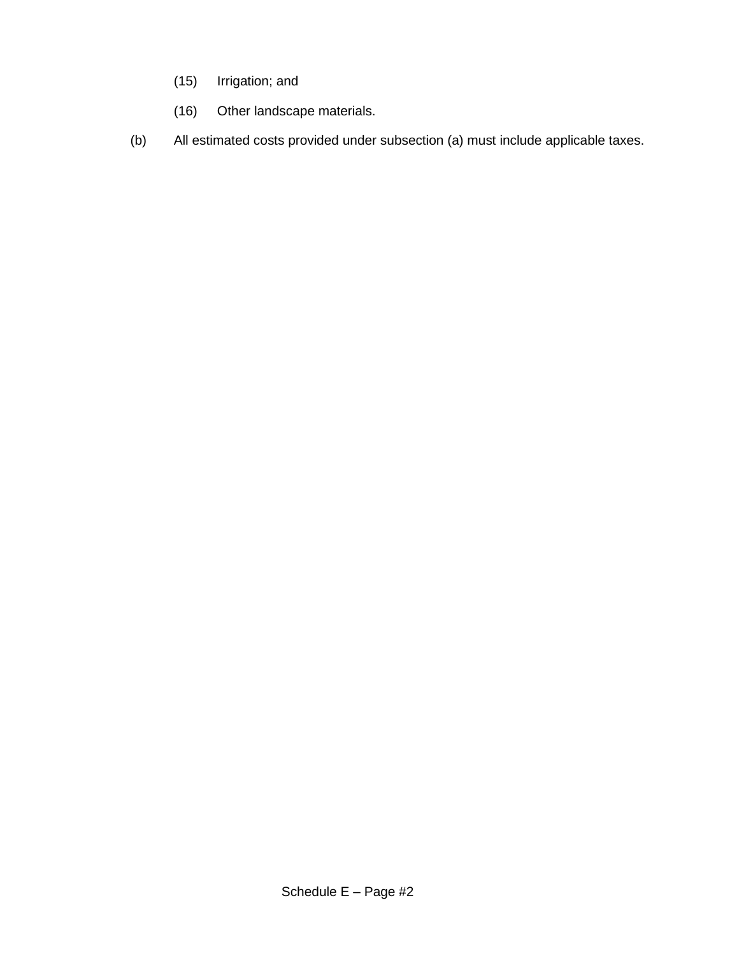- (15) Irrigation; and
- (16) Other landscape materials.
- (b) All estimated costs provided under subsection (a) must include applicable taxes.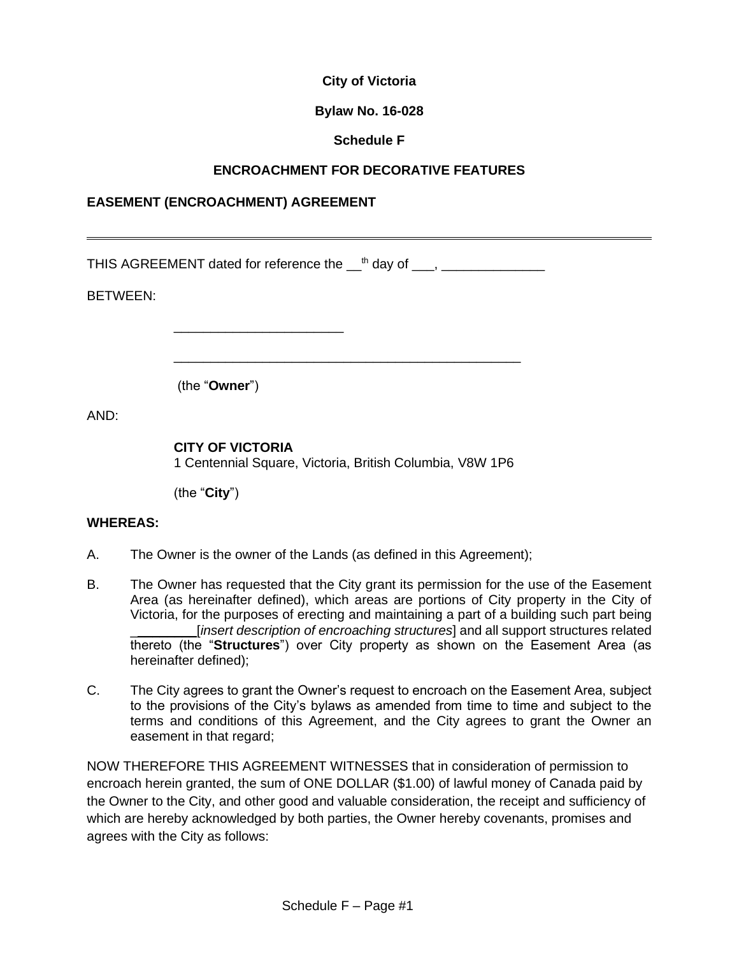# **Bylaw No. 16-028**

# **Schedule F**

# **ENCROACHMENT FOR DECORATIVE FEATURES**

# **EASEMENT (ENCROACHMENT) AGREEMENT**

THIS AGREEMENT dated for reference the  ${\_}^{\text{th}}$  day of  ${\_}$ ,  ${\_}$ 

BETWEEN:

(the "**Owner**")

AND:

# **CITY OF VICTORIA**

\_\_\_\_\_\_\_\_\_\_\_\_\_\_\_\_\_\_\_\_\_\_\_

1 Centennial Square, Victoria, British Columbia, V8W 1P6

\_\_\_\_\_\_\_\_\_\_\_\_\_\_\_\_\_\_\_\_\_\_\_\_\_\_\_\_\_\_\_\_\_\_\_\_\_\_\_\_\_\_\_\_\_\_\_

(the "**City**")

# **WHEREAS:**

- A. The Owner is the owner of the Lands (as defined in this Agreement);
- B. The Owner has requested that the City grant its permission for the use of the Easement Area (as hereinafter defined), which areas are portions of City property in the City of Victoria, for the purposes of erecting and maintaining a part of a building such part being \_\_\_\_\_\_\_\_\_[*insert description of encroaching structures*] and all support structures related thereto (the "**Structures**") over City property as shown on the Easement Area (as hereinafter defined);
- C. The City agrees to grant the Owner's request to encroach on the Easement Area, subject to the provisions of the City's bylaws as amended from time to time and subject to the terms and conditions of this Agreement, and the City agrees to grant the Owner an easement in that regard;

NOW THEREFORE THIS AGREEMENT WITNESSES that in consideration of permission to encroach herein granted, the sum of ONE DOLLAR (\$1.00) of lawful money of Canada paid by the Owner to the City, and other good and valuable consideration, the receipt and sufficiency of which are hereby acknowledged by both parties, the Owner hereby covenants, promises and agrees with the City as follows: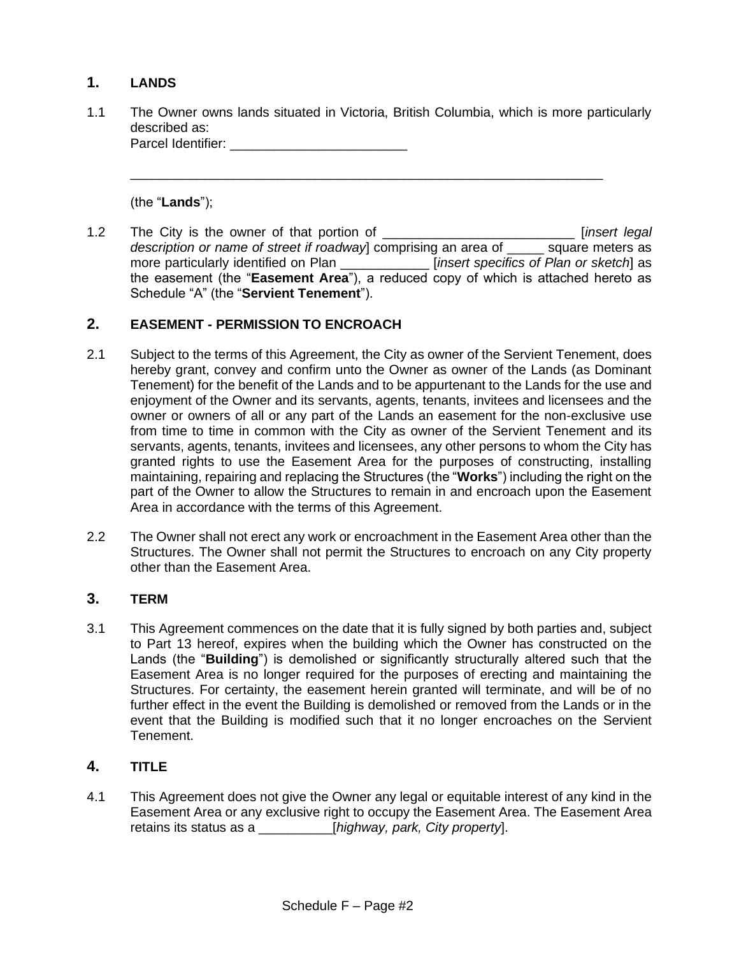# **1. LANDS**

1.1 The Owner owns lands situated in Victoria, British Columbia, which is more particularly described as: Parcel Identifier: \_\_\_\_\_\_\_\_\_\_\_\_\_\_\_\_\_\_\_\_\_\_\_\_

\_\_\_\_\_\_\_\_\_\_\_\_\_\_\_\_\_\_\_\_\_\_\_\_\_\_\_\_\_\_\_\_\_\_\_\_\_\_\_\_\_\_\_\_\_\_\_\_\_\_\_\_\_\_\_\_\_\_\_\_\_\_\_\_

(the "**Lands**");

1.2 The City is the owner of that portion of \_\_\_\_\_\_\_\_\_\_\_\_\_\_\_\_\_\_\_\_\_\_\_\_\_\_ [*insert legal description or name of street if roadway*] comprising an area of \_\_\_\_\_ square meters as more particularly identified on Plan \_\_\_\_\_\_\_\_\_\_\_\_ [*insert specifics of Plan or sketch*] as the easement (the "**Easement Area**"), a reduced copy of which is attached hereto as Schedule "A" (the "**Servient Tenement**").

# **2. EASEMENT - PERMISSION TO ENCROACH**

- 2.1 Subject to the terms of this Agreement, the City as owner of the Servient Tenement, does hereby grant, convey and confirm unto the Owner as owner of the Lands (as Dominant Tenement) for the benefit of the Lands and to be appurtenant to the Lands for the use and enjoyment of the Owner and its servants, agents, tenants, invitees and licensees and the owner or owners of all or any part of the Lands an easement for the non-exclusive use from time to time in common with the City as owner of the Servient Tenement and its servants, agents, tenants, invitees and licensees, any other persons to whom the City has granted rights to use the Easement Area for the purposes of constructing, installing maintaining, repairing and replacing the Structures (the "**Works**") including the right on the part of the Owner to allow the Structures to remain in and encroach upon the Easement Area in accordance with the terms of this Agreement.
- 2.2 The Owner shall not erect any work or encroachment in the Easement Area other than the Structures. The Owner shall not permit the Structures to encroach on any City property other than the Easement Area.

# **3. TERM**

3.1 This Agreement commences on the date that it is fully signed by both parties and, subject to Part 13 hereof, expires when the building which the Owner has constructed on the Lands (the "**Building**") is demolished or significantly structurally altered such that the Easement Area is no longer required for the purposes of erecting and maintaining the Structures. For certainty, the easement herein granted will terminate, and will be of no further effect in the event the Building is demolished or removed from the Lands or in the event that the Building is modified such that it no longer encroaches on the Servient Tenement.

# **4. TITLE**

4.1 This Agreement does not give the Owner any legal or equitable interest of any kind in the Easement Area or any exclusive right to occupy the Easement Area. The Easement Area retains its status as a \_\_\_\_\_\_\_\_\_\_[*highway, park, City property*].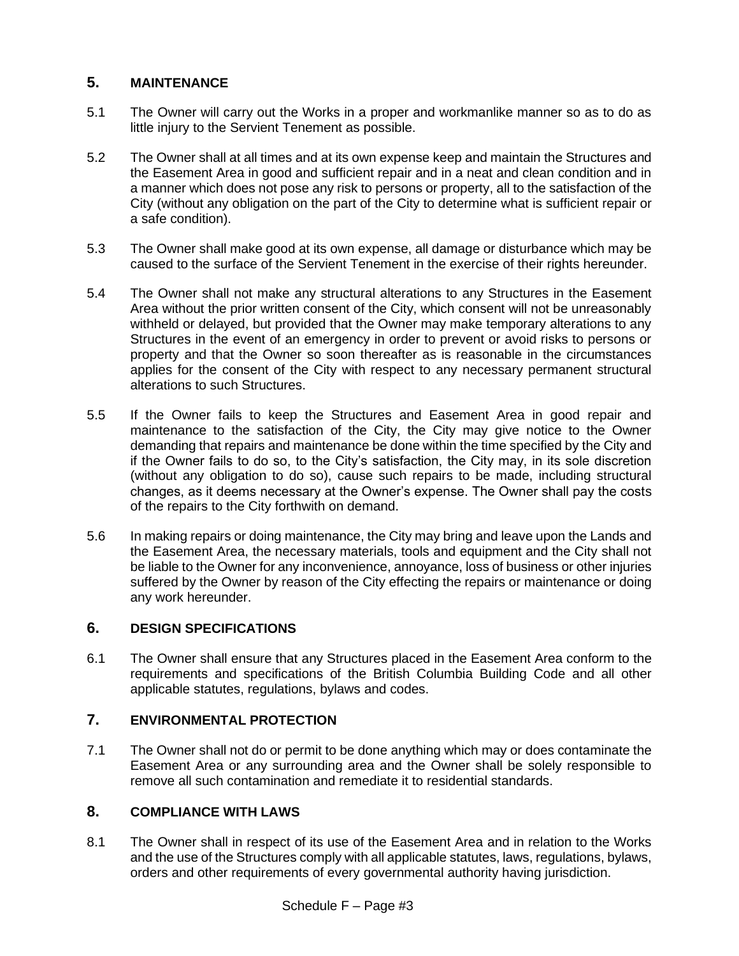# **5. MAINTENANCE**

- 5.1 The Owner will carry out the Works in a proper and workmanlike manner so as to do as little injury to the Servient Tenement as possible.
- 5.2 The Owner shall at all times and at its own expense keep and maintain the Structures and the Easement Area in good and sufficient repair and in a neat and clean condition and in a manner which does not pose any risk to persons or property, all to the satisfaction of the City (without any obligation on the part of the City to determine what is sufficient repair or a safe condition).
- 5.3 The Owner shall make good at its own expense, all damage or disturbance which may be caused to the surface of the Servient Tenement in the exercise of their rights hereunder.
- 5.4 The Owner shall not make any structural alterations to any Structures in the Easement Area without the prior written consent of the City, which consent will not be unreasonably withheld or delayed, but provided that the Owner may make temporary alterations to any Structures in the event of an emergency in order to prevent or avoid risks to persons or property and that the Owner so soon thereafter as is reasonable in the circumstances applies for the consent of the City with respect to any necessary permanent structural alterations to such Structures.
- 5.5 If the Owner fails to keep the Structures and Easement Area in good repair and maintenance to the satisfaction of the City, the City may give notice to the Owner demanding that repairs and maintenance be done within the time specified by the City and if the Owner fails to do so, to the City's satisfaction, the City may, in its sole discretion (without any obligation to do so), cause such repairs to be made, including structural changes, as it deems necessary at the Owner's expense. The Owner shall pay the costs of the repairs to the City forthwith on demand.
- 5.6 In making repairs or doing maintenance, the City may bring and leave upon the Lands and the Easement Area, the necessary materials, tools and equipment and the City shall not be liable to the Owner for any inconvenience, annoyance, loss of business or other injuries suffered by the Owner by reason of the City effecting the repairs or maintenance or doing any work hereunder.

# **6. DESIGN SPECIFICATIONS**

6.1 The Owner shall ensure that any Structures placed in the Easement Area conform to the requirements and specifications of the British Columbia Building Code and all other applicable statutes, regulations, bylaws and codes.

# **7. ENVIRONMENTAL PROTECTION**

7.1 The Owner shall not do or permit to be done anything which may or does contaminate the Easement Area or any surrounding area and the Owner shall be solely responsible to remove all such contamination and remediate it to residential standards.

# **8. COMPLIANCE WITH LAWS**

8.1 The Owner shall in respect of its use of the Easement Area and in relation to the Works and the use of the Structures comply with all applicable statutes, laws, regulations, bylaws, orders and other requirements of every governmental authority having jurisdiction.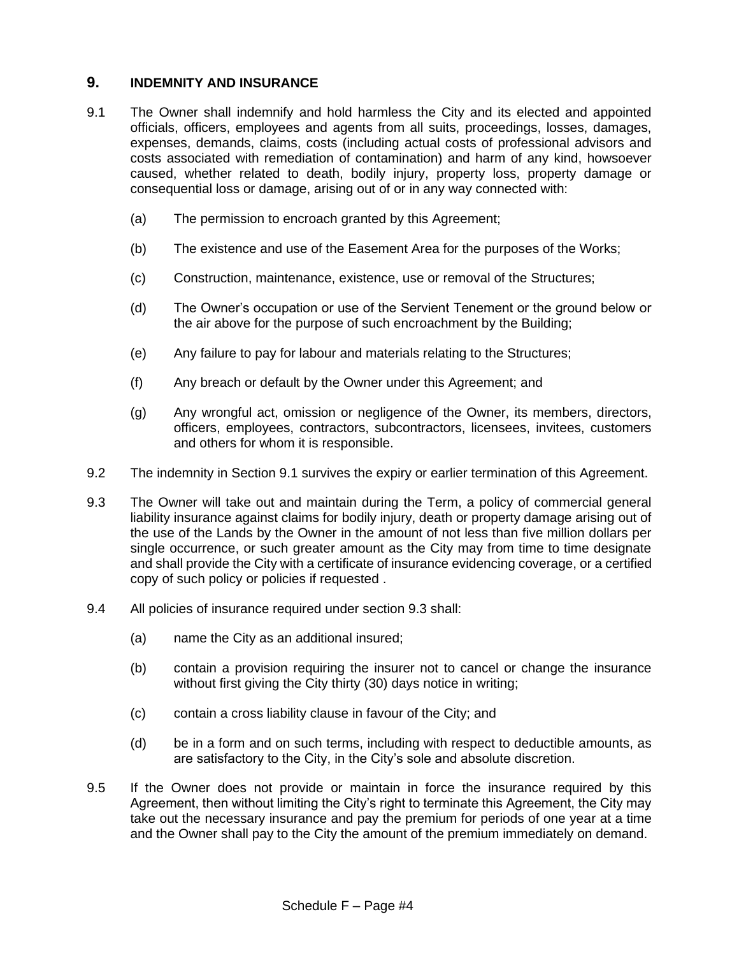# **9. INDEMNITY AND INSURANCE**

- <span id="page-39-0"></span>9.1 The Owner shall indemnify and hold harmless the City and its elected and appointed officials, officers, employees and agents from all suits, proceedings, losses, damages, expenses, demands, claims, costs (including actual costs of professional advisors and costs associated with remediation of contamination) and harm of any kind, howsoever caused, whether related to death, bodily injury, property loss, property damage or consequential loss or damage, arising out of or in any way connected with:
	- (a) The permission to encroach granted by this Agreement;
	- (b) The existence and use of the Easement Area for the purposes of the Works;
	- (c) Construction, maintenance, existence, use or removal of the Structures;
	- (d) The Owner's occupation or use of the Servient Tenement or the ground below or the air above for the purpose of such encroachment by the Building;
	- (e) Any failure to pay for labour and materials relating to the Structures;
	- (f) Any breach or default by the Owner under this Agreement; and
	- (g) Any wrongful act, omission or negligence of the Owner, its members, directors, officers, employees, contractors, subcontractors, licensees, invitees, customers and others for whom it is responsible.
- 9.2 The indemnity in Section [9.1](#page-39-0) survives the expiry or earlier termination of this Agreement.
- 9.3 The Owner will take out and maintain during the Term, a policy of commercial general liability insurance against claims for bodily injury, death or property damage arising out of the use of the Lands by the Owner in the amount of not less than five million dollars per single occurrence, or such greater amount as the City may from time to time designate and shall provide the City with a certificate of insurance evidencing coverage, or a certified copy of such policy or policies if requested .
- 9.4 All policies of insurance required under section 9.3 shall:
	- (a) name the City as an additional insured;
	- (b) contain a provision requiring the insurer not to cancel or change the insurance without first giving the City thirty (30) days notice in writing;
	- (c) contain a cross liability clause in favour of the City; and
	- (d) be in a form and on such terms, including with respect to deductible amounts, as are satisfactory to the City, in the City's sole and absolute discretion.
- 9.5 If the Owner does not provide or maintain in force the insurance required by this Agreement, then without limiting the City's right to terminate this Agreement, the City may take out the necessary insurance and pay the premium for periods of one year at a time and the Owner shall pay to the City the amount of the premium immediately on demand.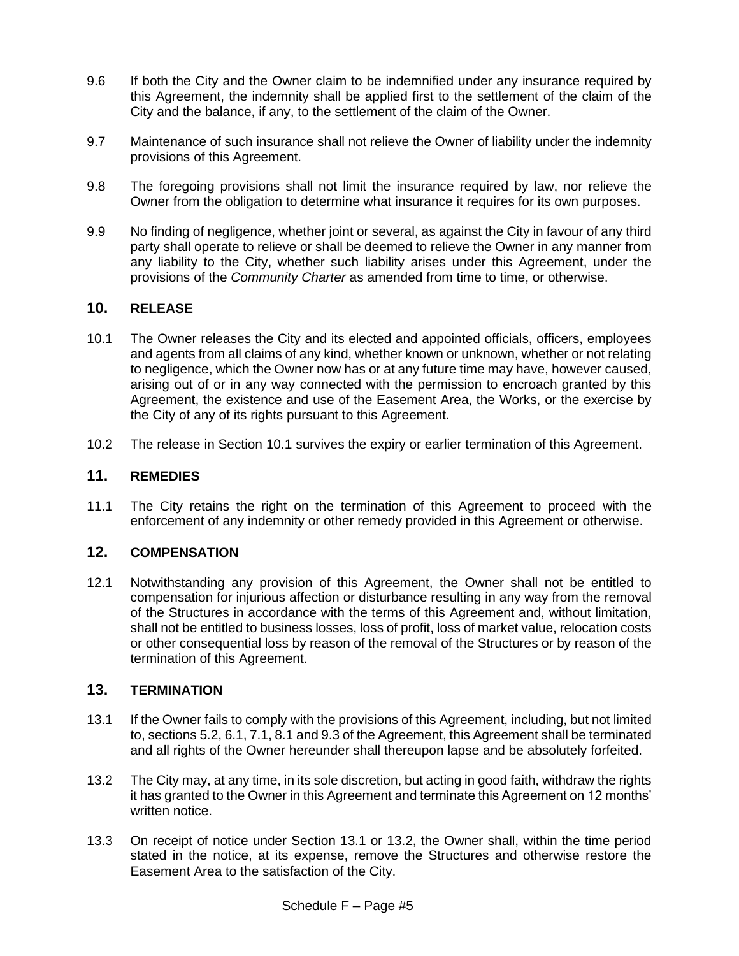- 9.6 If both the City and the Owner claim to be indemnified under any insurance required by this Agreement, the indemnity shall be applied first to the settlement of the claim of the City and the balance, if any, to the settlement of the claim of the Owner.
- 9.7 Maintenance of such insurance shall not relieve the Owner of liability under the indemnity provisions of this Agreement.
- 9.8 The foregoing provisions shall not limit the insurance required by law, nor relieve the Owner from the obligation to determine what insurance it requires for its own purposes.
- 9.9 No finding of negligence, whether joint or several, as against the City in favour of any third party shall operate to relieve or shall be deemed to relieve the Owner in any manner from any liability to the City, whether such liability arises under this Agreement, under the provisions of the *Community Charter* as amended from time to time, or otherwise.

# <span id="page-40-0"></span>**10. RELEASE**

- 10.1 The Owner releases the City and its elected and appointed officials, officers, employees and agents from all claims of any kind, whether known or unknown, whether or not relating to negligence, which the Owner now has or at any future time may have, however caused, arising out of or in any way connected with the permission to encroach granted by this Agreement, the existence and use of the Easement Area, the Works, or the exercise by the City of any of its rights pursuant to this Agreement.
- 10.2 The release in Section [10.1](#page-40-0) survives the expiry or earlier termination of this Agreement.

### **11. REMEDIES**

11.1 The City retains the right on the termination of this Agreement to proceed with the enforcement of any indemnity or other remedy provided in this Agreement or otherwise.

### **12. COMPENSATION**

12.1 Notwithstanding any provision of this Agreement, the Owner shall not be entitled to compensation for injurious affection or disturbance resulting in any way from the removal of the Structures in accordance with the terms of this Agreement and, without limitation, shall not be entitled to business losses, loss of profit, loss of market value, relocation costs or other consequential loss by reason of the removal of the Structures or by reason of the termination of this Agreement.

### **13. TERMINATION**

- 13.1 If the Owner fails to comply with the provisions of this Agreement, including, but not limited to, sections 5.2, 6.1, 7.1, 8.1 and 9.3 of the Agreement, this Agreement shall be terminated and all rights of the Owner hereunder shall thereupon lapse and be absolutely forfeited.
- 13.2 The City may, at any time, in its sole discretion, but acting in good faith, withdraw the rights it has granted to the Owner in this Agreement and terminate this Agreement on 12 months' written notice.
- 13.3 On receipt of notice under Section 13.1 or 13.2, the Owner shall, within the time period stated in the notice, at its expense, remove the Structures and otherwise restore the Easement Area to the satisfaction of the City.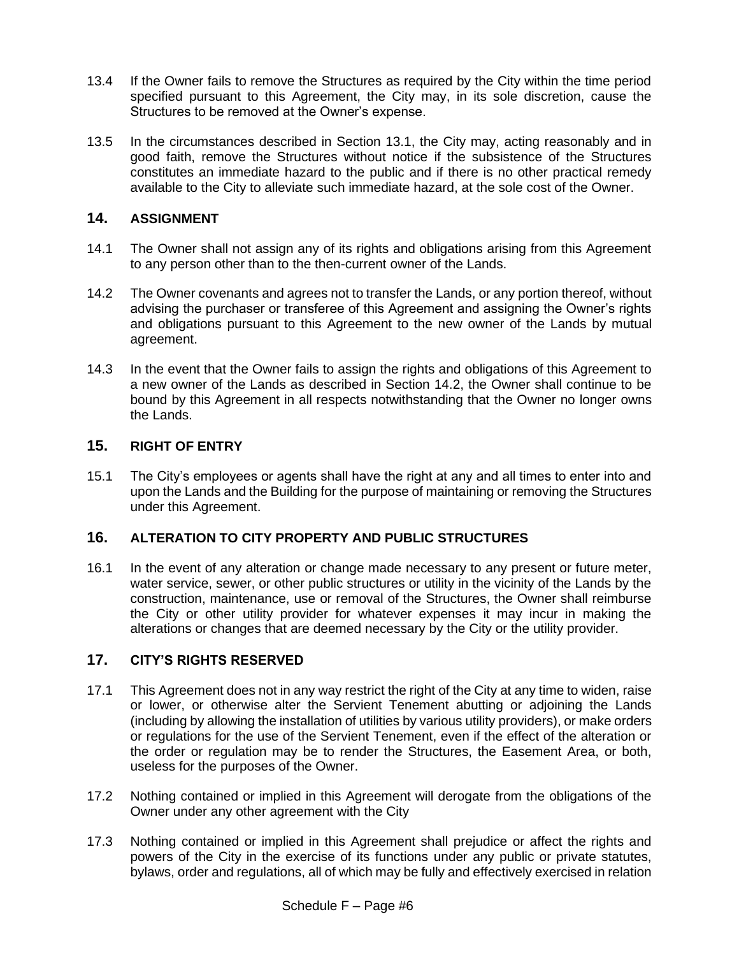- 13.4 If the Owner fails to remove the Structures as required by the City within the time period specified pursuant to this Agreement, the City may, in its sole discretion, cause the Structures to be removed at the Owner's expense.
- 13.5 In the circumstances described in Section 13.1, the City may, acting reasonably and in good faith, remove the Structures without notice if the subsistence of the Structures constitutes an immediate hazard to the public and if there is no other practical remedy available to the City to alleviate such immediate hazard, at the sole cost of the Owner.

# **14. ASSIGNMENT**

- 14.1 The Owner shall not assign any of its rights and obligations arising from this Agreement to any person other than to the then-current owner of the Lands.
- 14.2 The Owner covenants and agrees not to transfer the Lands, or any portion thereof, without advising the purchaser or transferee of this Agreement and assigning the Owner's rights and obligations pursuant to this Agreement to the new owner of the Lands by mutual agreement.
- 14.3 In the event that the Owner fails to assign the rights and obligations of this Agreement to a new owner of the Lands as described in Section 14.2, the Owner shall continue to be bound by this Agreement in all respects notwithstanding that the Owner no longer owns the Lands.

# **15. RIGHT OF ENTRY**

15.1 The City's employees or agents shall have the right at any and all times to enter into and upon the Lands and the Building for the purpose of maintaining or removing the Structures under this Agreement.

# **16. ALTERATION TO CITY PROPERTY AND PUBLIC STRUCTURES**

16.1 In the event of any alteration or change made necessary to any present or future meter, water service, sewer, or other public structures or utility in the vicinity of the Lands by the construction, maintenance, use or removal of the Structures, the Owner shall reimburse the City or other utility provider for whatever expenses it may incur in making the alterations or changes that are deemed necessary by the City or the utility provider.

# **17. CITY'S RIGHTS RESERVED**

- 17.1 This Agreement does not in any way restrict the right of the City at any time to widen, raise or lower, or otherwise alter the Servient Tenement abutting or adjoining the Lands (including by allowing the installation of utilities by various utility providers), or make orders or regulations for the use of the Servient Tenement, even if the effect of the alteration or the order or regulation may be to render the Structures, the Easement Area, or both, useless for the purposes of the Owner.
- 17.2 Nothing contained or implied in this Agreement will derogate from the obligations of the Owner under any other agreement with the City
- 17.3 Nothing contained or implied in this Agreement shall prejudice or affect the rights and powers of the City in the exercise of its functions under any public or private statutes, bylaws, order and regulations, all of which may be fully and effectively exercised in relation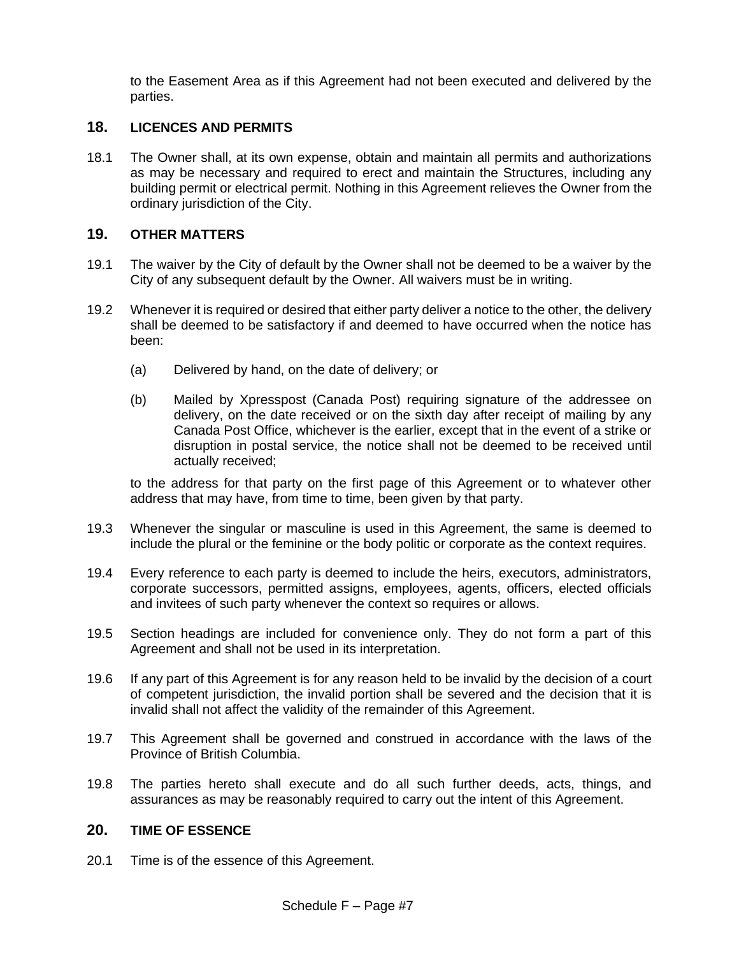to the Easement Area as if this Agreement had not been executed and delivered by the parties.

# **18. LICENCES AND PERMITS**

18.1 The Owner shall, at its own expense, obtain and maintain all permits and authorizations as may be necessary and required to erect and maintain the Structures, including any building permit or electrical permit. Nothing in this Agreement relieves the Owner from the ordinary jurisdiction of the City.

# **19. OTHER MATTERS**

- 19.1 The waiver by the City of default by the Owner shall not be deemed to be a waiver by the City of any subsequent default by the Owner. All waivers must be in writing.
- 19.2 Whenever it is required or desired that either party deliver a notice to the other, the delivery shall be deemed to be satisfactory if and deemed to have occurred when the notice has been:
	- (a) Delivered by hand, on the date of delivery; or
	- (b) Mailed by Xpresspost (Canada Post) requiring signature of the addressee on delivery, on the date received or on the sixth day after receipt of mailing by any Canada Post Office, whichever is the earlier, except that in the event of a strike or disruption in postal service, the notice shall not be deemed to be received until actually received;

to the address for that party on the first page of this Agreement or to whatever other address that may have, from time to time, been given by that party.

- 19.3 Whenever the singular or masculine is used in this Agreement, the same is deemed to include the plural or the feminine or the body politic or corporate as the context requires.
- 19.4 Every reference to each party is deemed to include the heirs, executors, administrators, corporate successors, permitted assigns, employees, agents, officers, elected officials and invitees of such party whenever the context so requires or allows.
- 19.5 Section headings are included for convenience only. They do not form a part of this Agreement and shall not be used in its interpretation.
- 19.6 If any part of this Agreement is for any reason held to be invalid by the decision of a court of competent jurisdiction, the invalid portion shall be severed and the decision that it is invalid shall not affect the validity of the remainder of this Agreement.
- 19.7 This Agreement shall be governed and construed in accordance with the laws of the Province of British Columbia.
- 19.8 The parties hereto shall execute and do all such further deeds, acts, things, and assurances as may be reasonably required to carry out the intent of this Agreement.

### **20. TIME OF ESSENCE**

20.1 Time is of the essence of this Agreement.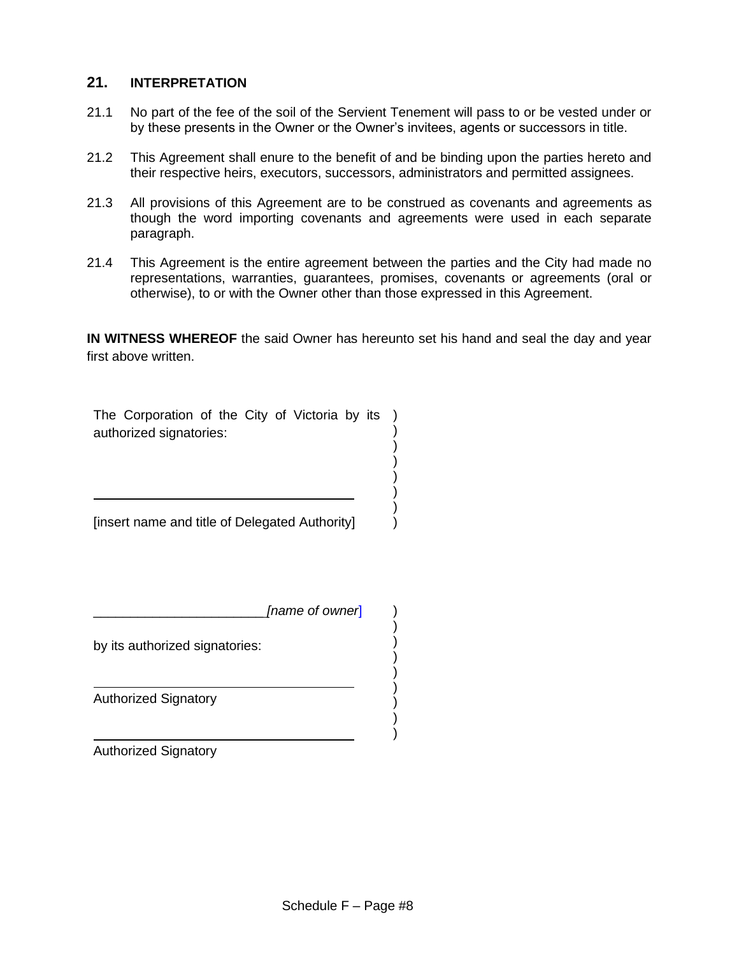# **21. INTERPRETATION**

- 21.1 No part of the fee of the soil of the Servient Tenement will pass to or be vested under or by these presents in the Owner or the Owner's invitees, agents or successors in title.
- 21.2 This Agreement shall enure to the benefit of and be binding upon the parties hereto and their respective heirs, executors, successors, administrators and permitted assignees.
- 21.3 All provisions of this Agreement are to be construed as covenants and agreements as though the word importing covenants and agreements were used in each separate paragraph.
- 21.4 This Agreement is the entire agreement between the parties and the City had made no representations, warranties, guarantees, promises, covenants or agreements (oral or otherwise), to or with the Owner other than those expressed in this Agreement.

**IN WITNESS WHEREOF** the said Owner has hereunto set his hand and seal the day and year first above written.

> ) ) ) ) ) ) )

) ) ) ) ) ) ) ) )

The Corporation of the City of Victoria by its ) authorized signatories:

[insert name and title of Delegated Authority]

\_\_\_\_\_\_\_\_\_\_\_\_\_\_\_\_\_\_\_\_\_\_\_ *[name of owner*]

by its authorized signatories:

Authorized Signatory

Authorized Signatory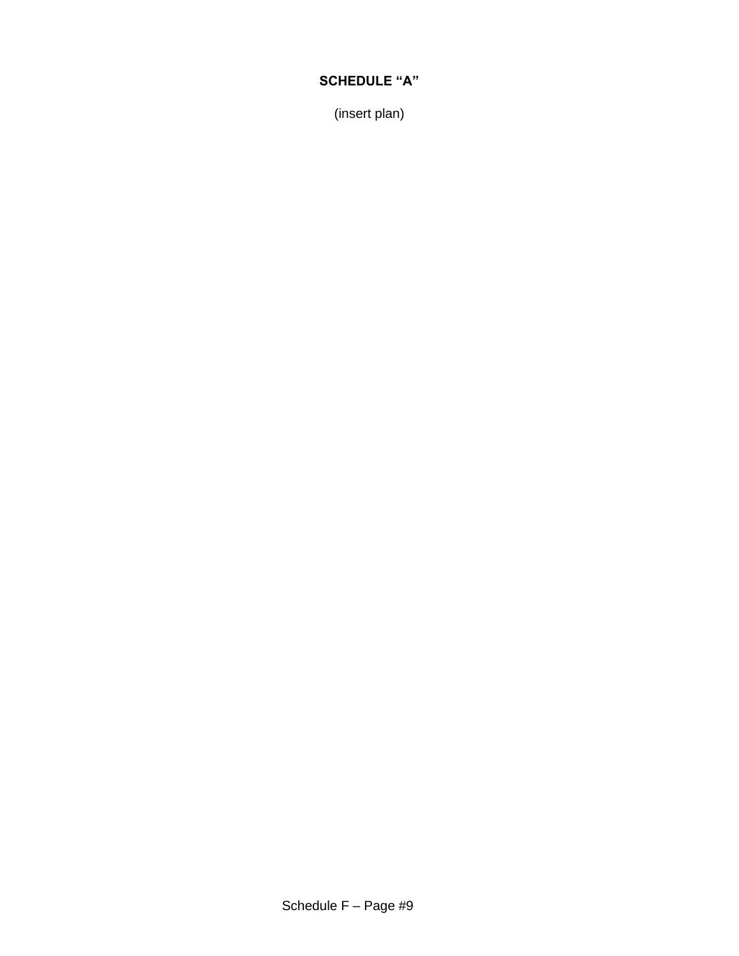# **SCHEDULE "A"**

(insert plan)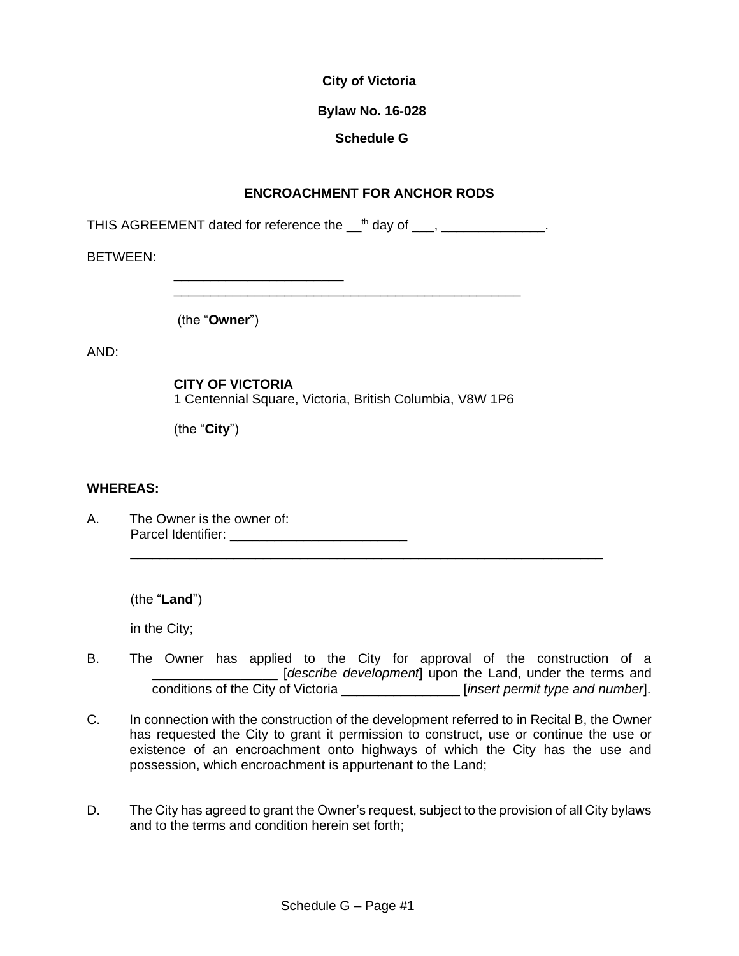### **Bylaw No. 16-028**

# **Schedule G**

# **ENCROACHMENT FOR ANCHOR RODS**

THIS AGREEMENT dated for reference the  ${\_}^{\text{th}}$  day of  ${\_}$ ,  ${\_}$ 

BETWEEN:

(the "**Owner**")

\_\_\_\_\_\_\_\_\_\_\_\_\_\_\_\_\_\_\_\_\_\_\_

AND:

**CITY OF VICTORIA** 1 Centennial Square, Victoria, British Columbia, V8W 1P6

\_\_\_\_\_\_\_\_\_\_\_\_\_\_\_\_\_\_\_\_\_\_\_\_\_\_\_\_\_\_\_\_\_\_\_\_\_\_\_\_\_\_\_\_\_\_\_

(the "**City**")

#### **WHEREAS:**

A. The Owner is the owner of: Parcel Identifier: \_\_\_\_\_\_\_\_\_\_\_\_\_\_\_\_\_\_\_\_\_\_\_\_

(the "**Land**")

in the City;

B. The Owner has applied to the City for approval of the construction of a \_\_\_\_\_\_\_\_\_\_\_\_\_\_\_\_\_ [*describe development*] upon the Land, under the terms and conditions of the City of Victoria \_\_\_\_\_\_\_\_\_\_\_\_\_\_\_\_ [*insert permit type and number*].

\_\_\_\_\_\_\_\_\_\_\_\_\_\_\_\_\_\_\_\_\_\_\_\_\_\_\_\_\_\_\_\_\_\_\_\_\_\_\_\_\_\_\_\_\_\_\_\_\_\_\_\_\_\_\_\_\_\_\_\_\_\_\_\_

- C. In connection with the construction of the development referred to in Recital B, the Owner has requested the City to grant it permission to construct, use or continue the use or existence of an encroachment onto highways of which the City has the use and possession, which encroachment is appurtenant to the Land;
- D. The City has agreed to grant the Owner's request, subject to the provision of all City bylaws and to the terms and condition herein set forth;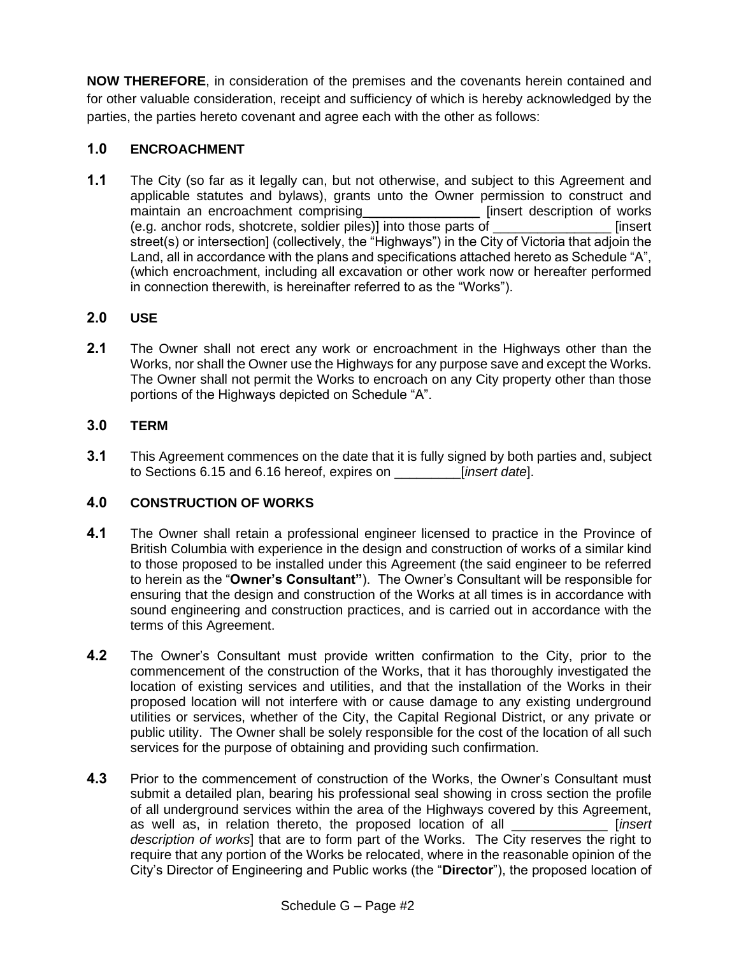**NOW THEREFORE**, in consideration of the premises and the covenants herein contained and for other valuable consideration, receipt and sufficiency of which is hereby acknowledged by the parties, the parties hereto covenant and agree each with the other as follows:

# **1.0 ENCROACHMENT**

**1.1** The City (so far as it legally can, but not otherwise, and subject to this Agreement and applicable statutes and bylaws), grants unto the Owner permission to construct and maintain an encroachment comprising \_\_\_\_\_\_ (e.g. anchor rods, shotcrete, soldier piles)] into those parts of \_\_\_\_\_\_\_\_\_\_\_\_\_\_\_\_ [insert street(s) or intersection] (collectively, the "Highways") in the City of Victoria that adjoin the Land, all in accordance with the plans and specifications attached hereto as Schedule "A", (which encroachment, including all excavation or other work now or hereafter performed in connection therewith, is hereinafter referred to as the "Works").

# **2.0 USE**

**2.1** The Owner shall not erect any work or encroachment in the Highways other than the Works, nor shall the Owner use the Highways for any purpose save and except the Works. The Owner shall not permit the Works to encroach on any City property other than those portions of the Highways depicted on Schedule "A".

# **3.0 TERM**

**3.1** This Agreement commences on the date that it is fully signed by both parties and, subject to Sections 6.15 and 6.16 hereof, expires on \_\_\_\_\_\_\_\_\_[*insert date*].

# **4.0 CONSTRUCTION OF WORKS**

- **4.1** The Owner shall retain a professional engineer licensed to practice in the Province of British Columbia with experience in the design and construction of works of a similar kind to those proposed to be installed under this Agreement (the said engineer to be referred to herein as the "**Owner's Consultant"**). The Owner's Consultant will be responsible for ensuring that the design and construction of the Works at all times is in accordance with sound engineering and construction practices, and is carried out in accordance with the terms of this Agreement.
- **4.2** The Owner's Consultant must provide written confirmation to the City, prior to the commencement of the construction of the Works, that it has thoroughly investigated the location of existing services and utilities, and that the installation of the Works in their proposed location will not interfere with or cause damage to any existing underground utilities or services, whether of the City, the Capital Regional District, or any private or public utility. The Owner shall be solely responsible for the cost of the location of all such services for the purpose of obtaining and providing such confirmation.
- **4.3** Prior to the commencement of construction of the Works, the Owner's Consultant must submit a detailed plan, bearing his professional seal showing in cross section the profile of all underground services within the area of the Highways covered by this Agreement, as well as, in relation thereto, the proposed location of all \_\_\_\_\_\_\_\_\_\_\_\_\_ [*insert description of works*] that are to form part of the Works. The City reserves the right to require that any portion of the Works be relocated, where in the reasonable opinion of the City's Director of Engineering and Public works (the "**Director**"), the proposed location of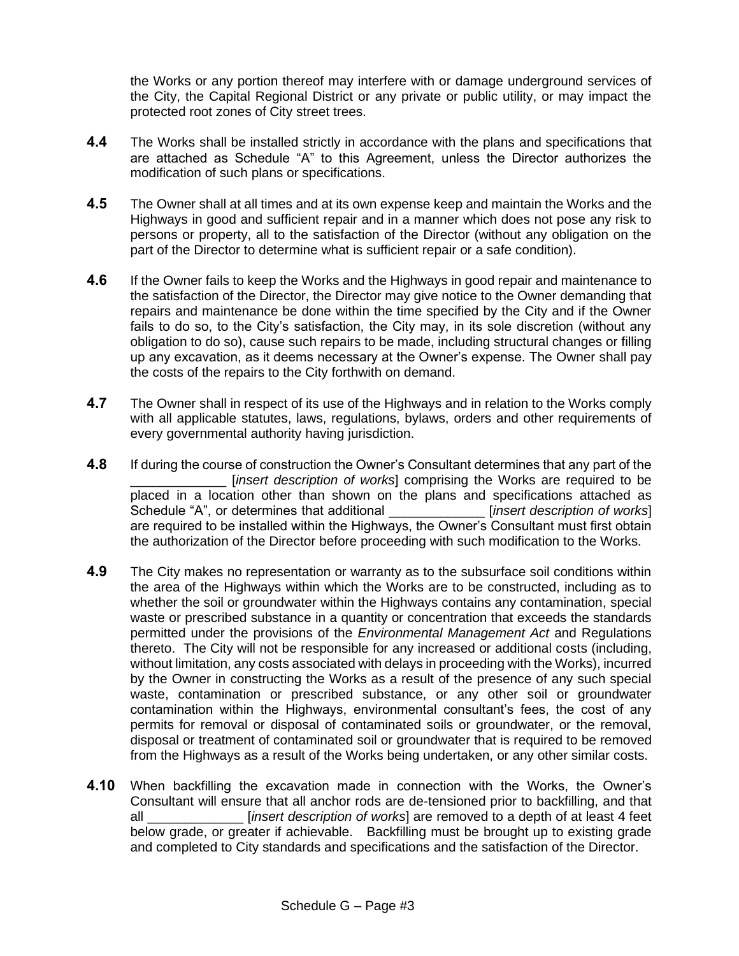the Works or any portion thereof may interfere with or damage underground services of the City, the Capital Regional District or any private or public utility, or may impact the protected root zones of City street trees.

- **4.4** The Works shall be installed strictly in accordance with the plans and specifications that are attached as Schedule "A" to this Agreement, unless the Director authorizes the modification of such plans or specifications.
- **4.5** The Owner shall at all times and at its own expense keep and maintain the Works and the Highways in good and sufficient repair and in a manner which does not pose any risk to persons or property, all to the satisfaction of the Director (without any obligation on the part of the Director to determine what is sufficient repair or a safe condition).
- **4.6** If the Owner fails to keep the Works and the Highways in good repair and maintenance to the satisfaction of the Director, the Director may give notice to the Owner demanding that repairs and maintenance be done within the time specified by the City and if the Owner fails to do so, to the City's satisfaction, the City may, in its sole discretion (without any obligation to do so), cause such repairs to be made, including structural changes or filling up any excavation, as it deems necessary at the Owner's expense. The Owner shall pay the costs of the repairs to the City forthwith on demand.
- **4.7** The Owner shall in respect of its use of the Highways and in relation to the Works comply with all applicable statutes, laws, regulations, bylaws, orders and other requirements of every governmental authority having jurisdiction.
- **4.8** If during the course of construction the Owner's Consultant determines that any part of the [*insert description of works*] comprising the Works are required to be placed in a location other than shown on the plans and specifications attached as Schedule "A", or determines that additional \_\_\_\_\_\_\_\_\_\_\_\_\_ [*insert description of works*] are required to be installed within the Highways, the Owner's Consultant must first obtain the authorization of the Director before proceeding with such modification to the Works.
- **4.9** The City makes no representation or warranty as to the subsurface soil conditions within the area of the Highways within which the Works are to be constructed, including as to whether the soil or groundwater within the Highways contains any contamination, special waste or prescribed substance in a quantity or concentration that exceeds the standards permitted under the provisions of the *Environmental Management Act* and Regulations thereto. The City will not be responsible for any increased or additional costs (including, without limitation, any costs associated with delays in proceeding with the Works), incurred by the Owner in constructing the Works as a result of the presence of any such special waste, contamination or prescribed substance, or any other soil or groundwater contamination within the Highways, environmental consultant's fees, the cost of any permits for removal or disposal of contaminated soils or groundwater, or the removal, disposal or treatment of contaminated soil or groundwater that is required to be removed from the Highways as a result of the Works being undertaken, or any other similar costs.
- **4.10** When backfilling the excavation made in connection with the Works, the Owner's Consultant will ensure that all anchor rods are de-tensioned prior to backfilling, and that all \_\_\_\_\_\_\_\_\_\_\_\_\_ [*insert description of works*] are removed to a depth of at least 4 feet below grade, or greater if achievable. Backfilling must be brought up to existing grade and completed to City standards and specifications and the satisfaction of the Director.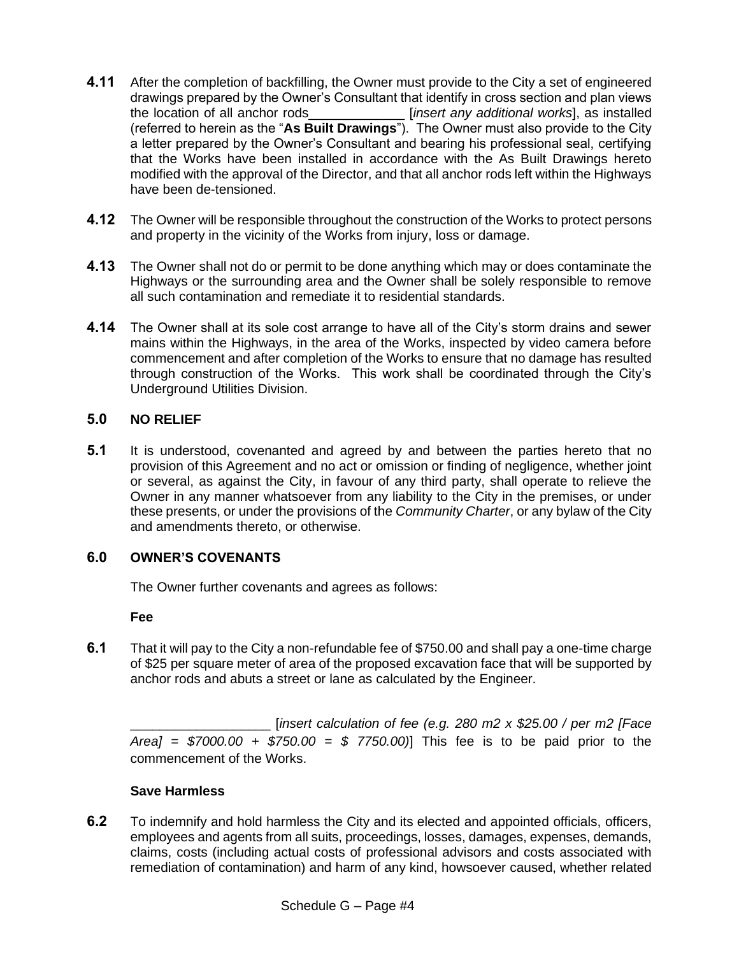- **4.11** After the completion of backfilling, the Owner must provide to the City a set of engineered drawings prepared by the Owner's Consultant that identify in cross section and plan views the location of all anchor rods\_\_\_\_\_\_\_\_\_\_\_\_\_ [*insert any additional works*], as installed (referred to herein as the "**As Built Drawings**"). The Owner must also provide to the City a letter prepared by the Owner's Consultant and bearing his professional seal, certifying that the Works have been installed in accordance with the As Built Drawings hereto modified with the approval of the Director, and that all anchor rods left within the Highways have been de-tensioned.
- **4.12** The Owner will be responsible throughout the construction of the Works to protect persons and property in the vicinity of the Works from injury, loss or damage.
- **4.13** The Owner shall not do or permit to be done anything which may or does contaminate the Highways or the surrounding area and the Owner shall be solely responsible to remove all such contamination and remediate it to residential standards.
- **4.14** The Owner shall at its sole cost arrange to have all of the City's storm drains and sewer mains within the Highways, in the area of the Works, inspected by video camera before commencement and after completion of the Works to ensure that no damage has resulted through construction of the Works. This work shall be coordinated through the City's Underground Utilities Division.

# **5.0 NO RELIEF**

**5.1** It is understood, covenanted and agreed by and between the parties hereto that no provision of this Agreement and no act or omission or finding of negligence, whether joint or several, as against the City, in favour of any third party, shall operate to relieve the Owner in any manner whatsoever from any liability to the City in the premises, or under these presents, or under the provisions of the *Community Charter*, or any bylaw of the City and amendments thereto, or otherwise.

# **6.0 OWNER'S COVENANTS**

The Owner further covenants and agrees as follows:

**Fee**

**6.1** That it will pay to the City a non-refundable fee of \$750.00 and shall pay a one-time charge of \$25 per square meter of area of the proposed excavation face that will be supported by anchor rods and abuts a street or lane as calculated by the Engineer.

\_\_\_\_\_\_\_\_\_\_\_\_\_\_\_\_\_\_\_ [*insert calculation of fee (e.g. 280 m2 x \$25.00 / per m2 [Face Area] = \$7000.00 + \$750.00 = \$ 7750.00)*] This fee is to be paid prior to the commencement of the Works.

# **Save Harmless**

**6.2** To indemnify and hold harmless the City and its elected and appointed officials, officers, employees and agents from all suits, proceedings, losses, damages, expenses, demands, claims, costs (including actual costs of professional advisors and costs associated with remediation of contamination) and harm of any kind, howsoever caused, whether related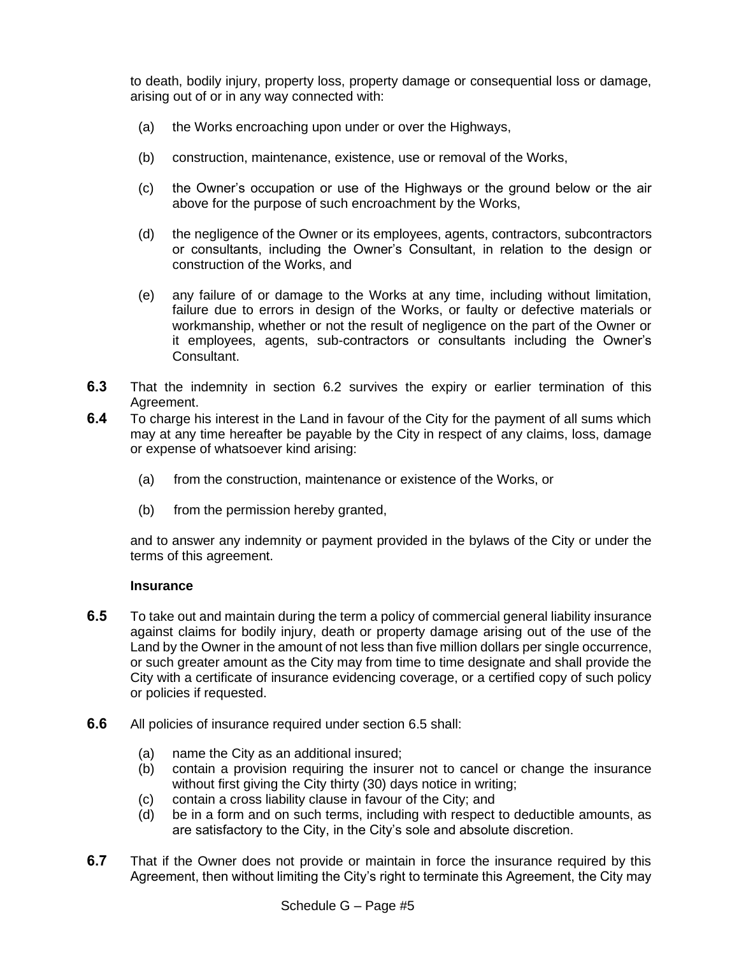to death, bodily injury, property loss, property damage or consequential loss or damage, arising out of or in any way connected with:

- (a) the Works encroaching upon under or over the Highways,
- (b) construction, maintenance, existence, use or removal of the Works,
- (c) the Owner's occupation or use of the Highways or the ground below or the air above for the purpose of such encroachment by the Works,
- (d) the negligence of the Owner or its employees, agents, contractors, subcontractors or consultants, including the Owner's Consultant, in relation to the design or construction of the Works, and
- (e) any failure of or damage to the Works at any time, including without limitation, failure due to errors in design of the Works, or faulty or defective materials or workmanship, whether or not the result of negligence on the part of the Owner or it employees, agents, sub-contractors or consultants including the Owner's Consultant.
- **6.3** That the indemnity in section 6.2 survives the expiry or earlier termination of this Agreement.
- **6.4** To charge his interest in the Land in favour of the City for the payment of all sums which may at any time hereafter be payable by the City in respect of any claims, loss, damage or expense of whatsoever kind arising:
	- (a) from the construction, maintenance or existence of the Works, or
	- (b) from the permission hereby granted,

and to answer any indemnity or payment provided in the bylaws of the City or under the terms of this agreement.

#### **Insurance**

- **6.5** To take out and maintain during the term a policy of commercial general liability insurance against claims for bodily injury, death or property damage arising out of the use of the Land by the Owner in the amount of not less than five million dollars per single occurrence, or such greater amount as the City may from time to time designate and shall provide the City with a certificate of insurance evidencing coverage, or a certified copy of such policy or policies if requested.
- **6.6** All policies of insurance required under section 6.5 shall:
	- (a) name the City as an additional insured;
	- (b) contain a provision requiring the insurer not to cancel or change the insurance without first giving the City thirty (30) days notice in writing;
	- (c) contain a cross liability clause in favour of the City; and
	- (d) be in a form and on such terms, including with respect to deductible amounts, as are satisfactory to the City, in the City's sole and absolute discretion.
- **6.7** That if the Owner does not provide or maintain in force the insurance required by this Agreement, then without limiting the City's right to terminate this Agreement, the City may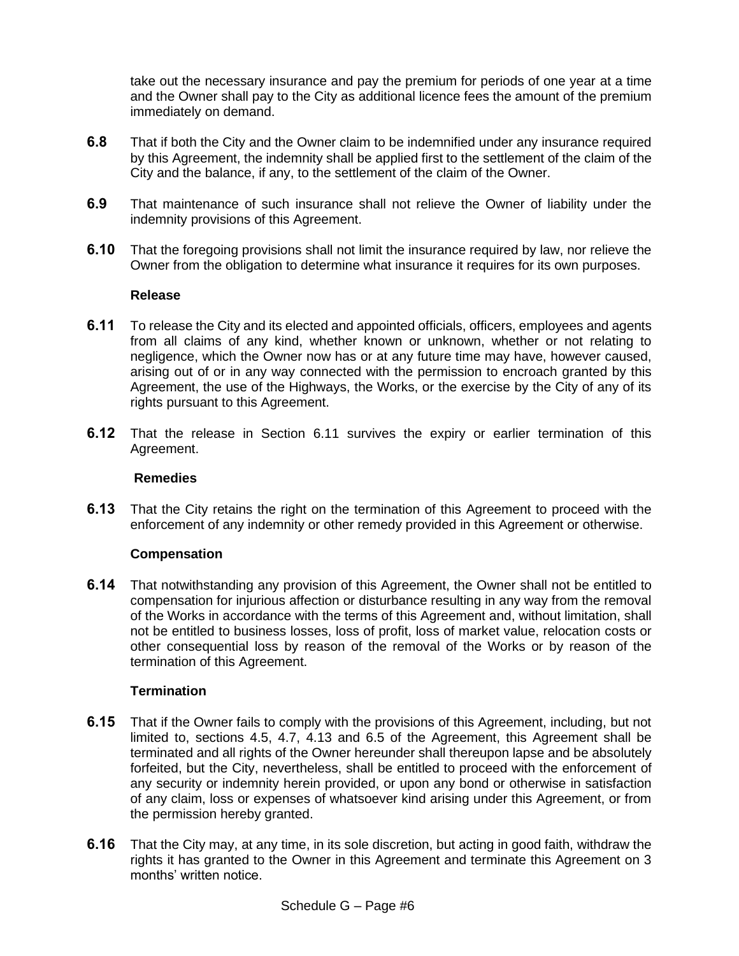take out the necessary insurance and pay the premium for periods of one year at a time and the Owner shall pay to the City as additional licence fees the amount of the premium immediately on demand.

- **6.8** That if both the City and the Owner claim to be indemnified under any insurance required by this Agreement, the indemnity shall be applied first to the settlement of the claim of the City and the balance, if any, to the settlement of the claim of the Owner.
- **6.9** That maintenance of such insurance shall not relieve the Owner of liability under the indemnity provisions of this Agreement.
- **6.10** That the foregoing provisions shall not limit the insurance required by law, nor relieve the Owner from the obligation to determine what insurance it requires for its own purposes.

#### **Release**

- **6.11** To release the City and its elected and appointed officials, officers, employees and agents from all claims of any kind, whether known or unknown, whether or not relating to negligence, which the Owner now has or at any future time may have, however caused, arising out of or in any way connected with the permission to encroach granted by this Agreement, the use of the Highways, the Works, or the exercise by the City of any of its rights pursuant to this Agreement.
- **6.12** That the release in Section 6.11 survives the expiry or earlier termination of this Agreement.

### **Remedies**

**6.13** That the City retains the right on the termination of this Agreement to proceed with the enforcement of any indemnity or other remedy provided in this Agreement or otherwise.

#### **Compensation**

**6.14** That notwithstanding any provision of this Agreement, the Owner shall not be entitled to compensation for injurious affection or disturbance resulting in any way from the removal of the Works in accordance with the terms of this Agreement and, without limitation, shall not be entitled to business losses, loss of profit, loss of market value, relocation costs or other consequential loss by reason of the removal of the Works or by reason of the termination of this Agreement.

#### **Termination**

- **6.15** That if the Owner fails to comply with the provisions of this Agreement, including, but not limited to, sections 4.5, 4.7, 4.13 and 6.5 of the Agreement, this Agreement shall be terminated and all rights of the Owner hereunder shall thereupon lapse and be absolutely forfeited, but the City, nevertheless, shall be entitled to proceed with the enforcement of any security or indemnity herein provided, or upon any bond or otherwise in satisfaction of any claim, loss or expenses of whatsoever kind arising under this Agreement, or from the permission hereby granted.
- **6.16** That the City may, at any time, in its sole discretion, but acting in good faith, withdraw the rights it has granted to the Owner in this Agreement and terminate this Agreement on 3 months' written notice.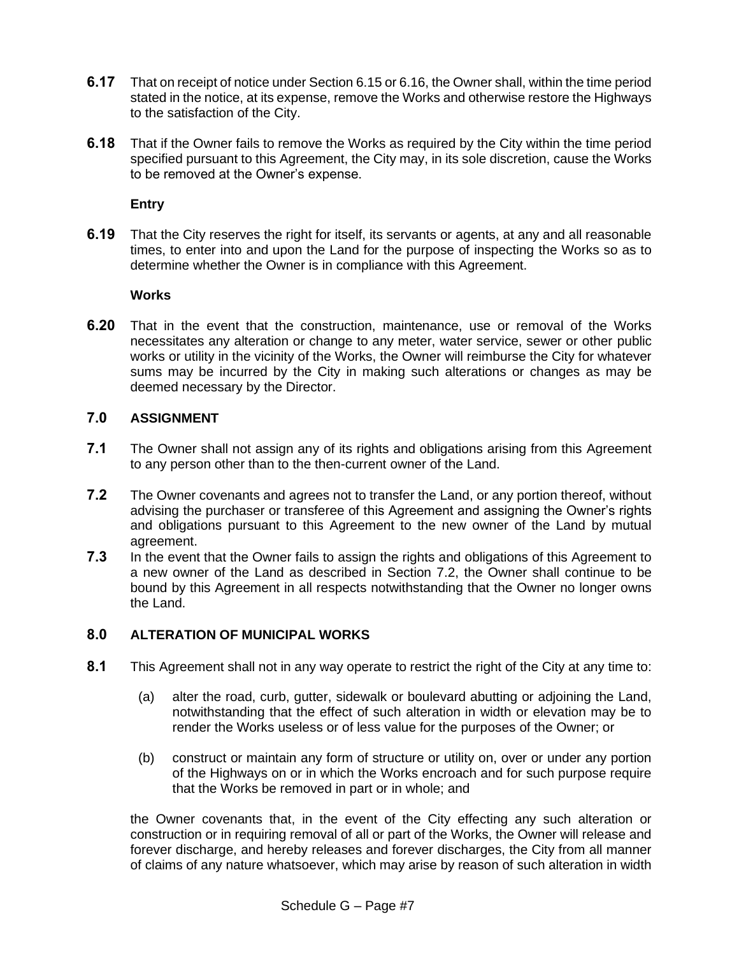- **6.17** That on receipt of notice under Section 6.15 or 6.16, the Owner shall, within the time period stated in the notice, at its expense, remove the Works and otherwise restore the Highways to the satisfaction of the City.
- **6.18** That if the Owner fails to remove the Works as required by the City within the time period specified pursuant to this Agreement, the City may, in its sole discretion, cause the Works to be removed at the Owner's expense.

# **Entry**

**6.19** That the City reserves the right for itself, its servants or agents, at any and all reasonable times, to enter into and upon the Land for the purpose of inspecting the Works so as to determine whether the Owner is in compliance with this Agreement.

### **Works**

**6.20** That in the event that the construction, maintenance, use or removal of the Works necessitates any alteration or change to any meter, water service, sewer or other public works or utility in the vicinity of the Works, the Owner will reimburse the City for whatever sums may be incurred by the City in making such alterations or changes as may be deemed necessary by the Director.

# **7.0 ASSIGNMENT**

- **7.1** The Owner shall not assign any of its rights and obligations arising from this Agreement to any person other than to the then-current owner of the Land.
- **7.2** The Owner covenants and agrees not to transfer the Land, or any portion thereof, without advising the purchaser or transferee of this Agreement and assigning the Owner's rights and obligations pursuant to this Agreement to the new owner of the Land by mutual agreement.
- **7.3** In the event that the Owner fails to assign the rights and obligations of this Agreement to a new owner of the Land as described in Section 7.2, the Owner shall continue to be bound by this Agreement in all respects notwithstanding that the Owner no longer owns the Land.

# **8.0 ALTERATION OF MUNICIPAL WORKS**

- **8.1** This Agreement shall not in any way operate to restrict the right of the City at any time to:
	- (a) alter the road, curb, gutter, sidewalk or boulevard abutting or adjoining the Land, notwithstanding that the effect of such alteration in width or elevation may be to render the Works useless or of less value for the purposes of the Owner; or
	- (b) construct or maintain any form of structure or utility on, over or under any portion of the Highways on or in which the Works encroach and for such purpose require that the Works be removed in part or in whole; and

the Owner covenants that, in the event of the City effecting any such alteration or construction or in requiring removal of all or part of the Works, the Owner will release and forever discharge, and hereby releases and forever discharges, the City from all manner of claims of any nature whatsoever, which may arise by reason of such alteration in width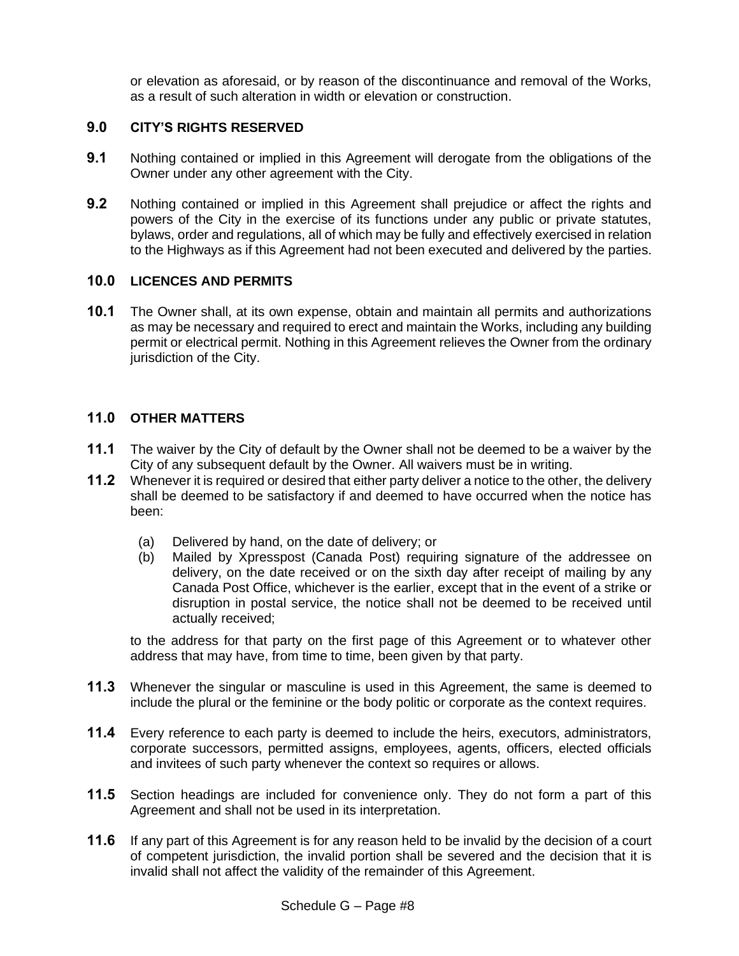or elevation as aforesaid, or by reason of the discontinuance and removal of the Works, as a result of such alteration in width or elevation or construction.

# **9.0 CITY'S RIGHTS RESERVED**

- **9.1** Nothing contained or implied in this Agreement will derogate from the obligations of the Owner under any other agreement with the City.
- **9.2** Nothing contained or implied in this Agreement shall prejudice or affect the rights and powers of the City in the exercise of its functions under any public or private statutes, bylaws, order and regulations, all of which may be fully and effectively exercised in relation to the Highways as if this Agreement had not been executed and delivered by the parties.

### **10.0 LICENCES AND PERMITS**

**10.1** The Owner shall, at its own expense, obtain and maintain all permits and authorizations as may be necessary and required to erect and maintain the Works, including any building permit or electrical permit. Nothing in this Agreement relieves the Owner from the ordinary jurisdiction of the City.

# **11.0 OTHER MATTERS**

- **11.1** The waiver by the City of default by the Owner shall not be deemed to be a waiver by the City of any subsequent default by the Owner. All waivers must be in writing.
- **11.2** Whenever it is required or desired that either party deliver a notice to the other, the delivery shall be deemed to be satisfactory if and deemed to have occurred when the notice has been:
	- (a) Delivered by hand, on the date of delivery; or
	- (b) Mailed by Xpresspost (Canada Post) requiring signature of the addressee on delivery, on the date received or on the sixth day after receipt of mailing by any Canada Post Office, whichever is the earlier, except that in the event of a strike or disruption in postal service, the notice shall not be deemed to be received until actually received;

to the address for that party on the first page of this Agreement or to whatever other address that may have, from time to time, been given by that party.

- **11.3** Whenever the singular or masculine is used in this Agreement, the same is deemed to include the plural or the feminine or the body politic or corporate as the context requires.
- **11.4** Every reference to each party is deemed to include the heirs, executors, administrators, corporate successors, permitted assigns, employees, agents, officers, elected officials and invitees of such party whenever the context so requires or allows.
- **11.5** Section headings are included for convenience only. They do not form a part of this Agreement and shall not be used in its interpretation.
- **11.6** If any part of this Agreement is for any reason held to be invalid by the decision of a court of competent jurisdiction, the invalid portion shall be severed and the decision that it is invalid shall not affect the validity of the remainder of this Agreement.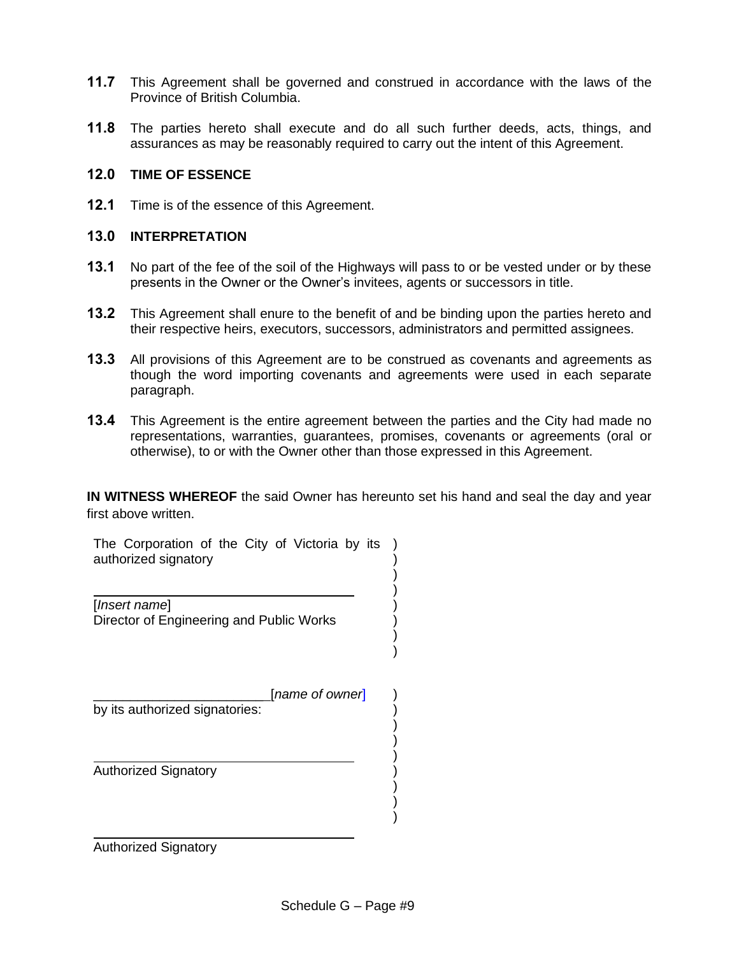- **11.7** This Agreement shall be governed and construed in accordance with the laws of the Province of British Columbia.
- **11.8** The parties hereto shall execute and do all such further deeds, acts, things, and assurances as may be reasonably required to carry out the intent of this Agreement.

# **12.0 TIME OF ESSENCE**

**12.1** Time is of the essence of this Agreement.

# **13.0 INTERPRETATION**

- **13.1** No part of the fee of the soil of the Highways will pass to or be vested under or by these presents in the Owner or the Owner's invitees, agents or successors in title.
- **13.2** This Agreement shall enure to the benefit of and be binding upon the parties hereto and their respective heirs, executors, successors, administrators and permitted assignees.
- **13.3** All provisions of this Agreement are to be construed as covenants and agreements as though the word importing covenants and agreements were used in each separate paragraph.
- **13.4** This Agreement is the entire agreement between the parties and the City had made no representations, warranties, guarantees, promises, covenants or agreements (oral or otherwise), to or with the Owner other than those expressed in this Agreement.

**IN WITNESS WHEREOF** the said Owner has hereunto set his hand and seal the day and year first above written.

> ) ) ) ) ) ) ) )

) ) ) ) ) ) ) ) )

The Corporation of the City of Victoria by its authorized signatory

[*Insert name*] Director of Engineering and Public Works

\_\_\_\_\_\_\_\_\_\_\_\_\_\_\_\_\_\_\_\_\_\_\_ [*name of owner*] by its authorized signatories:

Authorized Signatory

Authorized Signatory